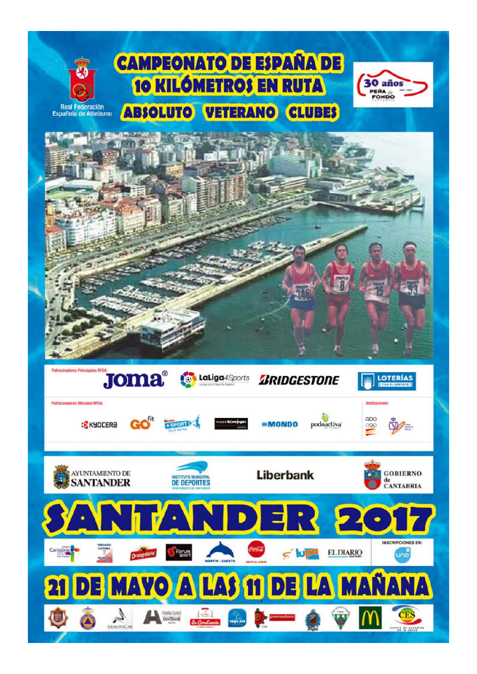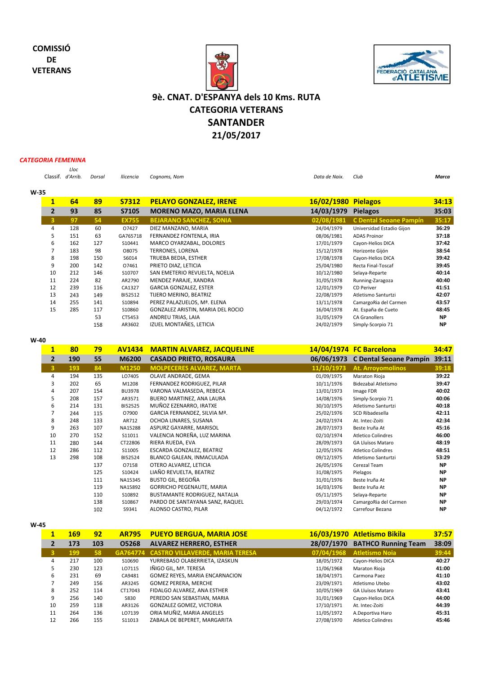**COMISSIÓ DE VETERANS**





# **9è. CNAT. D'ESPANYA dels 10 Kms. RUTA CATEGORIA VETERANS SANTANDER 21/05/2017**

#### *CATEGORIA FEMENINA*

*Lloc*

|      |                | Classif. d'Arrib. | Dorsal | llicencia    | Cognoms, Nom                      | Data de Naix. | Club                          | Marca     |
|------|----------------|-------------------|--------|--------------|-----------------------------------|---------------|-------------------------------|-----------|
| W-35 |                |                   |        |              |                                   |               |                               |           |
|      | $\mathbf{1}$   | 64                | 89     | <b>S7312</b> | <b>PELAYO GONZALEZ, IRENE</b>     | 16/02/1980    | <b>Pielagos</b>               | 34:13     |
|      | $\overline{2}$ | 93                | 85     | S7105        | <b>MORENO MAZO, MARIA ELENA</b>   | 14/03/1979    | <b>Pielagos</b>               | 35:03     |
|      | 3              | 97                | 54     | <b>EX755</b> | <b>BEJARANO SANCHEZ, SONIA</b>    | 02/08/1981    | <b>C Dental Seoane Pampín</b> | 35:17     |
|      | 4              | 128               | 60     | 07427        | DIEZ MANZANO, MARIA               | 24/04/1979    | Universidad Estadio Gijon     | 36:29     |
|      | 5              | 151               | 63     | GA765718     | FERNANDEZ FONTENLA, IRIA          | 08/06/1981    | <b>ADAS Proinor</b>           | 37:18     |
|      | 6              | 162               | 127    | S10441       | MARCO OYARZABAL, DOLORES          | 17/01/1979    | Cayon-Helios DICA             | 37:42     |
|      |                | 183               | 98     | 08075        | TERRONES, LORENA                  | 15/12/1978    | Horizonte Gijón               | 38:54     |
|      | 8              | 198               | 150    | S6014        | TRUEBA BEDIA, ESTHER              | 17/08/1978    | Cayon-Helios DICA             | 39:42     |
|      | 9              | 200               | 142    | 07461        | PRIETO DIAZ, LETICIA              | 25/04/1980    | Recta Final-Toscaf            | 39:45     |
|      | 10             | 212               | 146    | S10707       | SAN EMETERIO REVUELTA. NOELIA     | 10/12/1980    | Selaya-Reparte                | 40:14     |
|      | 11             | 224               | 82     | AR2790       | MENDEZ PARAJE, XANDRA             | 31/05/1978    | Running-Zaragoza              | 40:40     |
|      | 12             | 239               | 116    | CA1327       | GARCIA GONZALEZ, ESTER            | 12/01/1979    | CD Periver                    | 41:51     |
|      | 13             | 243               | 149    | BI52512      | TIJERO MERINO, BEATRIZ            | 22/08/1979    | Atletismo Santurtzi           | 42:07     |
|      | 14             | 255               | 141    | S10894       | PEREZ PALAZUELOS, Mª. ELENA       | 13/11/1978    | CamargoRia del Carmen         | 43:57     |
|      | 15             | 285               | 117    | S10860       | GONZALEZ ARISTIN, MARIA DEL ROCIO | 16/04/1978    | At. España de Cueto           | 48:45     |
|      |                |                   | 53     | CT5453       | ANDREU TRIAS, LAIA                | 31/05/1979    | <b>CA Granollers</b>          | <b>NP</b> |
|      |                |                   | 158    | AR3602       | IZUEL MONTAÑES, LETICIA           | 24/02/1979    | Simply-Scorpio 71             | <b>NP</b> |

## **W-40**

| 1              | 80  | 79  | AV1434        | <b>MARTIN ALVAREZ, JACQUELINE</b> |            | 14/04/1974 FC Barcelona      | 34:47     |
|----------------|-----|-----|---------------|-----------------------------------|------------|------------------------------|-----------|
| $\overline{2}$ | 190 | 55  | M6200         | <b>CASADO PRIETO, ROSAURA</b>     | 06/06/1973 | C Dental Seoane Pampín 39:11 |           |
| 3              | 193 | 84  | M1250         | <b>MOLPECERES ALVAREZ, MARTA</b>  | 11/10/1973 | <b>At. Arroyomolinos</b>     | 39:18     |
| 4              | 194 | 135 | LO7405        | OLAVE ANDRADE, GEMA               | 01/09/1975 | Maraton Rioja                | 39:22     |
| 3              | 202 | 65  | M1208         | FERNANDEZ RODRIGUEZ, PILAR        | 10/11/1976 | Bidezabal Atletismo          | 39:47     |
| 4              | 207 | 154 | <b>BU3978</b> | VARONA VALMASEDA, REBECA          | 13/01/1973 | Image FDR                    | 40:02     |
| 5              | 208 | 157 | AR3571        | BUERO MARTINEZ, ANA LAURA         | 14/08/1976 | Simply-Scorpio 71            | 40:06     |
| 6              | 214 | 131 | BI52525       | MUÑOZ EZENARRO, IRATXE            | 30/10/1975 | Atletismo Santurtzi          | 40:18     |
|                | 244 | 115 | 07900         | GARCIA FERNANDEZ, SILVIA Mª.      | 25/02/1976 | SCD Ribadesella              | 42:11     |
| 8              | 248 | 133 | AR712         | OCHOA LINARES, SUSANA             | 24/02/1974 | At. Intec-Zoiti              | 42:34     |
| 9              | 263 | 107 | NA15288       | ASPURZ GAYARRE, MARISOL           | 28/07/1973 | Beste Iruña At               | 45:16     |
| 10             | 270 | 152 | S11011        | VALENCIA NOREÑA, LUZ MARINA       | 02/10/1974 | <b>Atletico Colindres</b>    | 46:00     |
| 11             | 280 | 144 | CT22806       | RIERA RUEDA, EVA                  | 28/09/1973 | GA Lluïsos Mataro            | 48:19     |
| 12             | 286 | 112 | S11005        | ESCARDA GONZALEZ, BEATRIZ         | 12/05/1976 | <b>Atletico Colindres</b>    | 48:51     |
| 13             | 298 | 108 | BI52524       | BLANCO GALEAN, INMACULADA         | 09/12/1975 | Atletismo Santurtzi          | 53:29     |
|                |     | 137 | 07158         | OTERO ALVAREZ, LETICIA            | 26/05/1976 | Cerezal Team                 | <b>NP</b> |
|                |     | 125 | S10424        | LIAÑO REVUELTA, BEATRIZ           | 31/08/1975 | Pielagos                     | <b>NP</b> |
|                |     | 111 | NA15345       | <b>BUSTO GIL, BEGOÑA</b>          | 31/01/1976 | Beste Iruña At               | <b>NP</b> |
|                |     | 119 | NA15892       | <b>GORRICHO PEGENAUTE, MARIA</b>  | 16/03/1976 | Beste Iruña At               | <b>NP</b> |
|                |     | 110 | S10892        | BUSTAMANTE RODRIGUEZ, NATALIA     | 05/11/1975 | Selaya-Reparte               | <b>NP</b> |
|                |     | 138 | S10867        | PARDO DE SANTAYANA SANZ, RAQUEL   | 29/03/1974 | CamargoRia del Carmen        | <b>NP</b> |
|                |     | 102 | S9341         | ALONSO CASTRO, PILAR              | 04/12/1972 | Carrefour Bezana             | <b>NP</b> |

**W-45**

| -- |              |     |     |              |                                          |            |                             |       |
|----|--------------|-----|-----|--------------|------------------------------------------|------------|-----------------------------|-------|
|    | $\mathbf{1}$ | 169 | 92  | <b>AR795</b> | <b>PUEYO BERGUA, MARIA JOSE</b>          |            | 16/03/1970 Atletismo Bikila | 37:57 |
|    | $\mathbf{2}$ | 173 | 103 | 05268        | <b>ALVAREZ HERRERO, ESTHER</b>           | 28/07/1970 | <b>BATHCO Running Team</b>  | 38:09 |
|    |              | 199 | 58  |              | GA764774 CASTRO VILLAVERDE, MARIA TERESA | 07/04/1968 | <b>Atletismo Noia</b>       | 39:44 |
|    | 4            | 217 | 100 | S10690       | YURREBASO OLABERRIETA. IZASKUN           | 18/05/1972 | Cayon-Helios DICA           | 40:27 |
|    | 5.           | 230 | 123 | LO7115       | IÑIGO GIL. Mª. TERESA                    | 11/06/1968 | Maraton Rioja               | 41:00 |
|    | 6            | 231 | 69  | CA9481       | <b>GOMEZ REYES, MARIA ENCARNACION</b>    | 18/04/1971 | Carmona Paez                | 41:10 |
|    |              | 249 | 156 | AR3245       | <b>GOMEZ PERERA, MERCHE</b>              | 23/09/1971 | Atletismo Utebo             | 43:02 |
|    | 8            | 252 | 114 | CT17043      | FIDALGO ALVAREZ, ANA ESTHER              | 10/05/1969 | <b>GA Lluïsos Mataro</b>    | 43:41 |
|    | 9            | 256 | 140 | S830         | PEREDO SAN SEBASTIAN. MARIA              | 31/01/1969 | Cayon-Helios DICA           | 44:00 |
|    | 10           | 259 | 118 | AR3126       | GONZALEZ GOMEZ. VICTORIA                 | 17/10/1971 | At. Intec-Zoiti             | 44:39 |
|    | 11           | 264 | 136 | LO7139       | ORIA MUÑIZ, MARIA ANGELES                | 11/05/1972 | A.Deportiva Haro            | 45:31 |
|    | 12           | 266 | 155 | S11013       | ZABALA DE BEPERET. MARGARITA             | 27/08/1970 | <b>Atletico Colindres</b>   | 45:46 |
|    |              |     |     |              |                                          |            |                             |       |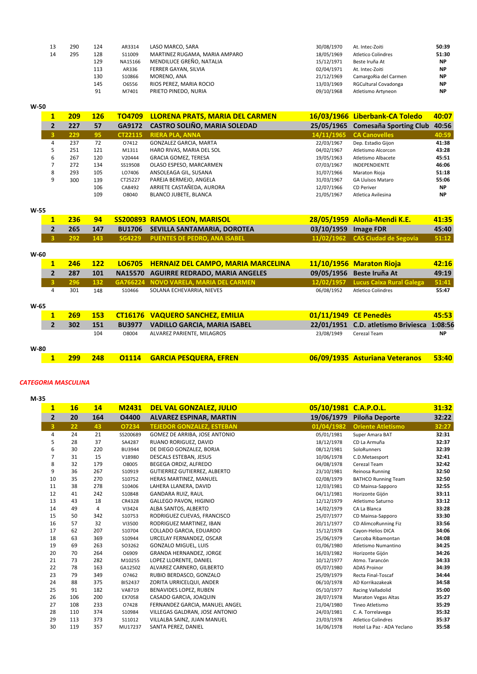| 13 | 290 | 124 | AR3314  | LASO MARCO, SARA              | 30/08/1970 | At. Intec-Zoiti           | 50:39     |
|----|-----|-----|---------|-------------------------------|------------|---------------------------|-----------|
| 14 | 295 | 128 | S11009  | MARTINEZ RUGAMA, MARIA AMPARO | 18/05/1969 | <b>Atletico Colindres</b> | 51:30     |
|    |     | 129 | NA15166 | MENDILUCE GREÑO, NATALIA      | 15/12/1971 | Beste Iruña At            | <b>NP</b> |
|    |     | 113 | AR336   | FERRER GAYAN, SILVIA          | 02/04/1971 | At. Intec-Zoiti           | <b>NP</b> |
|    |     | 130 | S10866  | MORENO, ANA                   | 21/12/1969 | CamargoRia del Carmen     | <b>NP</b> |
|    |     | 145 | 06556   | RIOS PEREZ, MARIA ROCIO       | 13/03/1969 | RGCultural Covadonga      | <b>NP</b> |
|    |     | 91  | M7401   | PRIETO PINEDO, NURIA          | 09/10/1968 | Atletismo Artyneon        | <b>NP</b> |

# **W-50**

|                | 209 | 126 | TO4709         | <b>LLORENA PRATS, MARIA DEL CARMEN</b> |            | 16/03/1966 Liberbank-CA Toledo | 40:07     |
|----------------|-----|-----|----------------|----------------------------------------|------------|--------------------------------|-----------|
| 2              | 227 | 57  | GA9172         | <b>CASTRO SOLIÑO, MARIA SOLEDAD</b>    | 25/05/1965 | Comesaña Sporting Club 40:56   |           |
|                | 229 | 95  | <b>CT22115</b> | <b>RIERA PLA, ANNA</b>                 | 14/11/1965 | <b>CA Canovelles</b>           | 40:59     |
| 4              | 237 | 72  | 07412          | GONZALEZ GARCIA, MARTA                 | 22/03/1967 | Dep. Estadio Gijon             | 41:38     |
| 5              | 251 | 121 | M1311          | HARO RIVAS, MARIA DEL SOL              | 04/02/1967 | Atletismo Alcorcon             | 43:28     |
| 6              | 267 | 120 | V20444         | <b>GRACIA GOMEZ. TERESA</b>            | 19/05/1963 | Atletismo Albacete             | 45:51     |
| $\overline{ }$ | 272 | 134 | SS19508        | OLASO ESPESO, MARCARMEN                | 07/03/1967 | <b>INDEPENDIENTE</b>           | 46:06     |
| 8              | 293 | 105 | LO7406         | ANSOLEAGA GIL, SUSANA                  | 31/07/1966 | Maraton Rioja                  | 51:18     |
| 9              | 300 | 139 | CT25227        | PAREJA BERMEJO, ANGELA                 | 31/03/1967 | <b>GA Lluïsos Mataro</b>       | 55:06     |
|                |     | 106 | CA8492         | ARRIETE CASTAÑEDA, AURORA              | 12/07/1966 | CD Periver                     | <b>NP</b> |
|                |     | 109 | O8040          | <b>BLANCO JUBETE, BLANCA</b>           | 21/05/1967 | Atletica Avilesina             | <b>NP</b> |

# **W-55**

|  |       |     | 1 236 94 SS200893 RAMOS LEON, MARISOL              |                      | <b>28/05/1959 Aloña-Mendi K.E.</b>       | 41:35 |
|--|-------|-----|----------------------------------------------------|----------------------|------------------------------------------|-------|
|  | 2 265 | 147 | <b>BU1706 SEVILLA SANTAMARIA, DOROTEA</b>          | 03/10/1959 Image FDR |                                          | 45:40 |
|  |       |     | 3  292  143   SG4229  PUENTES DE PEDRO. ANA ISABEL |                      | $11/02/1962$ CAS Ciudad de Segovia 51:12 |       |

## **W-60**

|        | 1              | 246 | <b>122</b> | LO6705         | <b>HERNAIZ DEL CAMPO, MARIA MARCELINA</b>     |                       | 11/10/1956 Maraton Rioja            | 42:16     |
|--------|----------------|-----|------------|----------------|-----------------------------------------------|-----------------------|-------------------------------------|-----------|
|        | 2              | 287 | 101        | <b>NA15570</b> | <b>AGUIRRE REDRADO, MARIA ANGELES</b>         | 09/05/1956            | <b>Beste Iruña At</b>               | 49:19     |
|        | 3              | 296 | 132        |                | <b>GA766224 NOVO VARELA, MARIA DEL CARMEN</b> | 12/02/1957            | <b>Lucus Caixa Rural Galega</b>     | 51:41     |
|        | 4              | 301 | 148        | S10466         | SOLANA ECHEVARRIA. NIEVES                     | 06/08/1952            | <b>Atletico Colindres</b>           | 55:47     |
| W-65   |                |     |            |                |                                               |                       |                                     |           |
|        | 1              | 269 | <b>153</b> |                | <b>CT16176 VAQUERO SANCHEZ, EMILIA</b>        | 01/11/1949 CE Penedès |                                     | 45:53     |
|        | $\overline{2}$ | 302 | 151        | <b>BU3977</b>  | <b>VADILLO GARCIA, MARIA ISABEL</b>           |                       | 22/01/1951 C.D. atletismo Briviesca | 1:08:56   |
|        |                |     | 104        |                |                                               |                       |                                     |           |
|        |                |     |            | O8004          | ALVAREZ PARIENTE. MILAGROS                    | 23/08/1949            | Cerezal Team                        | <b>NP</b> |
| $W-80$ |                |     |            |                |                                               |                       |                                     |           |

#### *CATEGORIA MASCULINA*

## **M-35**

| $\mathbf{1}$   | 16  | 14  | <b>M2431</b>  | <b>DEL VAL GONZALEZ, JULIO</b>   | 05/10/1981 C.A.P.O.L. |                             | 31:32 |
|----------------|-----|-----|---------------|----------------------------------|-----------------------|-----------------------------|-------|
| $\overline{2}$ | 20  | 164 | O4400         | <b>ALVAREZ ESPINAR, MARTIN</b>   | 19/06/1979            | Piloña Deporte              | 32:22 |
| 3              | 22  | 43  | 07234         | <b>TEJEDOR GONZALEZ, ESTEBAN</b> | 01/04/1982            | <b>Oriente Atletismo</b>    | 32:27 |
| 4              | 24  | 21  | SS200689      | GOMEZ DE ARRIBA, JOSE ANTONIO    | 05/01/1981            | Super Amara BAT             | 32:31 |
| 5              | 28  | 37  | SA4287        | RUANO RORIGUEZ, DAVID            | 18/12/1978            | CD La Armuña                | 32:37 |
| 6              | 30  | 220 | <b>BU3944</b> | DE DIEGO GONZALEZ, BORJA         | 08/12/1981            | SoloRunners                 | 32:39 |
| 7              | 31  | 15  | V18980        | DESCALS ESTEBAN, JESUS           | 10/06/1978            | C.D.Metaesport              | 32:41 |
| 8              | 32  | 179 | O8005         | BEGEGA ORDIZ, ALFREDO            | 04/08/1978            | Cerezal Team                | 32:42 |
| 9              | 36  | 267 | S10919        | GUTIERREZ GUTIERREZ, ALBERTO     | 23/10/1981            | Reinosa Running             | 32:50 |
| 10             | 35  | 270 | S10752        | HERAS MARTINEZ, MANUEL           | 02/08/1979            | <b>BATHCO Running Team</b>  | 32:50 |
| 11             | 38  | 278 | S10406        | LAHERA LLANERA, DAVID            | 12/03/1981            | CD Mainsa-Sapporo           | 32:55 |
| 12             | 41  | 242 | S10848        | <b>GANDARA RUIZ, RAUL</b>        | 04/11/1981            | Horizonte Gijón             | 33:11 |
| 13             | 43  | 18  | CR4328        | GALLEGO PAVON, HIGINIO           | 12/12/1979            | Atletismo Saturno           | 33:12 |
| 14             | 49  | 4   | VI3424        | ALBA SANTOS, ALBERTO             | 14/02/1979            | CA La Blanca                | 33:28 |
| 15             | 50  | 342 | S10753        | RODRIGUEZ CUEVAS, FRANCISCO      | 25/07/1977            | CD Mainsa-Sapporo           | 33:30 |
| 16             | 57  | 32  | VI3500        | RODRIGUEZ MARTINEZ, IBAN         | 20/11/1977            | <b>CD AlimcoRunning Fiz</b> | 33:56 |
| 17             | 62  | 207 | S10704        | COLLADO GARCIA, EDUARDO          | 15/12/1978            | Cayon-Helios DICA           | 34:06 |
| 18             | 63  | 369 | S10944        | URCELAY FERNANDEZ, OSCAR         | 25/06/1979            | Carcoba Ribamontan          | 34:08 |
| 19             | 69  | 263 | SO3262        | <b>GONZALO MIGUEL, LUIS</b>      | 01/06/1980            | Atletismo Numantino         | 34:25 |
| 20             | 70  | 264 | O6909         | GRANDA HERNANDEZ, JORGE          | 16/03/1982            | Horizonte Gijón             | 34:26 |
| 21             | 73  | 282 | M10255        | LOPEZ LLORENTE, DANIEL           | 10/12/1977            | Atmo. Tarancón              | 34:33 |
| 22             | 78  | 163 | GA12502       | ALVAREZ CARNERO, GILBERTO        | 05/07/1980            | <b>ADAS Proinor</b>         | 34:39 |
| 23             | 79  | 349 | 07462         | RUBIO BERDASCO, GONZALO          | 25/09/1979            | Recta Final-Toscaf          | 34:44 |
| 24             | 88  | 375 | BI52437       | ZORITA URRICELQUI, ANDER         | 06/10/1978            | AD Korrikazakeak            | 34:58 |
| 25             | 91  | 182 | VA8719        | BENAVIDES LOPEZ, RUBEN           | 05/10/1977            | Racing Valladolid           | 35:00 |
| 26             | 106 | 200 | EX7058        | CASADO GARCIA, JOAQUIN           | 28/07/1978            | <b>Maraton Vegas Altas</b>  | 35:27 |
| 27             | 108 | 233 | 07428         | FERNANDEZ GARCIA, MANUEL ANGEL   | 21/04/1980            | Tineo Atletismo             | 35:29 |
| 28             | 110 | 374 | S10984        | VILLEGAS GALDRAN, JOSE ANTONIO   | 24/03/1981            | C. A. Torrelavega           | 35:32 |
| 29             | 113 | 373 | S11012        | VILLALBA SAINZ, JUAN MANUEL      | 23/03/1978            | <b>Atletico Colindres</b>   | 35:37 |
| 30             | 119 | 357 | MU17237       | SANTA PEREZ, DANIEL              | 16/06/1978            | Hotel La Paz - ADA Yeclano  | 35:58 |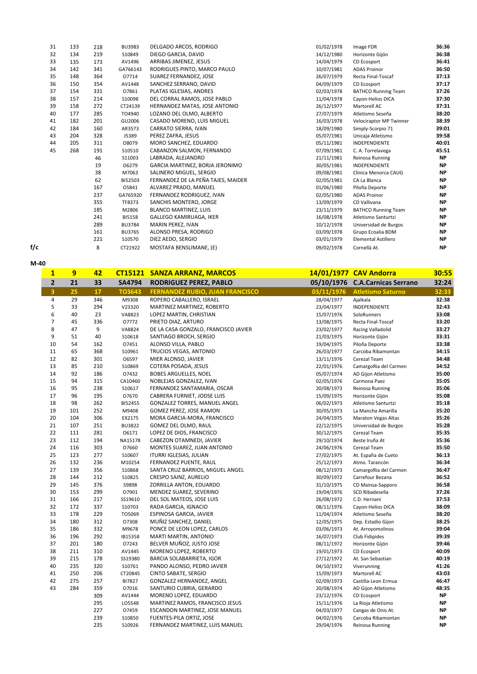|     | 31 | 133 | 218 | <b>BU3983</b> | DELGADO ARCOS, RODRIGO             | 01/02/1978 | Image FDR                  | 36:36     |
|-----|----|-----|-----|---------------|------------------------------------|------------|----------------------------|-----------|
|     | 32 | 134 | 219 | S10849        | DIEGO GARCIA, DAVID                | 14/12/1980 | Horizonte Gijón            | 36:38     |
|     | 33 | 135 | 173 | AV1496        | ARRIBAS JIMENEZ, JESUS             | 14/04/1979 | CD Ecosport                | 36:41     |
|     | 34 | 142 | 341 | GA766143      | RODRIGUES PINTO, MARCO PAULO       | 10/07/1981 | <b>ADAS Proinor</b>        | 36:50     |
|     | 35 | 148 | 364 | 07714         | SUAREZ FERNANDEZ. JOSE             | 26/07/1979 | Recta Final-Toscaf         | 37:13     |
|     | 36 | 150 | 354 | AV1448        | SANCHEZ SERRANO, DAVID             | 04/09/1979 | CD Ecosport                | 37:17     |
|     | 37 | 154 | 331 | 07861         | PLATAS IGLESIAS, ANDRES            | 02/03/1978 | <b>BATHCO Running Team</b> | 37:26     |
|     | 38 | 157 | 214 | S10098        | DEL CORRAL RAMOS, JOSE PABLO       | 11/04/1978 | Cayon-Helios DICA          | 37:30     |
|     | 39 | 158 | 272 | CT24139       | HERNANDEZ MATAS, JOSE ANTONIO      | 26/12/1977 | Martorell AC               | 37:31     |
|     | 40 | 177 | 285 | TO4940        | LOZANO DEL OLMO, ALBERTO           | 27/07/1979 | Atletismo Seseña           | 38:20     |
|     | 41 | 182 | 201 | GU2006        | CASADO MORENO, LUIS MIGUEL         | 16/03/1978 | Velociraptor MP Twinner    | 38:39     |
|     | 42 | 184 | 160 | AR3573        | CARRATO SIERRA, IVAN               | 18/09/1980 | Simply-Scorpio 71          | 39:01     |
|     | 43 | 204 | 328 | J5389         | PEREZ ZAFRA, JESUS                 | 05/07/1981 | Unicaja Atletismo          | 39:58     |
|     | 44 | 205 | 311 | 08079         | MORO SANCHEZ, EDUARDO              | 05/11/1981 | INDEPENDIENTE              | 40:01     |
|     | 45 | 268 | 191 | S10510        | CABANZON SALMON, FERNANDO          | 07/09/1981 | C. A. Torrelavega          | 45:51     |
|     |    |     | 46  | S11003        | LABRADA, ALEJANDRO                 | 21/11/1981 | Reinosa Running            | <b>NP</b> |
|     |    |     | 19  | O6279         | GARCIA MARTINEZ, BORJA JERONIMO    | 30/05/1981 | INDEPENDIENTE              | <b>NP</b> |
|     |    |     | 38  | M7063         | SALINERO MIGUEL, SERGIO            | 09/08/1981 | Clínica Menorca CAUG       | <b>NP</b> |
|     |    |     | 62  | BI52503       | FERNANDEZ DE LA PEÑA TAJES, MAIDER | 02/05/1981 | CA La Blanca               | <b>NP</b> |
|     |    |     | 167 | 05841         | ALVAREZ PRADO, MANUEL              | 01/06/1980 | Piloña Deporte             | <b>NP</b> |
|     |    |     | 237 | GA765920      | FERNANDEZ RODRIGUEZ, IVAN          | 02/05/1980 | <b>ADAS Proinor</b>        | <b>NP</b> |
|     |    |     | 355 | TF8373        | SANCHIS MONTERO, JORGE             | 13/09/1979 | CD Vallivana               | <b>NP</b> |
|     |    |     | 185 | M2806         | <b>BLANCO MARTINEZ, LUIS</b>       | 23/11/1979 | <b>BATHCO Running Team</b> | <b>NP</b> |
|     |    |     | 241 | <b>BI5158</b> | GALLEGO KAMIRUAGA, IKER            | 16/08/1978 | Atletismo Santurtzi        | <b>NP</b> |
|     |    |     | 289 | <b>BU3784</b> | MARIN PEREZ, IVAN                  | 10/12/1978 | Universidad de Burgos      | <b>NP</b> |
|     |    |     | 161 | <b>BU3765</b> | ALONSO PRESA, RODRIGO              | 03/09/1978 | Grupo Ecoalia BDM          | <b>NP</b> |
|     |    |     | 221 | S10570        | DIEZ AEDO, SERGIO                  | 03/01/1979 | Elemental Astillero        | <b>NP</b> |
| f/c |    |     | 8   | CT21922       | MOSTAFA BENSLIMANE, (E)            | 09/02/1978 | Cornellà At.               | <b>NP</b> |

| $M-40$ |                |     |     |               |                                        |            |                                 |           |
|--------|----------------|-----|-----|---------------|----------------------------------------|------------|---------------------------------|-----------|
|        | $\overline{1}$ | 9   | 42  |               | <b>CT15121 SANZA ARRANZ, MARCOS</b>    |            | 14/01/1977 CAV Andorra          | 30:55     |
|        | $\overline{2}$ | 21  | 33  | <b>SA4794</b> | <b>RODRIGUEZ PEREZ, PABLO</b>          |            | 05/10/1976 C.A.Carnicas Serrano | 32:24     |
|        | 3              | 25  | 17  | <b>TO3643</b> | <b>FERNANDEZ RUBIO, JUAN FRANCISCO</b> | 03/11/1976 | <b>Atletismo Saturno</b>        | 32:33     |
|        | 4              | 29  | 346 | M9308         | ROPERO CABALLERO, ISRAEL               | 28/04/1977 | Ajalkala                        | 32:38     |
|        | 5              | 33  | 294 | V23320        | MARTINEZ MARTINEZ, ROBERTO             | 23/04/1977 | INDEPENDIENTE                   | 32:43     |
|        | 6              | 40  | 23  | <b>VA8823</b> | LOPEZ MARTIN, CHRISTIAN                | 15/07/1976 | SoloRunners                     | 33:08     |
|        | $\overline{7}$ | 45  | 336 | 07772         | PRIETO DIAZ, ARTURO                    | 13/08/1975 | Recta Final-Toscaf              | 33:20     |
|        | 8              | 47  | 9   | <b>VA8824</b> | DE LA CASA GONZALO, FRANCISCO JAVIER   | 23/02/1977 | Racing Valladolid               | 33:27     |
|        | 9              | 51  | 40  | S10618        | SANTIAGO BROCH, SERGIO                 | 21/03/1975 | Horizonte Gijón                 | 33:31     |
|        | 10             | 54  | 162 | 07451         | ALONSO VILLA, PABLO                    | 19/04/1975 | Piloña Deporte                  | 33:38     |
|        | 11             | 65  | 368 | S10961        | TRUCIOS VEGAS, ANTONIO                 | 26/03/1977 | Carcoba Ribamontan              | 34:15     |
|        | 12             | 82  | 301 | O6597         | MIER ALONSO, JAVIER                    | 13/11/1976 | Cerezal Team                    | 34:48     |
|        | 13             | 85  | 210 | \$10869       | COTERA POSADA, JESUS                   | 22/01/1976 | CamargoRia del Carmen           | 34:52     |
|        | 14             | 92  | 186 | 07432         | <b>BOBES ARGUELLES, NOEL</b>           | 05/07/1974 | AD Gijon Atletismo              | 35:00     |
|        | 15             | 94  | 315 | CA10460       | NOBLEJAS GONZALEZ, IVAN                | 02/05/1976 | Carmona Paez                    | 35:05     |
|        | 16             | 95  | 238 | S10617        | FERNANDEZ SANTAMARIA, OSCAR            | 20/08/1973 | Reinosa Running                 | 35:06     |
|        | 17             | 96  | 195 | 07670         | CABRERA FURNIET, JODSE LUIS            | 15/09/1975 | Horizonte Gijón                 | 35:08     |
|        | 18             | 98  | 262 | BI52455       | GONZALEZ TORRES, MANUEL ANGEL          | 06/02/1973 | Atletismo Santurtzi             | 35:18     |
|        | 19             | 101 | 252 | M9408         | GOMEZ PEREZ, JOSE RAMON                | 30/05/1973 | La Mancha Amarilla              | 35:20     |
|        | 20             | 104 | 306 | EX2175        | MORA GARCIA-MORA, FRANCISCO            | 24/04/1975 | <b>Maraton Vegas Altas</b>      | 35:26     |
|        | 21             | 107 | 251 | <b>BU3822</b> | GOMEZ DEL OLMO, RAUL                   | 22/12/1975 | Universidad de Burgos           | 35:28     |
|        | 22             | 111 | 281 | 06171         | LOPEZ DE DIOS, FRANCISCO               | 30/12/1975 | Cerezal Team                    | 35:35     |
|        | 23             | 112 | 194 | NA15178       | CABEZON OTAMNEDI, JAVIER               | 29/10/1974 | Beste Iruña At                  | 35:36     |
|        | 24             | 116 | 303 | 07660         | MONTES SUAREZ, JUAN ANTONIO            | 24/06/1976 | Cerezal Team                    | 35:50     |
|        | 25             | 123 | 277 | S10607        | ITURRI IGLESIAS, JULIAN                | 27/02/1975 | At. España de Cueto             | 36:13     |
|        | 26             | 132 | 236 | M10254        | FERNANDEZ PUENTE, RAUL                 | 25/12/1973 | Atmo. Tarancón                  | 36:34     |
|        | 27             | 139 | 356 | S10868        | SANTA CRUZ BARRIOS, MIGUEL ANGEL       | 08/12/1973 | CamargoRia del Carmen           | 36:47     |
|        | 28             | 144 | 212 | S10825        | CRESPO SAINZ, AURELIO                  | 30/09/1972 | Carrefour Bezana                | 36:52     |
|        | 29             | 145 | 376 | S9898         | ZORRILLA ANTON, EDUARDO                | 31/10/1975 | CD Mainsa-Sapporo               | 36:58     |
|        | 30             | 153 | 299 | 07901         | MENDEZ SUAREZ, SEVERINO                | 19/04/1976 | SCD Ribadesella                 | 37:26     |
|        | 31             | 166 | 217 | SS19610       | DEL SOL MATEOS, JOSE LUIS              | 26/08/1972 | C.D. Hernani                    | 37:53     |
|        | 32             | 172 | 337 | S10703        | RADA GARCIA, IGNACIO                   | 08/11/1976 | Cayon-Helios DICA               | 38:09     |
|        | 33             | 178 | 229 | TO5069        | ESPINOSA GARCIA, JAVIER                | 11/04/1974 | Atletismo Seseña                | 38:20     |
|        | 34             | 180 | 312 | 07308         | MUÑIZ SANCHEZ, DANIEL                  | 12/05/1975 | Dep. Estadio Gijon              | 38:25     |
|        | 35             | 186 | 332 | M9678         | PONCE DE LEON LOPEZ, CARLOS            | 03/06/1973 | At. Arroyomolinos               | 39:04     |
|        | 36             | 196 | 292 | IB15358       | MARTI MARTIN, ANTONIO                  | 16/07/1973 | Club Fidipides                  | 39:39     |
|        | 37             | 201 | 180 | 07243         | BELVER MUÑOZ, JUSTO JOSE               | 08/11/1972 | Horizonte Gijón                 | 39:46     |
|        | 38             | 211 | 310 | AV1445        | MORENO LOPEZ, ROBERTO                  | 19/01/1973 | CD Ecosport                     | 40:09     |
|        | 39             | 215 | 178 | SS19380       | BARCIA SOLABARRIETA, IGOR              | 27/12/1972 | At. San Sebastian               | 40:19     |
|        | 40             | 235 | 320 | S10761        | PANDO ALONSO, PEDRO JAVIER             | 04/10/1972 | Viverunning                     | 41:26     |
|        | 41             | 250 | 206 | CT20845       | CINTO SABATE, SERGIO                   | 15/09/1973 | Martorell AC                    | 43:03     |
|        | 42             | 275 | 257 | BI7827        | GONZALEZ HERNANDEZ, ANGEL              | 02/09/1973 | Castilla-Leon Ermua             | 46:47     |
|        | 43             | 284 | 359 | 07016         | SANTURIO CUBRIA, GERARDO               | 20/08/1974 | AD Gijon Atletismo              | 48:35     |
|        |                |     | 309 | AV1444        | MORENO LOPEZ, EDUARDO                  | 23/12/1976 | CD Ecosport                     | <b>NP</b> |
|        |                |     | 295 | LO5548        | MARTINEZ RAMOS, FRANCISCO JESUS        | 15/11/1976 | La Rioja Atletismo              | <b>NP</b> |
|        |                |     | 227 | 07459         | ESCANDON MARTINEZ, JOSE MANUEL         | 04/03/1977 | Cangas de Onis At.              | <b>NP</b> |
|        |                |     | 239 | \$10850       | FUENTES-PILA ORTIZ, JOSE               | 04/02/1976 | Carcoba Ribamontan              | <b>NP</b> |
|        |                |     | 235 | S10926        | FERNANDEZ MARTINEZ, LUIS MANUEL        | 29/04/1976 | Reinosa Running                 | <b>NP</b> |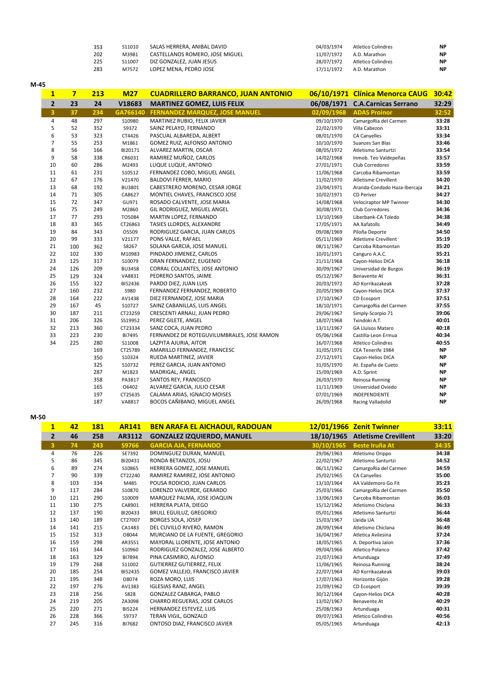| NP.       |
|-----------|
| NP.       |
| <b>NP</b> |
| NP.       |
|           |

**M-45**

| $\overline{1}$ | $\overline{7}$ | 213 | <b>M27</b>    | <b>CUADRILLERO BARRANCO, JUAN ANTONIO</b>  |            | 06/10/1971 Clínica Menorca CAUG | 30:42                             |
|----------------|----------------|-----|---------------|--------------------------------------------|------------|---------------------------------|-----------------------------------|
| $\mathbf{2}$   | 23             | 24  | V18683        | <b>MARTINEZ GOMEZ, LUIS FELIX</b>          |            | 06/08/1971 C.A.Carnicas Serrano | 32:29                             |
| 3              | 37             | 234 | GA766140      | <b>FERNANDEZ MARQUEZ, JOSE MANUEL</b>      | 02/09/1968 | <b>ADAS Proinor</b>             | 32:52                             |
| $\pmb{4}$      | 48             | 297 | S10980        | MARTINEZ RUBIO, FELIX JAVIER               | 09/10/1970 | CamargoRia del Carmen           | 33:28                             |
| 5              | 52             | 352 | S9372         | SAINZ PELAYO, FERNANDO                     | 22/02/1970 | Villa Cabezon                   | 33:31                             |
| 6              | 53             | 323 | CT4426        | PASCUAL ALBAREDA, ALBERT                   | 08/01/1970 | <b>CA Canyelles</b>             | 33:34                             |
| $\overline{7}$ | 55             | 253 | M1861         | GOMEZ RUIZ, ALFONSO ANTONIO                | 10/10/1970 | Suanzes San Blas                | 33:46                             |
| 8              | 56             | 166 | BI20171       | ALVAREZ MARTIN, OSCAR                      | 08/05/1972 | Atletismo Santurtzi             | 33:54                             |
| 9              | 58             | 338 | CR6031        | RAMIREZ MUÑOZ, CARLOS                      | 14/02/1968 | Inmob. Teo Valdepeñas           | 33:57                             |
| 10             | 60             | 286 | M2493         | LUQUE LUQUE, ANTONIO                       | 27/01/1971 | Club Corredores                 | 33:59                             |
| $11\,$         | 61             | 231 | S10512        | FERNANDEZ COBO, MIGUEL ANGEL               | 11/06/1968 | Carcoba Ribamontan              | 33:59                             |
| 12             | 67             | 176 | V21470        | BALDOVI FERRER, MARIO                      | 11/02/1970 | <b>Atletisme Crevillent</b>     | 34:20                             |
| 13             | 68             | 192 | BU3801        | CABESTRERO MORENO, CESAR JORGE             | 23/04/1971 | Aranda-Condado Haza-Ibercaja    | 34:21                             |
| 14             | 71             | 305 | CA8627        | MONTIEL CHAVES, FRANCISCO JOSE             | 10/02/1971 | <b>CD Periver</b>               | 34:27                             |
| 15             | 72             | 347 | GU971         | ROSADO CALVENTE, JOSE MARIA                | 14/08/1968 | Velociraptor MP Twinner         | 34:30                             |
| 16             | 75             | 249 | M2860         | GIL RODRIGUEZ, MIGUEL ANGEL                | 30/08/1971 | Club Corredores                 | 34:36                             |
| 17             | 77             | 293 | TO5084        | MARTIN LOPEZ, FERNANDO                     | 13/10/1969 | Liberbank-CA Toledo             | 34:38                             |
| 18             | 83             | 365 | CT26863       | TASIES LLORDES, ALEXANDRE                  | 17/05/1971 | AA Xafatolls                    | 34:49                             |
| 19             | 84             | 343 | 05509         | RODRIGUEZ GARCIA, JUAN CARLOS              | 09/08/1969 | Piloña Deporte                  | 34:50                             |
| 20             | 99             | 333 | V21177        | PONS VALLE, RAFAEL                         | 05/11/1969 | <b>Atletisme Crevillent</b>     | 35:19                             |
| 21             | 100            | 362 | S8267         | SOLANA GARCIA, JOSE MANUEL                 | 08/11/1967 | Carcoba Ribamontan              | 35:20                             |
| 22             | 102            | 330 | M10983        | PINDADO JIMENEZ, CARLOS                    | 10/01/1971 | Canguro A.A.C.                  | 35:21                             |
| 23             | 125            | 317 | S10079        | ORAN FERNANDEZ, EUGENIO                    | 21/11/1968 | Cayon-Helios DICA               | 36:18                             |
| 24             | 126            | 209 | <b>BU3458</b> | CORRAL COLLANTES, JOSE ANTONIO             | 30/09/1967 | Universidad de Burgos           | 36:19                             |
| 25             | 129            | 324 | VA8831        | PEDRERO SANTOS, JAIME                      | 05/12/1967 | Benavente At                    | 36:31                             |
| 26             | 155            | 322 | BI52436       | PARDO DIEZ, JUAN LUIS                      | 20/03/1972 | AD Korrikazakeak                | 37:28                             |
| 27             | 160            | 232 | S980          | FERNANDEZ FERNANDEZ, ROBERTO               | 20/05/1969 | Cayon-Helios DICA               | 37:37                             |
| 28             | 164            | 222 | AV1438        | DIEZ FERNANDEZ, JOSE MARIA                 | 17/10/1967 | CD Ecosport                     | 37:51                             |
| 29             | 167            | 45  | S10727        | SAINZ CABANILLAS, LUIS ANGEL               | 18/10/1971 | CamargoRia del Carmen           | 37:55                             |
| 30             | 187            | 211 | CT23259       | CRESCENTI ARNAU, JUAN PEDRO                | 29/06/1967 | Simply-Scorpio 71               | 39:06                             |
| 31             | 206            | 326 | SS19952       | PEREZ GILETE, ANGEL                        | 18/07/1968 | Txindoki A.T.                   | 40:01                             |
| 32             | 213            | 360 | CT23334       | SANZ COCA, JUAN PEDRO                      | 13/11/1967 | <b>GA Lluïsos Mataro</b>        | 40:18                             |
| 33             | 223            | 230 | BI7495        | FERNANDEZ DE ROTEGUVILUMBRALES, JOSE RAMON | 05/06/1968 | Castilla-Leon Ermua             | 40:34                             |
| 34             | 225            | 280 | S11008        | LAZPITA AJURIA, AITOR                      | 16/07/1968 | <b>Atletico Colindres</b>       | 40:55                             |
|                |                | 169 | CT25789       | AMARILLO FERNANDEZ, FRANCESC               | 31/05/1971 | CEA Tenerife 1984               | $\ensuremath{\mathsf{NP}}\xspace$ |
|                |                | 350 | S10324        | RUEDA MARTINEZ, JAVIER                     | 27/12/1971 | Cayon-Helios DICA               | <b>NP</b>                         |
|                |                | 325 | S10732        | PEREZ GARCIA, JUAN ANTONIO                 | 31/05/1970 | At. España de Cueto             | <b>NP</b>                         |
|                |                | 287 | M1823         | MADRIGAL, ANGEL                            | 15/09/1969 | A.D. Sprint                     | <b>NP</b>                         |
|                |                | 358 | PA3817        | SANTOS REY, FRANCISCO                      | 26/03/1970 | Reinosa Running                 | <b>NP</b>                         |
|                |                | 165 | 06402         | ALVAREZ GARCIA, JULIO CESAR                | 11/11/1969 | Universidad Oviedo              | <b>NP</b>                         |
|                |                | 197 | CT25635       | CALAMA ARIAS, IGNACIO MOISES               | 07/01/1969 | INDEPENDIENTE                   | <b>NP</b>                         |
|                |                | 187 | VA8817        | BOCOS CAÑIBANO, MIGUEL ANGEL               | 26/09/1968 | Racing Valladolid               | <b>NP</b>                         |
| $M-50$         |                |     |               |                                            |            |                                 |                                   |
| $\blacksquare$ | $\overline{A}$ | 101 | <b>AD141</b>  | <b>DENI ADAEA EI AICHAOIH DADOIIANI</b>    |            | $12/01/1066$ Zonit Twinner      | 22.11                             |

| 1              | 42  | <b>181</b> | <b>AR141</b> | <b>BEN ARAFA EL AICHAOUI, RADOUAN</b> |            | 12/01/1966 Zenit Twinner    | 33:11 |
|----------------|-----|------------|--------------|---------------------------------------|------------|-----------------------------|-------|
| $\overline{2}$ | 46  | 258        | AR3112       | <b>GONZALEZ IZQUIERDO, MANUEL</b>     | 18/10/1965 | <b>Atletisme Crevillent</b> | 33:20 |
| 3              | 74  | 243        | S9766        | <b>GARCIA AJA, FERNANDO</b>           | 30/10/1965 | <b>Beste Iruña At</b>       | 34:35 |
| 4              | 76  | 226        | SE7392       | DOMINGUEZ DURAN, MANUEL               | 29/06/1963 | Atletismo Orippo            | 34:38 |
| 5              | 86  | 345        | BI20431      | RONDA BETANZOS, JOSU                  | 22/02/1967 | Atletismo Santurtzi         | 34:52 |
| 6              | 89  | 274        | S10865       | HERRERA GOMEZ, JOSE MANUEL            | 06/11/1962 | CamargoRia del Carmen       | 34:59 |
| $\overline{7}$ | 90  | 339        | CT22240      | RAMIREZ RAMIREZ, JOSE ANTONIO         | 25/02/1965 | <b>CA Canyelles</b>         | 35:00 |
| 8              | 103 | 334        | M485         | POUSA RODICIO, JUAN CARLOS            | 13/10/1964 | AA Valdemoro Go Fit         | 35:23 |
| 9              | 117 | 284        | S10870       | LORENZO VALVERDE, GERARDO             | 25/03/1966 | CamargoRia del Carmen       | 35:50 |
| 10             | 121 | 290        | S10009       | MARQUEZ PALMA, JOSE JOAQUIN           | 13/06/1963 | Carcoba Ribamontan          | 36:03 |
| 11             | 130 | 275        | CA8901       | HERRERA PLATA, DIEGO                  | 15/12/1962 | Atletismo Chiclana          | 36:33 |
| 12             | 137 | 190        | BI20433      | <b>BRULL EGUILUZ, GREGORIO</b>        | 05/01/1966 | Atletismo Santurtzi         | 36:44 |
| 13             | 140 | 189        | CT27007      | <b>BORGES SOLA, JOSEP</b>             | 15/03/1967 | Lleida UA                   | 36:48 |
| 14             | 141 | 215        | CA1483       | DEL CUVILLO RIVERO, RAMON             | 28/09/1964 | Atletismo Chiclana          | 36:49 |
| 15             | 152 | 313        | O8044        | MURCIANO DE LA FUENTE, GREGORIO       | 16/04/1967 | Atletica Avilesina          | 37:24 |
| 16             | 159 | 298        | AR3551       | MAYORAL LLORENTE, JOSE ANTONIO        | 18/05/1965 | A. Deportiva Jalon          | 37:36 |
| 17             | 161 | 344        | S10960       | RODRIGUEZ GONZALEZ, JOSE ALBERTO      | 09/04/1966 | Atletico Polanco            | 37:42 |
| 18             | 163 | 329        | BI7894       | PINA CASIMIRO, ALFONSO                | 21/07/1963 | Artunduaga                  | 37:49 |
| 19             | 179 | 268        | S11002       | GUTIERREZ GUTIERREZ, FELIX            | 11/06/1965 | Reinosa Running             | 38:24 |
| 20             | 185 | 254        | BI52435      | GOMEZ VALLEJO, FRANCISCO JAVIER       | 22/07/1964 | AD Korrikazakeak            | 39:03 |
| 21             | 195 | 348        | O8074        | ROZA MORO, LUIS                       | 17/07/1963 | Horizonte Gijón             | 39:28 |
| 22             | 197 | 276        | AV1383       | <b>IGLESIAS RANZ, ANGEL</b>           | 21/09/1962 | CD Ecosport                 | 39:39 |
| 23             | 218 | 256        | <b>S828</b>  | GONZALEZ CABARGA, PABLO               | 30/12/1964 | Cayon-Helios DICA           | 40:28 |
| 24             | 219 | 205        | ZA3098       | CHARRO REGUERAS, JOSE CARLOS          | 13/02/1967 | Benavente At                | 40:29 |
| 25             | 220 | 271        | BI5224       | HERNANDEZ ESTEVEZ, LUIS               | 25/08/1963 | Artunduaga                  | 40:31 |
| 26             | 228 | 366        | S9737        | TERAN VIGIL, GONZALO                  | 09/07/1963 | <b>Atletico Colindres</b>   | 40:56 |
| 27             | 245 | 316        | BI7682       | ONTOSO DIAZ, FRANCISCO JAVIER         | 05/05/1965 | Artunduaga                  | 42:13 |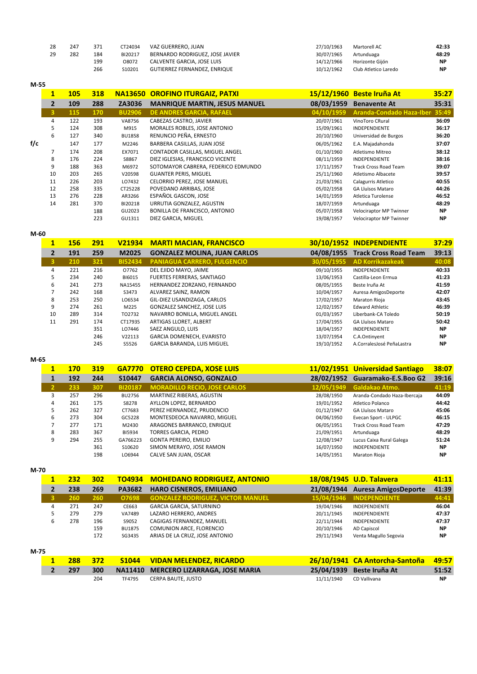| 28 | 247 | 371 | CT24034 | VAZ GUERRERO. JUAN              | 27/10/1963 | Martorell AC         | 42:33     |
|----|-----|-----|---------|---------------------------------|------------|----------------------|-----------|
| 29 | 282 | 184 | BI20217 | BERNARDO RODRIGUEZ. JOSE JAVIER | 30/07/1965 | Artunduaga           | 48:29     |
|    |     | 199 | 08072   | CALVENTE GARCIA, JOSE LUIS      | 14/12/1966 | Horizonte Giión      | <b>NP</b> |
|    |     | 266 | S10201  | GUTIERREZ FERNANDEZ. ENRIQUE    | 10/12/1962 | Club Atletico Laredo | <b>NP</b> |

**M-55**

|     | $\mathbf{1}$   | 105 | 318 |               | <b>NA13650 OROFINO ITURGAIZ, PATXI</b> |            | 15/12/1960 Beste Iruña At      | 35:27     |
|-----|----------------|-----|-----|---------------|----------------------------------------|------------|--------------------------------|-----------|
|     | $\overline{2}$ | 109 | 288 | ZA3036        | <b>MANRIQUE MARTIN, JESUS MANUEL</b>   | 08/03/1959 | <b>Benavente At</b>            | 35:31     |
|     | $\overline{3}$ | 115 | 170 | <b>BU2906</b> | DE ANDRES GARCIA, RAFAEL               | 04/10/1959 | Aranda-Condado Haza-Iber 35:49 |           |
|     | 4              | 122 | 193 | VA8756        | CABEZAS CASTRO, JAVIER                 | 20/07/1961 | VinoToro CRural                | 36:09     |
|     | 5              | 124 | 308 | M915          | MORALES ROBLES, JOSE ANTONIO           | 15/09/1961 | <b>INDEPENDIENTE</b>           | 36:17     |
|     | 6              | 127 | 340 | <b>BU1858</b> | RENUNCIO PEÑA, ERNESTO                 | 20/10/1960 | Universidad de Burgos          | 36:20     |
| f/c |                | 147 | 177 | M2246         | BARBERA CASILLAS, JUAN JOSE            | 06/05/1962 | E.A. Majadahonda               | 37:07     |
|     | 7              | 174 | 208 | EX7071        | CONTADOR CASILLAS, MIGUEL ANGEL        | 01/10/1960 | Atletismo Mitreo               | 38:12     |
|     | 8              | 176 | 224 | S8867         | DIEZ IGLESIAS, FRANCISCO VICENTE       | 08/11/1959 | <b>INDEPENDIENTE</b>           | 38:16     |
|     | 9              | 188 | 363 | M6972         | SOTOMAYOR CABRERA, FEDERICO EDMUNDO    | 17/11/1957 | <b>Track Cross Road Team</b>   | 39:07     |
|     | 10             | 203 | 265 | V20598        | <b>GUANTER PERIS, MIGUEL</b>           | 25/11/1960 | Atletismo Albacete             | 39:57     |
|     | 11             | 226 | 203 | LO7432        | CELORRIO PEREZ, JOSE MANUEL            | 21/03/1961 | Calagurris Atletico            | 40:55     |
|     | 12             | 258 | 335 | CT25228       | POVEDANO ARRIBAS, JOSE                 | 05/02/1958 | <b>GA Lluïsos Mataro</b>       | 44:26     |
|     | 13             | 276 | 228 | AR3266        | ESPAÑOL GASCON, JOSE                   | 14/01/1959 | Atletica Turolense             | 46:52     |
|     | 14             | 281 | 370 | BI20218       | URRUTIA GONZALEZ, AGUSTIN              | 18/07/1959 | Artunduaga                     | 48:29     |
|     |                |     | 188 | GU2023        | BONILLA DE FRANCISCO, ANTONIO          | 05/07/1958 | Velociraptor MP Twinner        | <b>NP</b> |
|     |                |     | 223 | GU1311        | DIEZ GARCIA, MIGUEL                    | 19/08/1957 | Velociraptor MP Twinner        | <b>NP</b> |
|     |                |     |     |               |                                        |            |                                |           |

#### **M-60**

|                | 156 | 291 | V21934         | <b>MARTI MACIAN. FRANCISCO</b>      |            | 30/10/1952 INDEPENDIENTE     | 37:29     |
|----------------|-----|-----|----------------|-------------------------------------|------------|------------------------------|-----------|
| $\overline{2}$ | 191 | 259 | M2025          | <b>GONZALEZ MOLINA, JUAN CARLOS</b> | 04/08/1955 | <b>Track Cross Road Team</b> | 39:13     |
| 3              | 210 | 321 | <b>BI52434</b> | <b>PANIAGUA CARRERO, FULGENCIO</b>  | 30/05/1955 | <b>AD Korrikazakeak</b>      | 40:08     |
| 4              | 221 | 216 | 07762          | DEL EJIDO MAYO, JAIME               | 09/10/1955 | <b>INDEPENDIENTE</b>         | 40:33     |
|                | 234 | 240 | BI6015         | FUERTES FERRERAS, SANTIAGO          | 13/06/1953 | Castilla-Leon Ermua          | 41:23     |
| 6              | 241 | 273 | NA15455        | HERNANDEZ ZORZANO, FERNANDO         | 08/05/1955 | Beste Iruña At               | 41:59     |
|                | 242 | 168 | S3473          | ALVAREZ SAINZ, RAMON                | 10/04/1957 | Auresa AmigosDeporte         | 42:07     |
| 8              | 253 | 250 | LO6534         | GIL-DIEZ USANDIZAGA. CARLOS         | 17/02/1957 | <b>Maraton Rioja</b>         | 43:45     |
| 9              | 274 | 261 | M225           | <b>GONZALEZ SANCHEZ. JOSE LUIS</b>  | 12/02/1957 | <b>Edward Athletic</b>       | 46:39     |
| 10             | 289 | 314 | TO2732         | NAVARRO BONILLA, MIGUEL ANGEL       | 01/03/1957 | Liberbank-CA Toledo          | 50:19     |
| 11             | 291 | 174 | CT17935        | ARTIGAS LLORET. ALBERT              | 17/04/1955 | <b>GA Lluïsos Mataro</b>     | 50:42     |
|                |     | 351 | LO7446         | SAEZ ANGULO, LUIS                   | 18/04/1957 | <b>INDEPENDIENTE</b>         | <b>NP</b> |
|                |     | 246 | V22113         | GARCIA DOMENECH, EVARISTO           | 13/07/1954 | C.A.Ontinyent                | <b>NP</b> |
|                |     | 245 | S5526          | <b>GARCIA BARANDA. LUIS MIGUEL</b>  | 19/10/1952 | A.CorralesJosé PeñaLastra    | <b>NP</b> |

#### **M-65**

| 1 | <b>170</b> | 319 | <b>GA7770</b>  | <b>OTERO CEPEDA, XOSE LUIS</b>      |            | 11/02/1951 Universidad Santiago | 38:07     |
|---|------------|-----|----------------|-------------------------------------|------------|---------------------------------|-----------|
|   | 192        | 244 | S10447         | <b>GARCIA ALONSO, GONZALO</b>       | 28/02/1952 | Guaramako-E.S.Boo G2            | 39:16     |
|   | 233        | 307 | <b>BI20187</b> | <b>MORADILLO RECIO, JOSE CARLOS</b> | 12/05/1949 | Galdakao Atmo.                  | 41:19     |
|   | 257        | 296 | <b>BU2756</b>  | MARTINEZ RIBERAS, AGUSTIN           | 28/08/1950 | Aranda-Condado Haza-Ibercaia    | 44:09     |
| 4 | 261        | 175 | S8278          | AYLLON LOPEZ, BERNARDO              | 19/01/1952 | Atletico Polanco                | 44:42     |
|   | 262        | 327 | CT7683         | PEREZ HERNANDEZ, PRUDENCIO          | 01/12/1947 | <b>GA Lluïsos Mataro</b>        | 45:06     |
| 6 | 273        | 304 | GC5228         | MONTESDEOCA NAVARRO, MIGUEL         | 04/06/1950 | Evecan Sport - ULPGC            | 46:15     |
|   | 277        | 171 | M2430          | ARAGONES BARRANCO, ENRIQUE          | 06/05/1951 | <b>Track Cross Road Team</b>    | 47:29     |
| 8 | 283        | 367 | BI5934         | TORRES GARCIA, PEDRO                | 21/09/1951 | Artunduaga                      | 48:29     |
| 9 | 294        | 255 | GA766223       | <b>GONTA PEREIRO, EMILIO</b>        | 12/08/1947 | Lucus Caixa Rural Galega        | 51:24     |
|   |            | 361 | S10620         | SIMON MERAYO, JOSE RAMON            | 16/07/1950 | <b>INDEPENDIENTE</b>            | <b>NP</b> |
|   |            | 198 | LO6944         | CALVE SAN JUAN, OSCAR               | 14/05/1951 | <b>Maraton Rioia</b>            | <b>NP</b> |

**M-70**

|   | 232 | 302 | <b>TO4934</b> | <b>MOHEDANO RODRIGUEZ, ANTONIO</b>       |            | 18/08/1945 U.D. Talavera        | 41:11     |
|---|-----|-----|---------------|------------------------------------------|------------|---------------------------------|-----------|
|   | 238 | 269 | <b>PA3682</b> | <b>HARO CISNEROS, EMILIANO</b>           |            | 21/08/1944 Auresa AmigosDeporte | 41:39     |
|   | 260 | 260 | 07698         | <b>GONZALEZ RODRIGUEZ, VICTOR MANUEL</b> | 15/04/1946 | <b>INDEPENDIENTE</b>            | 44:41     |
| 4 | 271 | 247 | CE663         | <b>GARCIA GARCIA, SATURNINO</b>          | 19/04/1946 | <b>INDEPENDIENTE</b>            | 46:04     |
|   | 279 | 279 | VA7489        | LAZARO HERRERO, ANDRES                   | 20/11/1945 | <b>INDEPENDIENTE</b>            | 47:37     |
| 6 | 278 | 196 | S9052         | CAGIGAS FERNANDEZ, MANUEL                | 22/11/1944 | INDEPENDIENTE                   | 47:37     |
|   |     | 159 | <b>BU1875</b> | COMUNION ARCE, FLORENCIO                 | 20/10/1946 | AD Capiscol                     | <b>NP</b> |
|   |     | 172 | SG3435        | ARIAS DE LA CRUZ, JOSE ANTONIO           | 29/11/1943 | Venta Magullo Segovia           | <b>NP</b> |
|   |     |     |               |                                          |            |                                 |           |

# **M-75**

|  |       | $1 \t288 \t372$ | S1044 VIDAN MELENDEZ, RICARDO         |                         | 26/10/1941 CA Antorcha-Santoña 49:57 |           |
|--|-------|-----------------|---------------------------------------|-------------------------|--------------------------------------|-----------|
|  | 2 297 | <b>300</b>      | NA11410 MERCERO LIZARRAGA, JOSE MARIA |                         | 25/04/1939 Beste Iruña At            | 51:52     |
|  |       | 204             | TF4795 CERPA BAUTE. JUSTO             | 11/11/1940 CD Vallivana |                                      | <b>NP</b> |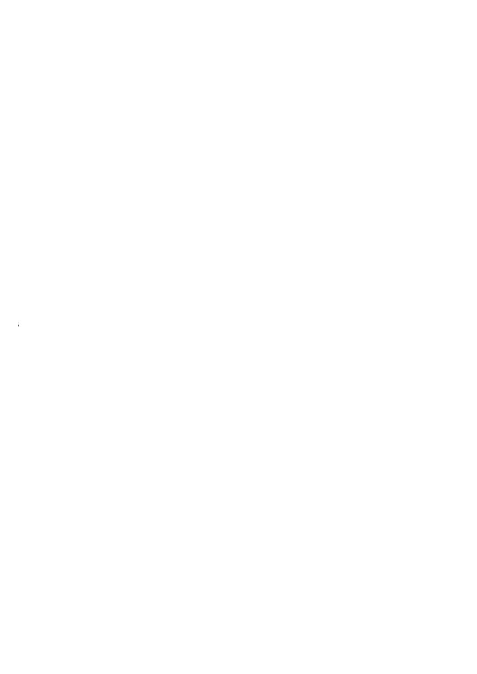**1:08:56**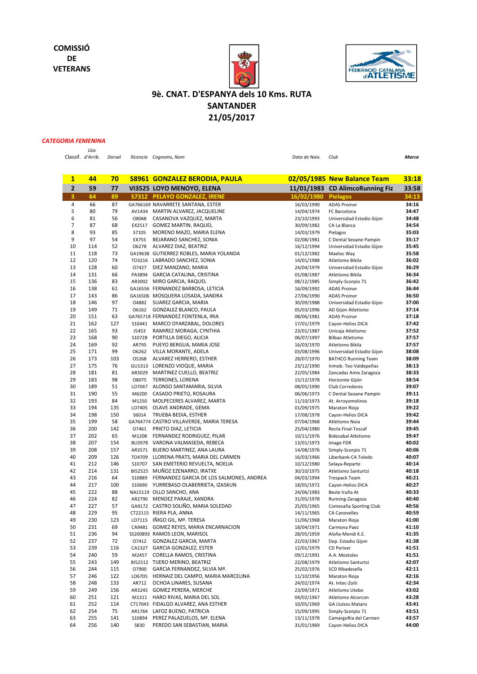**COMISSIÓ DE VETERANS**





#### *CATEGORIA FEMENINA*

|                                | Lloc              |           |             |                                                                        |                          |                                         |                |
|--------------------------------|-------------------|-----------|-------------|------------------------------------------------------------------------|--------------------------|-----------------------------------------|----------------|
|                                | Classif. d'Arrib. | Dorsal    |             | llicencia Cognoms, Nom                                                 | Data de Naix.            | Club                                    | Marca          |
|                                |                   |           |             |                                                                        |                          |                                         |                |
|                                | 44                |           |             |                                                                        |                          |                                         | 33:18          |
| $\mathbf{1}$<br>$\overline{2}$ | 59                | 70        |             | S8961 GONZALEZ BERODIA, PAULA                                          |                          | 02/05/1985 New Balance Team             |                |
|                                |                   | 77        |             | VI3525 LOYO MENOYO, ELENA                                              |                          | 11/01/1983 CD AlimcoRunning Fiz         | 33:58          |
| 3                              | 64                | 89        |             | <b>S7312 PELAYO GONZALEZ, IRENE</b>                                    | 16/02/1980               | <b>Pielagos</b>                         | 34:13          |
| 4<br>5                         | 66<br>80          | 87<br>79  |             | GA766169 NAVARRETE SANTANA, ESTER<br>AV1434 MARTIN ALVAREZ, JACQUELINE | 16/03/1990<br>14/04/1974 | <b>ADAS Proinor</b><br>FC Barcelona     | 34:16<br>34:47 |
| 6                              | 81                | 56        | 08068       | CASANOVA VAZQUEZ, MARTA                                                | 23/10/1993               | Universidad Estadio Gijon               | 34:48          |
| 7                              | 87                | 68        |             | EX2517 GOMEZ MARTIN, RAQUEL                                            | 30/09/1982               | CA La Blanca                            | 34:54          |
| 8                              | 93                | 85        | S7105       | MORENO MAZO, MARIA ELENA                                               | 14/03/1979               | Pielagos                                | 35:03          |
| 9                              | 97                | 54        | EX755       | BEJARANO SANCHEZ, SONIA                                                | 02/08/1981               | C Dental Seoane Pampín                  | 35:17          |
| 10                             | 114               | 52        | 06278       | ALVAREZ DIAZ, BEATRIZ                                                  | 16/12/1994               | Universidad Estadio Gijon               | 35:45          |
| 11                             | 118               | 73        |             | GA19638 GUTIERREZ ROBLES, MARIA YOLANDA                                | 01/12/1982               | Maeloc Way                              | 35:58          |
| 12                             | 120               | 74        |             | TO3216 LABRADO SANCHEZ, SONIA                                          | 14/01/1988               | Atletismo Bikila                        | 36:02          |
| 13                             | 128               | 60        | 07427       | DIEZ MANZANO, MARIA                                                    | 24/04/1979               | Universidad Estadio Gijon               | 36:29          |
| 14                             | 131               | 66        |             | PA3894 GARCIA CATALINA, CRISTINA                                       | 01/08/1987               | Atletismo Bikila                        | 36:34          |
| 15                             | 136               | 83        |             | AR3002 MIRO GARCIA, RAQUEL                                             | 08/12/1985               | Simply-Scorpio 71                       | 36:42          |
| 16                             | 138               | 61        |             | GA16556 FERNANDEZ BARBOSA, LETICIA                                     | 16/09/1992               | <b>ADAS Proinor</b>                     | 36:44          |
| 17                             | 143               | 86        |             | GA16506 MOSQUERA LOSADA, SANDRA                                        | 27/06/1990               | <b>ADAS Proinor</b>                     | 36:50          |
| 18                             | 146               | 97        | 04882       | SUAREZ GARCIA, MARIA                                                   | 30/09/1988               | Universidad Estadio Gijon               | 37:00          |
| 19                             | 149               | 71        | 06162       | <b>GONZALEZ BLANCO, PAULA</b>                                          | 05/03/1996               | AD Gijon Atletismo                      | 37:14          |
| 20                             | 151               | 63        |             | GA765718 FERNANDEZ FONTENLA, IRIA                                      | 08/06/1981               | <b>ADAS Proinor</b>                     | 37:18          |
| 21<br>22                       | 162<br>165        | 127<br>93 | J5453       | S10441 MARCO OYARZABAL, DOLORES<br>RAMIREZ MORAGA, CYNTHIA             | 17/01/1979               | Cayon-Helios DICA<br>Unicaja Atletismo  | 37:42<br>37:52 |
| 23                             | 168               | 90        | S10728      | PORTILLA DIEGO, ALICIA                                                 | 23/01/1987<br>06/07/1997 | Bilbao Atletismo                        | 37:57          |
| 24                             | 169               | 92        | AR795       | PUEYO BERGUA, MARIA JOSE                                               | 16/03/1970               | Atletismo Bikila                        | 37:57          |
| 25                             | 171               | 99        | 06262       | VILLA MORANTE, ADELA                                                   | 03/08/1996               | Universidad Estadio Gijon               | 38:08          |
| 26                             | 173               | 103       | 05268       | ALVAREZ HERRERO, ESTHER                                                | 28/07/1970               | <b>BATHCO Running Team</b>              | 38:09          |
| 27                             | 175               | 76        |             | GU1313 LORENZO VIOQUE, MARIA                                           | 23/12/1990               | Inmob. Teo Valdepeñas                   | 38:13          |
| 28                             | 181               | 81        | AR3029      | MARTINEZ CUELLO, BEATRIZ                                               | 22/05/1984               | Zancadas Amix Zaragoza                  | 38:33          |
| 29                             | 183               | 98        | 08075       | TERRONES, LORENA                                                       | 15/12/1978               | Horizonte Gijón                         | 38:54          |
| 30                             | 189               | 51        |             | LO7047 ALONSO SANTAMARIA, SILVIA                                       | 08/05/1990               | Club Corredores                         | 39:07          |
| 31                             | 190               | 55        | M6200       | CASADO PRIETO, ROSAURA                                                 | 06/06/1973               | C Dental Seoane Pampín                  | 39:11          |
| 32                             | 193               | 84        | M1250       | MOLPECERES ALVAREZ, MARTA                                              | 11/10/1973               | At. Arroyomolinos                       | 39:18          |
| 33                             | 194               | 135       | LO7405      | OLAVE ANDRADE, GEMA                                                    | 01/09/1975               | Maraton Rioja                           | 39:22          |
| 34                             | 198               | 150       | S6014       | TRUEBA BEDIA, ESTHER                                                   | 17/08/1978               | Cayon-Helios DICA                       | 39:42          |
| 35                             | 199               | 58        |             | GA764774 CASTRO VILLAVERDE, MARIA TERESA                               | 07/04/1968               | Atletismo Noia                          | 39:44          |
| 36                             | 200               | 142       | 07461       | PRIETO DIAZ, LETICIA                                                   | 25/04/1980               | Recta Final-Toscaf                      | 39:45          |
| 37                             | 202<br>207        | 65<br>154 | M1208       | FERNANDEZ RODRIGUEZ, PILAR                                             | 10/11/1976               | <b>Bidezabal Atletismo</b>              | 39:47          |
| 38<br>39                       | 208               | 157       |             | BU3978 VARONA VALMASEDA, REBECA<br>AR3571 BUERO MARTINEZ, ANA LAURA    | 13/01/1973<br>14/08/1976 | Image FDR<br>Simply-Scorpio 71          | 40:02<br>40:06 |
| 40                             | 209               | 126       |             | TO4709 LLORENA PRATS, MARIA DEL CARMEN                                 | 16/03/1966               | Liberbank-CA Toledo                     | 40:07          |
| 41                             | 212               | 146       | S10707      | SAN EMETERIO REVUELTA, NOELIA                                          | 10/12/1980               | Selaya-Reparte                          | 40:14          |
| 42                             | 214               | 131       |             | BI52525 MUÑOZ EZENARRO, IRATXE                                         | 30/10/1975               | Atletismo Santurtzi                     | 40:18          |
| 43                             | 216               | 64        | S10889      | FERNANDEZ GARCIA DE LOS SALMONES, ANDREA                               | 04/03/1994               | <b>Trespack Team</b>                    | 40:21          |
| 44                             | 217               | 100       | S10690      | YURREBASO OLABERRIETA, IZASKUN                                         | 18/05/1972               | Cayon-Helios DICA                       | 40:27          |
| 45                             | 222               | 88        |             | NA15119 OLLO SANCHO, ANA                                               | 24/06/1983               | Beste Iruña At                          | 40:33          |
| 46                             | 224               | 82        |             | AR2790 MENDEZ PARAJE, XANDRA                                           | 31/05/1978               | Running-Zaragoza                        | 40:40          |
| 47                             | 227               | 57        |             | GA9172 CASTRO SOLIÑO, MARIA SOLEDAD                                    | 25/05/1965               | Comesaña Sporting Club                  | 40:56          |
| 48                             | 229               | 95        |             | CT22115 RIERA PLA, ANNA                                                | 14/11/1965               | CA Canovelles                           | 40:59          |
| 49                             | 230               | 123       |             | LO7115 IÑIGO GIL, Mª. TERESA                                           | 11/06/1968               | Maraton Rioja                           | 41:00          |
| 50                             | 231               | 69        |             | CA9481 GOMEZ REYES, MARIA ENCARNACION                                  | 18/04/1971               | Carmona Paez                            | 41:10          |
| 51<br>52                       | 236<br>237        | 94<br>72  |             | SS200893 RAMOS LEON, MARISOL                                           | 28/05/1959<br>22/03/1967 | Aloña-Mendi K.E.                        | 41:35          |
| 53                             | 239               | 116       |             | 07412 GONZALEZ GARCIA, MARTA<br>CA1327 GARCIA GONZALEZ, ESTER          | 12/01/1979               | Dep. Estadio Gijon<br><b>CD Periver</b> | 41:38<br>41:51 |
| 54                             | 240               | 59        | M2457       | CORELLA RAMOS, CRISTINA                                                | 09/12/1991               | A.A. Mostoles                           | 41:51          |
| 55                             | 243               | 149       |             | BI52512 TIJERO MERINO, BEATRIZ                                         | 22/08/1979               | Atletismo Santurtzi                     | 42:07          |
| 56                             | 244               | 115       | 07900       | GARCIA FERNANDEZ, SILVIA Mª.                                           | 25/02/1976               | SCD Ribadesella                         | 42:11          |
| 57                             | 246               | 122       | LO6705      | HERNAIZ DEL CAMPO, MARIA MARCELINA                                     | 11/10/1956               | Maraton Rioja                           | 42:16          |
| 58                             | 248               | 133       | AR712       | OCHOA LINARES, SUSANA                                                  | 24/02/1974               | At. Intec-Zoiti                         | 42:34          |
| 59                             | 249               | 156       |             | AR3245 GOMEZ PERERA, MERCHE                                            | 23/09/1971               | Atletismo Utebo                         | 43:02          |
| 60                             | 251               | 121       | M1311       | HARO RIVAS, MARIA DEL SOL                                              | 04/02/1967               | Atletismo Alcorcon                      | 43:28          |
| 61                             | 252               | 114       |             | CT17043 FIDALGO ALVAREZ, ANA ESTHER                                    | 10/05/1969               | GA Lluïsos Mataro                       | 43:41          |
| 62                             | 254               | 75        | AR1764      | LAFOZ BUENO, PATRICIA                                                  | 15/09/1995               | Simply-Scorpio 71                       | 43:51          |
| 63                             | 255               | 141       | S10894      | PEREZ PALAZUELOS, Mª. ELENA                                            | 13/11/1978               | CamargoRia del Carmen                   | 43:57          |
| 64                             | 256               | 140       | <b>S830</b> | PEREDO SAN SEBASTIAN, MARIA                                            | 31/01/1969               | Cayon-Helios DICA                       | 44:00          |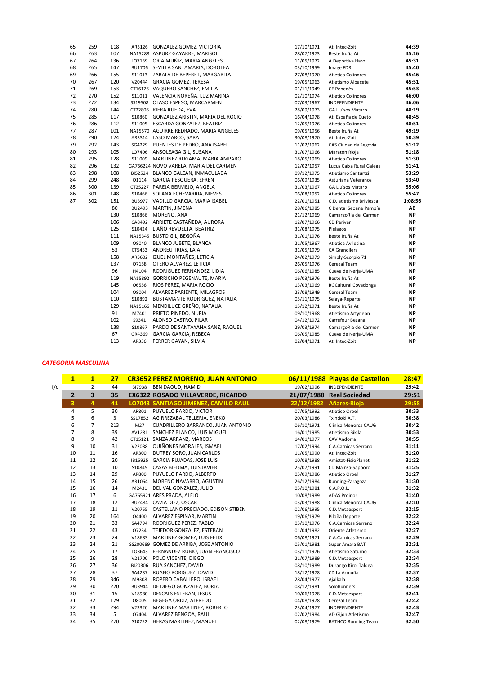| 65 | 259 | 118 |        | AR3126 GONZALEZ GOMEZ, VICTORIA          | 17/10/1971 | At. Intec-Zoiti           | 44:39     |
|----|-----|-----|--------|------------------------------------------|------------|---------------------------|-----------|
| 66 | 263 | 107 |        | NA15288 ASPURZ GAYARRE, MARISOL          | 28/07/1973 | Beste Iruña At            | 45:16     |
| 67 | 264 | 136 |        | LO7139 ORIA MUÑIZ, MARIA ANGELES         | 11/05/1972 | A.Deportiva Haro          | 45:31     |
| 68 | 265 | 147 |        | BU1706 SEVILLA SANTAMARIA, DOROTEA       | 03/10/1959 | Image FDR                 | 45:40     |
| 69 | 266 | 155 |        | S11013 ZABALA DE BEPERET, MARGARITA      | 27/08/1970 | <b>Atletico Colindres</b> | 45:46     |
| 70 | 267 | 120 |        | V20444 GRACIA GOMEZ, TERESA              | 19/05/1963 | Atletismo Albacete        | 45:51     |
| 71 | 269 | 153 |        | CT16176 VAQUERO SANCHEZ, EMILIA          | 01/11/1949 | CE Penedès                | 45:53     |
| 72 | 270 | 152 |        | S11011 VALENCIA NOREÑA, LUZ MARINA       | 02/10/1974 | <b>Atletico Colindres</b> | 46:00     |
| 73 | 272 | 134 |        | SS19508 OLASO ESPESO, MARCARMEN          | 07/03/1967 | INDEPENDIENTE             | 46:06     |
| 74 | 280 | 144 |        | CT22806 RIERA RUEDA, EVA                 | 28/09/1973 | GA Lluïsos Mataro         | 48:19     |
| 75 | 285 | 117 |        | S10860 GONZALEZ ARISTIN, MARIA DEL ROCIO | 16/04/1978 | At. España de Cueto       | 48:45     |
| 76 | 286 | 112 |        | S11005 ESCARDA GONZALEZ, BEATRIZ         | 12/05/1976 | <b>Atletico Colindres</b> | 48:51     |
| 77 | 287 | 101 |        | NA15570 AGUIRRE REDRADO, MARIA ANGELES   | 09/05/1956 | Beste Iruña At            | 49:19     |
| 78 | 290 | 124 |        | AR3314 LASO MARCO, SARA                  | 30/08/1970 | At. Intec-Zoiti           | 50:39     |
| 79 | 292 | 143 |        | SG4229 PUENTES DE PEDRO, ANA ISABEL      | 11/02/1962 | CAS Ciudad de Segovia     | 51:12     |
| 80 | 293 | 105 |        | LO7406 ANSOLEAGA GIL, SUSANA             | 31/07/1966 | Maraton Rioja             | 51:18     |
| 81 | 295 | 128 | S11009 | MARTINEZ RUGAMA, MARIA AMPARO            | 18/05/1969 | <b>Atletico Colindres</b> | 51:30     |
| 82 | 296 | 132 |        | GA766224 NOVO VARELA, MARIA DEL CARMEN   | 12/02/1957 | Lucus Caixa Rural Galega  | 51:41     |
| 83 | 298 | 108 |        | BI52524 BLANCO GALEAN, INMACULADA        | 09/12/1975 | Atletismo Santurtzi       | 53:29     |
| 84 | 299 | 248 |        | 01114 GARCIA PESQUERA, EFREN             | 06/09/1935 | Asturiana Veteranos       | 53:40     |
| 85 | 300 | 139 |        | CT25227 PAREJA BERMEJO, ANGELA           | 31/03/1967 | <b>GA Lluïsos Mataro</b>  | 55:06     |
| 86 | 301 | 148 |        | S10466 SOLANA ECHEVARRIA, NIEVES         | 06/08/1952 | <b>Atletico Colindres</b> | 55:47     |
| 87 | 302 | 151 |        | BU3977 VADILLO GARCIA, MARIA ISABEL      | 22/01/1951 | C.D. atletismo Briviesca  | 1:08:56   |
|    |     | 80  |        | BU2493 MARTIN, JIMENA                    | 28/06/1985 | C Dental Seoane Pampín    | AB        |
|    |     | 130 |        | S10866 MORENO, ANA                       | 21/12/1969 | CamargoRia del Carmen     | ΝP        |
|    |     | 106 |        | CA8492 ARRIETE CASTAÑEDA, AURORA         | 12/07/1966 | <b>CD Periver</b>         | <b>NP</b> |
|    |     | 125 |        | S10424 LIAÑO REVUELTA, BEATRIZ           | 31/08/1975 | Pielagos                  | ΝP        |
|    |     | 111 |        | NA15345 BUSTO GIL, BEGOÑA                | 31/01/1976 | Beste Iruña At            | <b>NP</b> |
|    |     | 109 | O8040  | <b>BLANCO JUBETE, BLANCA</b>             | 21/05/1967 | Atletica Avilesina        | ΝP        |
|    |     | 53  |        | CT5453 ANDREU TRIAS, LAIA                | 31/05/1979 | <b>CA Granollers</b>      | <b>NP</b> |
|    |     | 158 |        | AR3602 IZUEL MONTAÑES, LETICIA           | 24/02/1979 | Simply-Scorpio 71         | ΝP        |
|    |     | 137 | 07158  | OTERO ALVAREZ, LETICIA                   | 26/05/1976 | Cerezal Team              | <b>NP</b> |
|    |     | 96  | H4104  | RODRIGUEZ FERNANDEZ, LIDIA               | 06/06/1985 | Cueva de Nerja-UMA        | ΝP        |
|    |     | 119 |        | NA15892 GORRICHO PEGENAUTE, MARIA        | 16/03/1976 | Beste Iruña At            | ΝP        |
|    |     | 145 | 06556  | RIOS PEREZ, MARIA ROCIO                  | 13/03/1969 | RGCultural Covadonga      | ΝP        |
|    |     | 104 | O8004  | ALVAREZ PARIENTE, MILAGROS               | 23/08/1949 | Cerezal Team              | ΝP        |
|    |     | 110 |        | S10892 BUSTAMANTE RODRIGUEZ, NATALIA     | 05/11/1975 | Selaya-Reparte            | ΝP        |
|    |     | 129 |        | NA15166 MENDILUCE GREÑO, NATALIA         | 15/12/1971 | Beste Iruña At            | ΝP        |
|    |     | 91  |        | M7401 PRIETO PINEDO, NURIA               | 09/10/1968 | Atletismo Artyneon        | ΝP        |
|    |     | 102 | S9341  | ALONSO CASTRO, PILAR                     | 04/12/1972 | Carrefour Bezana          | ΝP        |
|    |     | 138 |        | S10867 PARDO DE SANTAYANA SANZ, RAQUEL   | 29/03/1974 | CamargoRia del Carmen     | ΝP        |
|    |     | 67  |        | GR4369 GARCIA GARCIA, REBECA             | 06/05/1985 | Cueva de Nerja-UMA        | ΝP        |
|    |     | 113 | AR336  | FERRER GAYAN, SILVIA                     | 02/04/1971 | At. Intec-Zoiti           | <b>NP</b> |
|    |     |     |        |                                          |            |                           |           |

## *CATEGORIA MASCULINA*

|     | $\mathbf{1}$   | $\mathbf{1}$   | 27  |               | <b>CR3652 PEREZ MORENO, JUAN ANTONIO</b> |            | 06/11/1988 Playas de Castellon | 28:47 |
|-----|----------------|----------------|-----|---------------|------------------------------------------|------------|--------------------------------|-------|
| f/c |                | $\overline{2}$ | 44  |               | BI7938 BEN DAOUD, HAMID                  | 19/02/1996 | <b>INDEPENDIENTE</b>           | 29:42 |
|     | $\overline{2}$ | 3              | 35  |               | <b>EX6322 ROSADO VILLAVERDE, RICARDO</b> | 21/07/1988 | <b>Real Sociedad</b>           | 29:51 |
|     | 3              | 4              | 41  |               | LO7043 SANTIAGO JIMENEZ, CAMILO RAUL     | 22/12/1982 | Añares-Rioja                   | 29:58 |
|     | $\overline{4}$ | 5              | 30  | AR801         | PUYUELO PARDO, VICTOR                    | 07/05/1992 | Atletico Oroel                 | 30:33 |
|     | 5              | 6              | 3   | SS17852       | AGIRREZABAL TELLERIA, ENEKO              | 20/03/1986 | Txindoki A.T.                  | 30:38 |
|     | 6              | 7              | 213 | M27           | CUADRILLERO BARRANCO, JUAN ANTONIO       | 06/10/1971 | Clínica Menorca CAUG           | 30:42 |
|     | $\overline{7}$ | 8              | 39  | AV1281        | SANCHEZ BLANCO, LUIS MIGUEL              | 16/01/1985 | Atletismo Bikila               | 30:53 |
|     | 8              | 9              | 42  |               | CT15121 SANZA ARRANZ, MARCOS             | 14/01/1977 | CAV Andorra                    | 30:55 |
|     | 9              | 10             | 31  | V22088        | QUIÑONES MORALES, ISMAEL                 | 17/02/1994 | C.A.Carnicas Serrano           | 31:11 |
|     | 10             | 11             | 16  | AR300         | DUTREY SORO, JUAN CARLOS                 | 11/05/1990 | At. Intec-Zoiti                | 31:20 |
|     | 11             | 12             | 20  | IB15925       | <b>GARCIA PUJADAS, JOSE LUIS</b>         | 10/08/1988 | Amistat-FisioPlanet            | 31:22 |
|     | 12             | 13             | 10  | S10845        | CASAS BIEDMA, LUIS JAVIER                | 25/07/1991 | CD Mainsa-Sapporo              | 31:25 |
|     | 13             | 14             | 29  | AR800         | PUYUELO PARDO, ALBERTO                   | 05/09/1986 | Atletico Oroel                 | 31:27 |
|     | 14             | 15             | 26  | AR1064        | MORENO NAVARRO, AGUSTIN                  | 26/12/1984 | Running-Zaragoza               | 31:30 |
|     | 15             | 16             | 14  | M2431         | DEL VAL GONZALEZ, JULIO                  | 05/10/1981 | C.A.P.O.L.                     | 31:32 |
|     | 16             | 17             | 6   |               | GA765921 ARES PRADA, ALEJO               | 10/08/1989 | <b>ADAS Proinor</b>            | 31:40 |
|     | 17             | 18             | 12  | <b>BU2484</b> | CAVIA DIEZ, OSCAR                        | 03/03/1988 | Clínica Menorca CAUG           | 32:10 |
|     | 18             | 19             | 11  | V20755        | CASTELLANO PRECIADO, EDISON STIBEN       | 02/06/1995 | C.D.Metaesport                 | 32:15 |
|     | 19             | 20             | 164 | O4400         | ALVAREZ ESPINAR, MARTIN                  | 19/06/1979 | Piloña Deporte                 | 32:22 |
|     | 20             | 21             | 33  | SA4794        | RODRIGUEZ PEREZ, PABLO                   | 05/10/1976 | C.A.Carnicas Serrano           | 32:24 |
|     | 21             | 22             | 43  | 07234         | TEJEDOR GONZALEZ, ESTEBAN                | 01/04/1982 | Oriente Atletismo              | 32:27 |
|     | 22             | 23             | 24  | V18683        | MARTINEZ GOMEZ, LUIS FELIX               | 06/08/1971 | C.A.Carnicas Serrano           | 32:29 |
|     | 23             | 24             | 21  |               | SS200689 GOMEZ DE ARRIBA, JOSE ANTONIO   | 05/01/1981 | Super Amara BAT                | 32:31 |
|     | 24             | 25             | 17  | TO3643        | FERNANDEZ RUBIO, JUAN FRANCISCO          | 03/11/1976 | Atletismo Saturno              | 32:33 |
|     | 25             | 26             | 28  | V21700        | POLO VICENTE, DIEGO                      | 21/07/1989 | C.D.Metaesport                 | 32:34 |
|     | 26             | 27             | 36  | BI20306       | RUA SANCHEZ, DAVID                       | 08/10/1989 | Durango Kirol Taldea           | 32:35 |
|     | 27             | 28             | 37  | SA4287        | RUANO RORIGUEZ, DAVID                    | 18/12/1978 | CD La Armuña                   | 32:37 |
|     | 28             | 29             | 346 | M9308         | ROPERO CABALLERO, ISRAEL                 | 28/04/1977 | Ajalkala                       | 32:38 |
|     | 29             | 30             | 220 | <b>BU3944</b> | DE DIEGO GONZALEZ, BORJA                 | 08/12/1981 | SoloRunners                    | 32:39 |
|     | 30             | 31             | 15  | V18980        | DESCALS ESTEBAN, JESUS                   | 10/06/1978 | C.D.Metaesport                 | 32:41 |
|     | 31             | 32             | 179 | O8005         | BEGEGA ORDIZ, ALFREDO                    | 04/08/1978 | Cerezal Team                   | 32:42 |
|     | 32             | 33             | 294 | V23320        | MARTINEZ MARTINEZ, ROBERTO               | 23/04/1977 | <b>INDEPENDIENTE</b>           | 32:43 |
|     | 33             | 34             | 5   | O7404         | ALVAREZ BENGOA, RAUL                     | 02/02/1984 | AD Gijon Atletismo             | 32:47 |
|     | 34             | 35             | 270 | S10752        | HERAS MARTINEZ, MANUEL                   | 02/08/1979 | <b>BATHCO Running Team</b>     | 32:50 |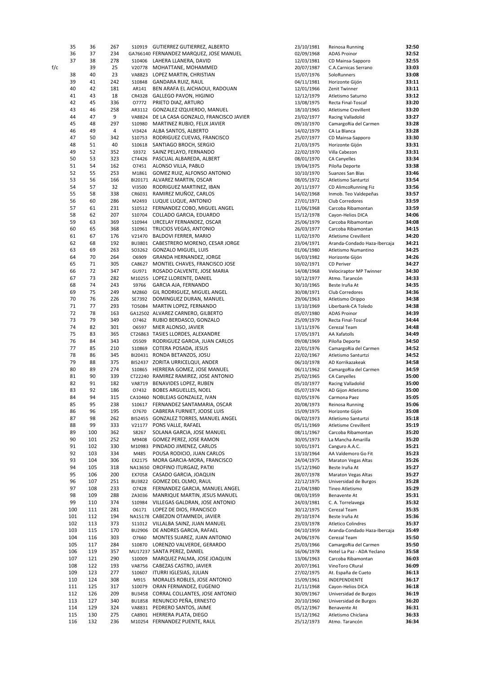|  | × | PU 1<br>۰. |
|--|---|------------|
|  |   |            |

|     | 35  | 36  | 267 |        | S10919 GUTIERREZ GUTIERREZ, ALBERTO         | 23/10/1981 | Reinosa Running              | 32:50 |
|-----|-----|-----|-----|--------|---------------------------------------------|------------|------------------------------|-------|
|     | 36  | 37  | 234 |        | GA766140 FERNANDEZ MARQUEZ, JOSE MANUEL     | 02/09/1968 | <b>ADAS Proinor</b>          | 32:52 |
|     |     |     |     |        |                                             |            |                              |       |
|     | 37  | 38  | 278 |        | S10406 LAHERA LLANERA, DAVID                | 12/03/1981 | CD Mainsa-Sapporo            | 32:55 |
| f/c |     | 39  | 25  |        | V20778 MOHATTANE, MOHAMMED                  | 20/07/1987 | C.A.Carnicas Serrano         | 33:03 |
|     | 38  | 40  | 23  |        | VA8823 LOPEZ MARTIN, CHRISTIAN              | 15/07/1976 | SoloRunners                  | 33:08 |
|     | 39  | 41  | 242 |        | S10848 GANDARA RUIZ, RAUL                   | 04/11/1981 | Horizonte Gijón              | 33:11 |
|     | 40  | 42  | 181 | AR141  | BEN ARAFA EL AICHAOUI, RADOUAN              | 12/01/1966 | Zenit Twinner                | 33:11 |
|     | 41  | 43  | 18  |        |                                             | 12/12/1979 |                              | 33:12 |
|     |     |     |     |        | CR4328 GALLEGO PAVON, HIGINIO               |            | Atletismo Saturno            |       |
|     | 42  | 45  | 336 | 07772  | PRIETO DIAZ, ARTURO                         | 13/08/1975 | Recta Final-Toscaf           | 33:20 |
|     | 43  | 46  | 258 |        | AR3112 GONZALEZ IZQUIERDO, MANUEL           | 18/10/1965 | Atletisme Crevillent         | 33:20 |
|     | 44  | 47  | 9   |        | VA8824 DE LA CASA GONZALO, FRANCISCO JAVIER | 23/02/1977 | Racing Valladolid            | 33:27 |
|     | 45  | 48  | 297 | S10980 | MARTINEZ RUBIO, FELIX JAVIER                | 09/10/1970 | CamargoRia del Carmen        | 33:28 |
|     |     |     |     |        |                                             |            |                              |       |
|     | 46  | 49  | 4   | VI3424 | ALBA SANTOS, ALBERTO                        | 14/02/1979 | CA La Blanca                 | 33:28 |
|     | 47  | 50  | 342 | S10753 | RODRIGUEZ CUEVAS, FRANCISCO                 | 25/07/1977 | CD Mainsa-Sapporo            | 33:30 |
|     | 48  | 51  | 40  | S10618 | SANTIAGO BROCH, SERGIO                      | 21/03/1975 | Horizonte Gijón              | 33:31 |
|     | 49  | 52  | 352 | S9372  | SAINZ PELAYO, FERNANDO                      | 22/02/1970 | Villa Cabezon                | 33:31 |
|     | 50  | 53  | 323 |        | CT4426 PASCUAL ALBAREDA, ALBERT             | 08/01/1970 | <b>CA Canyelles</b>          | 33:34 |
|     |     |     |     |        |                                             |            |                              |       |
|     | 51  | 54  | 162 |        | 07451 ALONSO VILLA, PABLO                   | 19/04/1975 | Piloña Deporte               | 33:38 |
|     | 52  | 55  | 253 |        | M1861 GOMEZ RUIZ, ALFONSO ANTONIO           | 10/10/1970 | Suanzes San Blas             | 33:46 |
|     | 53  | 56  | 166 |        | BI20171 ALVAREZ MARTIN, OSCAR               | 08/05/1972 | Atletismo Santurtzi          | 33:54 |
|     | 54  | 57  | 32  | VI3500 | RODRIGUEZ MARTINEZ, IBAN                    | 20/11/1977 | CD AlimcoRunning Fiz         | 33:56 |
|     |     |     |     |        |                                             |            |                              | 33:57 |
|     | 55  | 58  | 338 |        | CR6031 RAMIREZ MUÑOZ, CARLOS                | 14/02/1968 | Inmob. Teo Valdepeñas        |       |
|     | 56  | 60  | 286 | M2493  | LUQUE LUQUE, ANTONIO                        | 27/01/1971 | <b>Club Corredores</b>       | 33:59 |
|     | 57  | 61  | 231 |        | S10512 FERNANDEZ COBO, MIGUEL ANGEL         | 11/06/1968 | Carcoba Ribamontan           | 33:59 |
|     | 58  | 62  | 207 |        | S10704 COLLADO GARCIA, EDUARDO              | 15/12/1978 | Cayon-Helios DICA            | 34:06 |
|     | 59  | 63  | 369 | S10944 | URCELAY FERNANDEZ, OSCAR                    | 25/06/1979 | Carcoba Ribamontan           | 34:08 |
|     |     |     |     |        |                                             |            |                              | 34:15 |
|     | 60  | 65  | 368 |        | S10961 TRUCIOS VEGAS, ANTONIO               | 26/03/1977 | Carcoba Ribamontan           |       |
|     | 61  | 67  | 176 |        | V21470 BALDOVI FERRER, MARIO                | 11/02/1970 | <b>Atletisme Crevillent</b>  | 34:20 |
|     | 62  | 68  | 192 |        | BU3801 CABESTRERO MORENO, CESAR JORGE       | 23/04/1971 | Aranda-Condado Haza-Ibercaja | 34:21 |
|     | 63  | 69  | 263 |        | SO3262 GONZALO MIGUEL, LUIS                 | 01/06/1980 | Atletismo Numantino          | 34:25 |
|     | 64  | 70  | 264 | O6909  | GRANDA HERNANDEZ, JORGE                     | 16/03/1982 | Horizonte Gijón              | 34:26 |
|     |     |     |     |        |                                             |            |                              |       |
|     | 65  | 71  | 305 |        | CA8627 MONTIEL CHAVES, FRANCISCO JOSE       | 10/02/1971 | <b>CD Periver</b>            | 34:27 |
|     | 66  | 72  | 347 | GU971  | ROSADO CALVENTE, JOSE MARIA                 | 14/08/1968 | Velociraptor MP Twinner      | 34:30 |
|     | 67  | 73  | 282 |        | M10255 LOPEZ LLORENTE, DANIEL               | 10/12/1977 | Atmo. Tarancón               | 34:33 |
|     | 68  | 74  | 243 | S9766  | GARCIA AJA, FERNANDO                        | 30/10/1965 | Beste Iruña At               | 34:35 |
|     | 69  | 75  | 249 | M2860  |                                             |            |                              | 34:36 |
|     |     |     |     |        | GIL RODRIGUEZ, MIGUEL ANGEL                 | 30/08/1971 | Club Corredores              |       |
|     | 70  | 76  | 226 | SE7392 | DOMINGUEZ DURAN, MANUEL                     | 29/06/1963 | Atletismo Orippo             | 34:38 |
|     | 71  | 77  | 293 | TO5084 | MARTIN LOPEZ, FERNANDO                      | 13/10/1969 | Liberbank-CA Toledo          | 34:38 |
|     | 72  | 78  | 163 |        | GA12502 ALVAREZ CARNERO, GILBERTO           | 05/07/1980 | <b>ADAS Proinor</b>          | 34:39 |
|     | 73  | 79  | 349 |        | 07462 RUBIO BERDASCO, GONZALO               | 25/09/1979 | Recta Final-Toscaf           | 34:44 |
|     |     |     |     |        |                                             |            |                              |       |
|     | 74  | 82  | 301 | 06597  | MIER ALONSO, JAVIER                         | 13/11/1976 | Cerezal Team                 | 34:48 |
|     | 75  | 83  | 365 |        | CT26863 TASIES LLORDES, ALEXANDRE           | 17/05/1971 | AA Xafatolls                 | 34:49 |
|     | 76  | 84  | 343 | 05509  | RODRIGUEZ GARCIA, JUAN CARLOS               | 09/08/1969 | Piloña Deporte               | 34:50 |
|     | 77  | 85  | 210 | S10869 | COTERA POSADA, JESUS                        | 22/01/1976 | CamargoRia del Carmen        | 34:52 |
|     | 78  | 86  | 345 |        | BI20431 RONDA BETANZOS, JOSU                | 22/02/1967 | Atletismo Santurtzi          | 34:52 |
|     |     |     |     |        |                                             |            |                              |       |
|     | 79  | 88  | 375 |        | BI52437 ZORITA URRICELQUI, ANDER            | 06/10/1978 | AD Korrikazakeak             | 34:58 |
|     | 80  | 89  | 274 |        | S10865 HERRERA GOMEZ, JOSE MANUEL           | 06/11/1962 | CamargoRia del Carmen        | 34:59 |
|     | 81  | 90  | 339 |        | CT22240 RAMIREZ RAMIREZ, JOSE ANTONIO       | 25/02/1965 | <b>CA Canyelles</b>          | 35:00 |
|     | 82  | 91  | 182 |        | VA8719 BENAVIDES LOPEZ, RUBEN               | 05/10/1977 | Racing Valladolid            | 35:00 |
|     |     |     |     |        |                                             | 05/07/1974 |                              | 35:00 |
|     | 83  | 92  | 186 | 07432  | <b>BOBES ARGUELLES, NOEL</b>                |            | AD Gijon Atletismo           |       |
|     | 84  | 94  | 315 |        | CA10460 NOBLEJAS GONZALEZ, IVAN             | 02/05/1976 | Carmona Paez                 | 35:05 |
|     | 85  | 95  | 238 | S10617 | FERNANDEZ SANTAMARIA, OSCAR                 | 20/08/1973 | Reinosa Running              | 35:06 |
|     | 86  | 96  | 195 |        | 07670 CABRERA FURNIET, JODSE LUIS           | 15/09/1975 | Horizonte Gijón              | 35:08 |
|     | 87  | 98  | 262 |        | BI52455 GONZALEZ TORRES, MANUEL ANGEL       | 06/02/1973 | Atletismo Santurtzi          | 35:18 |
|     |     |     |     |        |                                             |            |                              |       |
|     | 88  | 99  | 333 | V21177 | PONS VALLE, RAFAEL                          | 05/11/1969 | <b>Atletisme Crevillent</b>  | 35:19 |
|     | 89  | 100 | 362 | S8267  | SOLANA GARCIA, JOSE MANUEL                  | 08/11/1967 | Carcoba Ribamontan           | 35:20 |
|     | 90  | 101 | 252 | M9408  | GOMEZ PEREZ, JOSE RAMON                     | 30/05/1973 | La Mancha Amarilla           | 35:20 |
|     | 91  | 102 | 330 | M10983 | PINDADO JIMENEZ, CARLOS                     | 10/01/1971 | Canguro A.A.C.               | 35:21 |
|     | 92  | 103 | 334 | M485   | POUSA RODICIO, JUAN CARLOS                  | 13/10/1964 | AA Valdemoro Go Fit          | 35:23 |
|     |     |     |     |        | EX2175 MORA GARCIA-MORA, FRANCISCO          |            |                              |       |
|     | 93  | 104 | 306 |        |                                             | 24/04/1975 | <b>Maraton Vegas Altas</b>   | 35:26 |
|     | 94  | 105 | 318 |        | NA13650 OROFINO ITURGAIZ, PATXI             | 15/12/1960 | Beste Iruña At               | 35:27 |
|     | 95  | 106 | 200 |        | EX7058 CASADO GARCIA, JOAQUIN               | 28/07/1978 | <b>Maraton Vegas Altas</b>   | 35:27 |
|     | 96  | 107 | 251 |        | BU3822 GOMEZ DEL OLMO, RAUL                 | 22/12/1975 | Universidad de Burgos        | 35:28 |
|     | 97  | 108 | 233 | 07428  | FERNANDEZ GARCIA, MANUEL ANGEL              | 21/04/1980 | Tineo Atletismo              | 35:29 |
|     |     |     |     |        |                                             |            |                              |       |
|     | 98  | 109 | 288 | ZA3036 | MANRIQUE MARTIN, JESUS MANUEL               | 08/03/1959 | Benavente At                 | 35:31 |
|     | 99  | 110 | 374 | S10984 | VILLEGAS GALDRAN, JOSE ANTONIO              | 24/03/1981 | C. A. Torrelavega            | 35:32 |
|     | 100 | 111 | 281 | 06171  | LOPEZ DE DIOS, FRANCISCO                    | 30/12/1975 | Cerezal Team                 | 35:35 |
|     | 101 | 112 | 194 |        | NA15178 CABEZON OTAMNEDI, JAVIER            | 29/10/1974 | Beste Iruña At               | 35:36 |
|     | 102 | 113 | 373 |        | S11012 VILLALBA SAINZ, JUAN MANUEL          | 23/03/1978 | Atletico Colindres           | 35:37 |
|     |     |     |     |        |                                             |            |                              |       |
|     | 103 | 115 | 170 |        | BU2906 DE ANDRES GARCIA, RAFAEL             | 04/10/1959 | Aranda-Condado Haza-Ibercaja | 35:49 |
|     | 104 | 116 | 303 | 07660  | MONTES SUAREZ, JUAN ANTONIO                 | 24/06/1976 | Cerezal Team                 | 35:50 |
|     | 105 | 117 | 284 |        | S10870 LORENZO VALVERDE, GERARDO            | 25/03/1966 | CamargoRia del Carmen        | 35:50 |
|     | 106 | 119 | 357 |        | MU17237 SANTA PEREZ, DANIEL                 | 16/06/1978 | Hotel La Paz - ADA Yeclano   | 35:58 |
|     |     |     |     | S10009 |                                             |            |                              |       |
|     | 107 | 121 | 290 |        | MARQUEZ PALMA, JOSE JOAQUIN                 | 13/06/1963 | Carcoba Ribamontan           | 36:03 |
|     | 108 | 122 | 193 |        | VA8756 CABEZAS CASTRO, JAVIER               | 20/07/1961 | VinoToro CRural              | 36:09 |
|     | 109 | 123 | 277 | S10607 | ITURRI IGLESIAS, JULIAN                     | 27/02/1975 | At. España de Cueto          | 36:13 |
|     | 110 | 124 | 308 | M915   | MORALES ROBLES, JOSE ANTONIO                | 15/09/1961 | INDEPENDIENTE                | 36:17 |
|     | 111 | 125 | 317 | S10079 | ORAN FERNANDEZ, EUGENIO                     | 21/11/1968 | Cayon-Helios DICA            | 36:18 |
|     |     |     |     |        |                                             |            |                              |       |
|     | 112 | 126 | 209 |        | BU3458 CORRAL COLLANTES, JOSE ANTONIO       | 30/09/1967 | Universidad de Burgos        | 36:19 |
|     | 113 | 127 | 340 |        | BU1858 RENUNCIO PEÑA, ERNESTO               | 20/10/1960 | Universidad de Burgos        | 36:20 |
|     | 114 | 129 | 324 |        | VA8831 PEDRERO SANTOS, JAIME                | 05/12/1967 | Benavente At                 | 36:31 |
|     | 115 | 130 | 275 |        | CA8901 HERRERA PLATA, DIEGO                 | 15/12/1962 | Atletismo Chiclana           | 36:33 |
|     | 116 | 132 | 236 |        | M10254 FERNANDEZ PUENTE, RAUL               | 25/12/1973 | Atmo. Tarancón               | 36:34 |
|     |     |     |     |        |                                             |            |                              |       |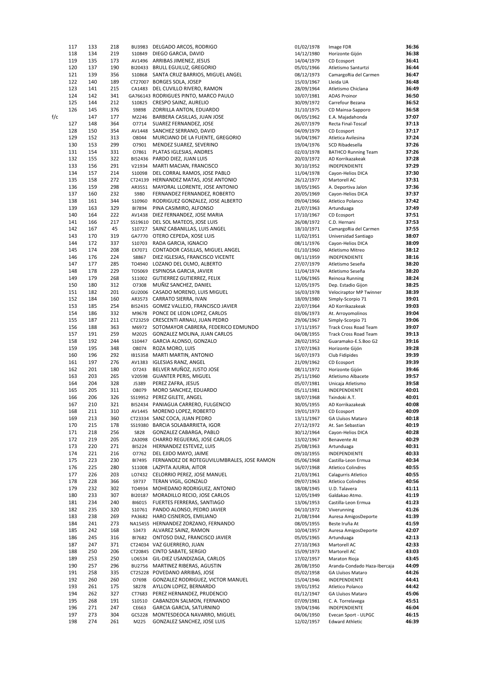| 117<br>133<br>218<br>DELGADO ARCOS, RODRIGO<br>01/02/1978<br><b>BU3983</b><br>Image FDR<br>118<br>134<br>219<br>S10849<br>DIEGO GARCIA, DAVID<br>14/12/1980<br>Horizonte Gijón<br>119<br>135<br>173<br>AV1496 ARRIBAS JIMENEZ, JESUS<br>14/04/1979<br>CD Ecosport<br>120<br>137<br>190<br>BI20433 BRULL EGUILUZ, GREGORIO<br>05/01/1966<br>Atletismo Santurtzi<br>121<br>139<br>356<br>S10868<br>SANTA CRUZ BARRIOS, MIGUEL ANGEL<br>08/12/1973<br>CamargoRia del Carmen<br>122<br>140<br>189<br>CT27007 BORGES SOLA, JOSEP<br>15/03/1967<br>Lleida UA<br>123<br>141<br>215<br>CA1483 DEL CUVILLO RIVERO, RAMON<br>28/09/1964<br>Atletismo Chiclana<br>124<br>341<br>142<br>GA766143 RODRIGUES PINTO, MARCO PAULO<br>10/07/1981<br><b>ADAS Proinor</b><br>125<br>144<br>212<br>S10825<br>CRESPO SAINZ, AURELIO<br>30/09/1972<br>Carrefour Bezana<br>126<br>145<br>376<br>S9898<br>ZORRILLA ANTON, EDUARDO<br>31/10/1975<br>CD Mainsa-Sapporo<br>f/c<br>147<br>177<br>M2246<br>BARBERA CASILLAS, JUAN JOSE<br>06/05/1962<br>E.A. Majadahonda<br>127<br>148<br>364<br>07714<br>SUAREZ FERNANDEZ, JOSE<br>26/07/1979<br>Recta Final-Toscaf<br>128<br>150<br>354<br>AV1448 SANCHEZ SERRANO, DAVID<br>04/09/1979<br>CD Ecosport<br>129<br>152<br>313<br>O8044<br>MURCIANO DE LA FUENTE, GREGORIO<br>16/04/1967<br>Atletica Avilesina<br>130<br>299<br>153<br>07901<br>MENDEZ SUAREZ, SEVERINO<br>19/04/1976<br>SCD Ribadesella<br>131<br>154<br>331<br>07861<br>PLATAS IGLESIAS, ANDRES<br>02/03/1978<br><b>BATHCO Running Team</b><br>132<br>155<br>322<br>BI52436 PARDO DIEZ, JUAN LUIS<br>20/03/1972<br>AD Korrikazakeak<br>133<br>156<br>291<br>V21934<br>MARTI MACIAN, FRANCISCO<br>30/10/1952<br>INDEPENDIENTE<br>134<br>157<br>214<br>S10098<br>DEL CORRAL RAMOS, JOSE PABLO<br>11/04/1978<br>Cayon-Helios DICA<br>135<br>272<br>158<br>CT24139 HERNANDEZ MATAS, JOSE ANTONIO<br>26/12/1977<br>Martorell AC<br>298<br>136<br>159<br>AR3551<br>MAYORAL LLORENTE, JOSE ANTONIO<br>18/05/1965<br>A. Deportiva Jalon<br>137<br>232<br>160<br>S980<br>FERNANDEZ FERNANDEZ, ROBERTO<br>20/05/1969<br>Cayon-Helios DICA<br>138<br>161<br>344<br>S10960<br>RODRIGUEZ GONZALEZ, JOSE ALBERTO<br>09/04/1966<br>Atletico Polanco<br>139<br>163<br>329<br>BI7894<br>PINA CASIMIRO, ALFONSO<br>21/07/1963<br>Artunduaga<br>140<br>164<br>222<br>AV1438 DIEZ FERNANDEZ, JOSE MARIA<br>17/10/1967<br>CD Ecosport<br>141<br>166<br>217<br>SS19610 DEL SOL MATEOS, JOSE LUIS<br>26/08/1972<br>C.D. Hernani<br>142<br>45<br>167<br>S10727 SAINZ CABANILLAS, LUIS ANGEL<br>18/10/1971<br>CamargoRia del Carmen<br>319<br>143<br>170<br>GA7770 OTERO CEPEDA, XOSE LUIS<br>11/02/1951<br>Universidad Santiago<br>144<br>172<br>337<br>S10703<br>RADA GARCIA, IGNACIO<br>08/11/1976<br>Cayon-Helios DICA<br>145<br>208<br>174<br>EX7071 CONTADOR CASILLAS, MIGUEL ANGEL<br>01/10/1960<br>Atletismo Mitreo<br>146<br>176<br>224<br>S8867<br>DIEZ IGLESIAS, FRANCISCO VICENTE<br>08/11/1959<br>INDEPENDIENTE<br>147<br>177<br>285<br>27/07/1979<br>TO4940 LOZANO DEL OLMO, ALBERTO<br>Atletismo Seseña<br>229<br>148<br>178<br>TO5069<br>ESPINOSA GARCIA, JAVIER<br>11/04/1974<br>Atletismo Seseña<br>149<br>179<br>268<br>S11002 GUTIERREZ GUTIERREZ, FELIX<br>11/06/1965<br>Reinosa Running<br>150<br>180<br>312<br>07308<br>MUÑIZ SANCHEZ, DANIEL<br>12/05/1975<br>Dep. Estadio Gijon<br>151<br>182<br>201<br>GU2006 CASADO MORENO, LUIS MIGUEL<br>16/03/1978<br>Velociraptor MP Twinner<br>152<br>184<br>160<br>AR3573 CARRATO SIERRA, IVAN<br>18/09/1980<br>Simply-Scorpio 71<br>153<br>185<br>254<br>BI52435 GOMEZ VALLEJO, FRANCISCO JAVIER<br>22/07/1964<br>AD Korrikazakeak<br>154<br>186<br>332<br>M9678<br>PONCE DE LEON LOPEZ, CARLOS<br>03/06/1973<br>At. Arroyomolinos<br>155<br>187<br>211<br>CT23259 CRESCENTI ARNAU, JUAN PEDRO<br>29/06/1967<br>Simply-Scorpio 71<br>156<br>188<br>363<br>M6972<br>SOTOMAYOR CABRERA, FEDERICO EDMUNDO<br>17/11/1957<br><b>Track Cross Road Team</b><br>157<br>191<br>259<br>M2025<br>GONZALEZ MOLINA, JUAN CARLOS<br>04/08/1955<br><b>Track Cross Road Team</b><br>158<br>192<br>244<br>S10447<br>GARCIA ALONSO, GONZALO<br>28/02/1952<br>Guaramako-E.S.Boo G2<br>159<br>195<br>348<br>O8074<br>ROZA MORO, LUIS<br>17/07/1963<br>Horizonte Gijón<br>160<br>196<br>292<br>IB15358<br>MARTI MARTIN, ANTONIO<br>16/07/1973<br>Club Fidipides<br>161<br>197<br>276<br>AV1383<br><b>IGLESIAS RANZ, ANGEL</b><br>21/09/1962<br>CD Ecosport<br>162<br>201<br>180<br>07243<br>BELVER MUÑOZ, JUSTO JOSE<br>08/11/1972<br>Horizonte Gijón<br>163<br>203<br>265<br>V20598<br><b>GUANTER PERIS, MIGUEL</b><br>25/11/1960<br>Atletismo Albacete<br>204<br>164<br>328<br>J5389<br>PEREZ ZAFRA, JESUS<br>05/07/1981<br>Unicaja Atletismo<br>165<br>205<br>311<br>08079<br>MORO SANCHEZ, EDUARDO<br>05/11/1981<br>INDEPENDIENTE<br>166<br>206<br>326<br>SS19952 PEREZ GILETE, ANGEL<br>18/07/1968<br>Txindoki A.T.<br>167<br>210<br>321<br>BI52434 PANIAGUA CARRERO, FULGENCIO<br>30/05/1955<br>AD Korrikazakeak<br>168<br>211<br>310<br>MORENO LOPEZ, ROBERTO<br>AV1445<br>19/01/1973<br>CD Ecosport<br>169<br>213<br>360<br>CT23334 SANZ COCA, JUAN PEDRO<br>13/11/1967<br>GA Lluïsos Mataro<br>170<br>215<br>178<br>SS19380 BARCIA SOLABARRIETA, IGOR<br>27/12/1972<br>At. San Sebastian<br>171<br>218<br>256<br><b>S828</b><br>GONZALEZ CABARGA, PABLO<br>30/12/1964<br>Cayon-Helios DICA<br>172<br>219<br>205<br>ZA3098<br>CHARRO REGUERAS, JOSE CARLOS<br>13/02/1967<br>Benavente At<br>173<br>220<br>271<br>BI5224<br>25/08/1963<br>HERNANDEZ ESTEVEZ, LUIS<br>Artunduaga<br>174<br>221<br>216<br>07762<br>DEL EJIDO MAYO, JAIME<br>09/10/1955<br>INDEPENDIENTE<br>175<br>223<br>230<br>BI7495<br>FERNANDEZ DE ROTEGUVILUMBRALES, JOSE RAMON<br>05/06/1968<br>Castilla-Leon Ermua<br>176<br>225<br>280<br>S11008<br>LAZPITA AJURIA, AITOR<br>16/07/1968<br><b>Atletico Colindres</b><br>177<br>226<br>203<br>LO7432 CELORRIO PEREZ, JOSE MANUEL<br>21/03/1961<br>Calagurris Atletico<br>178<br>228<br>366<br>S9737<br>TERAN VIGIL, GONZALO<br>09/07/1963<br><b>Atletico Colindres</b><br>179<br>232<br>MOHEDANO RODRIGUEZ, ANTONIO<br>302<br>TO4934<br>18/08/1945<br>U.D. Talavera<br>180<br>233<br>307<br>BI20187 MORADILLO RECIO, JOSE CARLOS<br>12/05/1949<br>Galdakao Atmo.<br>181<br>234<br>240<br>BI6015<br>FUERTES FERRERAS, SANTIAGO<br>13/06/1953<br>Castilla-Leon Ermua<br>182<br>235<br>320<br>S10761 PANDO ALONSO, PEDRO JAVIER<br>04/10/1972<br>Viverunning<br>183<br>238<br>269<br>PA3682 HARO CISNEROS, EMILIANO<br>21/08/1944<br>Auresa AmigosDeporte<br>184<br>241<br>273<br>NA15455 HERNANDEZ ZORZANO, FERNANDO<br>08/05/1955<br>Beste Iruña At<br>185<br>242<br>168<br>ALVAREZ SAINZ, RAMON<br>S3473<br>10/04/1957<br>Auresa AmigosDeporte<br>186<br>245<br>316<br>BI7682<br>ONTOSO DIAZ, FRANCISCO JAVIER<br>05/05/1965<br>Artunduaga<br>187<br>247<br>371<br>CT24034 VAZ GUERRERO, JUAN<br>27/10/1963<br>Martorell AC<br>188<br>250<br>206<br>CT20845 CINTO SABATE, SERGIO<br>15/09/1973<br>Martorell AC<br>189<br>253<br>250<br>LO6534<br>GIL-DIEZ USANDIZAGA, CARLOS<br>17/02/1957<br>Maraton Rioja<br>190<br>257<br>296<br>BU2756 MARTINEZ RIBERAS, AGUSTIN<br>28/08/1950<br>Aranda-Condado Haza-Ibercaja<br>191<br>258<br>335<br>CT25228 POVEDANO ARRIBAS, JOSE<br>05/02/1958<br>GA Lluïsos Mataro<br>192<br>260<br>260<br>07698<br>GONZALEZ RODRIGUEZ, VICTOR MANUEL<br>15/04/1946<br>INDEPENDIENTE<br>193<br>261<br>175<br>AYLLON LOPEZ, BERNARDO<br>S8278<br>19/01/1952<br>Atletico Polanco<br>194<br>262<br>327<br>CT7683<br>PEREZ HERNANDEZ, PRUDENCIO<br>01/12/1947<br>GA Lluïsos Mataro<br>195<br>268<br>191<br>\$10510<br>CABANZON SALMON, FERNANDO<br>07/09/1981<br>C. A. Torrelavega<br>196<br>271<br>247<br>CE663<br>GARCIA GARCIA, SATURNINO<br>19/04/1946<br>INDEPENDIENTE<br>197<br>273<br>304<br>GC5228<br>MONTESDEOCA NAVARRO, MIGUEL<br>04/06/1950<br>Evecan Sport - ULPGC |  |
|------------------------------------------------------------------------------------------------------------------------------------------------------------------------------------------------------------------------------------------------------------------------------------------------------------------------------------------------------------------------------------------------------------------------------------------------------------------------------------------------------------------------------------------------------------------------------------------------------------------------------------------------------------------------------------------------------------------------------------------------------------------------------------------------------------------------------------------------------------------------------------------------------------------------------------------------------------------------------------------------------------------------------------------------------------------------------------------------------------------------------------------------------------------------------------------------------------------------------------------------------------------------------------------------------------------------------------------------------------------------------------------------------------------------------------------------------------------------------------------------------------------------------------------------------------------------------------------------------------------------------------------------------------------------------------------------------------------------------------------------------------------------------------------------------------------------------------------------------------------------------------------------------------------------------------------------------------------------------------------------------------------------------------------------------------------------------------------------------------------------------------------------------------------------------------------------------------------------------------------------------------------------------------------------------------------------------------------------------------------------------------------------------------------------------------------------------------------------------------------------------------------------------------------------------------------------------------------------------------------------------------------------------------------------------------------------------------------------------------------------------------------------------------------------------------------------------------------------------------------------------------------------------------------------------------------------------------------------------------------------------------------------------------------------------------------------------------------------------------------------------------------------------------------------------------------------------------------------------------------------------------------------------------------------------------------------------------------------------------------------------------------------------------------------------------------------------------------------------------------------------------------------------------------------------------------------------------------------------------------------------------------------------------------------------------------------------------------------------------------------------------------------------------------------------------------------------------------------------------------------------------------------------------------------------------------------------------------------------------------------------------------------------------------------------------------------------------------------------------------------------------------------------------------------------------------------------------------------------------------------------------------------------------------------------------------------------------------------------------------------------------------------------------------------------------------------------------------------------------------------------------------------------------------------------------------------------------------------------------------------------------------------------------------------------------------------------------------------------------------------------------------------------------------------------------------------------------------------------------------------------------------------------------------------------------------------------------------------------------------------------------------------------------------------------------------------------------------------------------------------------------------------------------------------------------------------------------------------------------------------------------------------------------------------------------------------------------------------------------------------------------------------------------------------------------------------------------------------------------------------------------------------------------------------------------------------------------------------------------------------------------------------------------------------------------------------------------------------------------------------------------------------------------------------------------------------------------------------------------------------------------------------------------------------------------------------------------------------------------------------------------------------------------------------------------------------------------------------------------------------------------------------------------------------------------------------------------------------------------------------------------------------------------------------------------------------------------------------------------------------------------------------------------------------------------------------------------------------------------------------------------------------------------------------------------------------------------------------------------------------------------------------------------------------------------------------------------------------------------------------------------------------------------------------------------------------------------------------------------------------------------------------------------------------------------------------------------------------------------------------------------------------------------------------------------------------------------------------------------------------------------------------------------------------------------------------------------------------------------------------------------------------------------------------------------------------------------------------------------------------------------------------------------------------------------------------------------------------------------------------------------------------------------------------------------------------------------------------------------------------------------------------------------------------------------------------------------------------------------------------------------------------------------------------------------------------------------------------------------------------------------------------------------------------------------------|--|
|                                                                                                                                                                                                                                                                                                                                                                                                                                                                                                                                                                                                                                                                                                                                                                                                                                                                                                                                                                                                                                                                                                                                                                                                                                                                                                                                                                                                                                                                                                                                                                                                                                                                                                                                                                                                                                                                                                                                                                                                                                                                                                                                                                                                                                                                                                                                                                                                                                                                                                                                                                                                                                                                                                                                                                                                                                                                                                                                                                                                                                                                                                                                                                                                                                                                                                                                                                                                                                                                                                                                                                                                                                                                                                                                                                                                                                                                                                                                                                                                                                                                                                                                                                                                                                                                                                                                                                                                                                                                                                                                                                                                                                                                                                                                                                                                                                                                                                                                                                                                                                                                                                                                                                                                                                                                                                                                                                                                                                                                                                                                                                                                                                                                                                                                                                                                                                                                                                                                                                                                                                                                                                                                                                                                                                                                                                                                                                                                                                                                                                                                                                                                                                                                                                                                                                                                                                                                                                                                                                                                                                                                                                                                                                                                                                                                                                                                                                                                                                                                                                                                                                                                                                                                                                                                                                                                                                                                                                                                          |  |
|                                                                                                                                                                                                                                                                                                                                                                                                                                                                                                                                                                                                                                                                                                                                                                                                                                                                                                                                                                                                                                                                                                                                                                                                                                                                                                                                                                                                                                                                                                                                                                                                                                                                                                                                                                                                                                                                                                                                                                                                                                                                                                                                                                                                                                                                                                                                                                                                                                                                                                                                                                                                                                                                                                                                                                                                                                                                                                                                                                                                                                                                                                                                                                                                                                                                                                                                                                                                                                                                                                                                                                                                                                                                                                                                                                                                                                                                                                                                                                                                                                                                                                                                                                                                                                                                                                                                                                                                                                                                                                                                                                                                                                                                                                                                                                                                                                                                                                                                                                                                                                                                                                                                                                                                                                                                                                                                                                                                                                                                                                                                                                                                                                                                                                                                                                                                                                                                                                                                                                                                                                                                                                                                                                                                                                                                                                                                                                                                                                                                                                                                                                                                                                                                                                                                                                                                                                                                                                                                                                                                                                                                                                                                                                                                                                                                                                                                                                                                                                                                                                                                                                                                                                                                                                                                                                                                                                                                                                                                          |  |
|                                                                                                                                                                                                                                                                                                                                                                                                                                                                                                                                                                                                                                                                                                                                                                                                                                                                                                                                                                                                                                                                                                                                                                                                                                                                                                                                                                                                                                                                                                                                                                                                                                                                                                                                                                                                                                                                                                                                                                                                                                                                                                                                                                                                                                                                                                                                                                                                                                                                                                                                                                                                                                                                                                                                                                                                                                                                                                                                                                                                                                                                                                                                                                                                                                                                                                                                                                                                                                                                                                                                                                                                                                                                                                                                                                                                                                                                                                                                                                                                                                                                                                                                                                                                                                                                                                                                                                                                                                                                                                                                                                                                                                                                                                                                                                                                                                                                                                                                                                                                                                                                                                                                                                                                                                                                                                                                                                                                                                                                                                                                                                                                                                                                                                                                                                                                                                                                                                                                                                                                                                                                                                                                                                                                                                                                                                                                                                                                                                                                                                                                                                                                                                                                                                                                                                                                                                                                                                                                                                                                                                                                                                                                                                                                                                                                                                                                                                                                                                                                                                                                                                                                                                                                                                                                                                                                                                                                                                                                          |  |
|                                                                                                                                                                                                                                                                                                                                                                                                                                                                                                                                                                                                                                                                                                                                                                                                                                                                                                                                                                                                                                                                                                                                                                                                                                                                                                                                                                                                                                                                                                                                                                                                                                                                                                                                                                                                                                                                                                                                                                                                                                                                                                                                                                                                                                                                                                                                                                                                                                                                                                                                                                                                                                                                                                                                                                                                                                                                                                                                                                                                                                                                                                                                                                                                                                                                                                                                                                                                                                                                                                                                                                                                                                                                                                                                                                                                                                                                                                                                                                                                                                                                                                                                                                                                                                                                                                                                                                                                                                                                                                                                                                                                                                                                                                                                                                                                                                                                                                                                                                                                                                                                                                                                                                                                                                                                                                                                                                                                                                                                                                                                                                                                                                                                                                                                                                                                                                                                                                                                                                                                                                                                                                                                                                                                                                                                                                                                                                                                                                                                                                                                                                                                                                                                                                                                                                                                                                                                                                                                                                                                                                                                                                                                                                                                                                                                                                                                                                                                                                                                                                                                                                                                                                                                                                                                                                                                                                                                                                                                          |  |
|                                                                                                                                                                                                                                                                                                                                                                                                                                                                                                                                                                                                                                                                                                                                                                                                                                                                                                                                                                                                                                                                                                                                                                                                                                                                                                                                                                                                                                                                                                                                                                                                                                                                                                                                                                                                                                                                                                                                                                                                                                                                                                                                                                                                                                                                                                                                                                                                                                                                                                                                                                                                                                                                                                                                                                                                                                                                                                                                                                                                                                                                                                                                                                                                                                                                                                                                                                                                                                                                                                                                                                                                                                                                                                                                                                                                                                                                                                                                                                                                                                                                                                                                                                                                                                                                                                                                                                                                                                                                                                                                                                                                                                                                                                                                                                                                                                                                                                                                                                                                                                                                                                                                                                                                                                                                                                                                                                                                                                                                                                                                                                                                                                                                                                                                                                                                                                                                                                                                                                                                                                                                                                                                                                                                                                                                                                                                                                                                                                                                                                                                                                                                                                                                                                                                                                                                                                                                                                                                                                                                                                                                                                                                                                                                                                                                                                                                                                                                                                                                                                                                                                                                                                                                                                                                                                                                                                                                                                                                          |  |
|                                                                                                                                                                                                                                                                                                                                                                                                                                                                                                                                                                                                                                                                                                                                                                                                                                                                                                                                                                                                                                                                                                                                                                                                                                                                                                                                                                                                                                                                                                                                                                                                                                                                                                                                                                                                                                                                                                                                                                                                                                                                                                                                                                                                                                                                                                                                                                                                                                                                                                                                                                                                                                                                                                                                                                                                                                                                                                                                                                                                                                                                                                                                                                                                                                                                                                                                                                                                                                                                                                                                                                                                                                                                                                                                                                                                                                                                                                                                                                                                                                                                                                                                                                                                                                                                                                                                                                                                                                                                                                                                                                                                                                                                                                                                                                                                                                                                                                                                                                                                                                                                                                                                                                                                                                                                                                                                                                                                                                                                                                                                                                                                                                                                                                                                                                                                                                                                                                                                                                                                                                                                                                                                                                                                                                                                                                                                                                                                                                                                                                                                                                                                                                                                                                                                                                                                                                                                                                                                                                                                                                                                                                                                                                                                                                                                                                                                                                                                                                                                                                                                                                                                                                                                                                                                                                                                                                                                                                                                          |  |
|                                                                                                                                                                                                                                                                                                                                                                                                                                                                                                                                                                                                                                                                                                                                                                                                                                                                                                                                                                                                                                                                                                                                                                                                                                                                                                                                                                                                                                                                                                                                                                                                                                                                                                                                                                                                                                                                                                                                                                                                                                                                                                                                                                                                                                                                                                                                                                                                                                                                                                                                                                                                                                                                                                                                                                                                                                                                                                                                                                                                                                                                                                                                                                                                                                                                                                                                                                                                                                                                                                                                                                                                                                                                                                                                                                                                                                                                                                                                                                                                                                                                                                                                                                                                                                                                                                                                                                                                                                                                                                                                                                                                                                                                                                                                                                                                                                                                                                                                                                                                                                                                                                                                                                                                                                                                                                                                                                                                                                                                                                                                                                                                                                                                                                                                                                                                                                                                                                                                                                                                                                                                                                                                                                                                                                                                                                                                                                                                                                                                                                                                                                                                                                                                                                                                                                                                                                                                                                                                                                                                                                                                                                                                                                                                                                                                                                                                                                                                                                                                                                                                                                                                                                                                                                                                                                                                                                                                                                                                          |  |
|                                                                                                                                                                                                                                                                                                                                                                                                                                                                                                                                                                                                                                                                                                                                                                                                                                                                                                                                                                                                                                                                                                                                                                                                                                                                                                                                                                                                                                                                                                                                                                                                                                                                                                                                                                                                                                                                                                                                                                                                                                                                                                                                                                                                                                                                                                                                                                                                                                                                                                                                                                                                                                                                                                                                                                                                                                                                                                                                                                                                                                                                                                                                                                                                                                                                                                                                                                                                                                                                                                                                                                                                                                                                                                                                                                                                                                                                                                                                                                                                                                                                                                                                                                                                                                                                                                                                                                                                                                                                                                                                                                                                                                                                                                                                                                                                                                                                                                                                                                                                                                                                                                                                                                                                                                                                                                                                                                                                                                                                                                                                                                                                                                                                                                                                                                                                                                                                                                                                                                                                                                                                                                                                                                                                                                                                                                                                                                                                                                                                                                                                                                                                                                                                                                                                                                                                                                                                                                                                                                                                                                                                                                                                                                                                                                                                                                                                                                                                                                                                                                                                                                                                                                                                                                                                                                                                                                                                                                                                          |  |
|                                                                                                                                                                                                                                                                                                                                                                                                                                                                                                                                                                                                                                                                                                                                                                                                                                                                                                                                                                                                                                                                                                                                                                                                                                                                                                                                                                                                                                                                                                                                                                                                                                                                                                                                                                                                                                                                                                                                                                                                                                                                                                                                                                                                                                                                                                                                                                                                                                                                                                                                                                                                                                                                                                                                                                                                                                                                                                                                                                                                                                                                                                                                                                                                                                                                                                                                                                                                                                                                                                                                                                                                                                                                                                                                                                                                                                                                                                                                                                                                                                                                                                                                                                                                                                                                                                                                                                                                                                                                                                                                                                                                                                                                                                                                                                                                                                                                                                                                                                                                                                                                                                                                                                                                                                                                                                                                                                                                                                                                                                                                                                                                                                                                                                                                                                                                                                                                                                                                                                                                                                                                                                                                                                                                                                                                                                                                                                                                                                                                                                                                                                                                                                                                                                                                                                                                                                                                                                                                                                                                                                                                                                                                                                                                                                                                                                                                                                                                                                                                                                                                                                                                                                                                                                                                                                                                                                                                                                                                          |  |
|                                                                                                                                                                                                                                                                                                                                                                                                                                                                                                                                                                                                                                                                                                                                                                                                                                                                                                                                                                                                                                                                                                                                                                                                                                                                                                                                                                                                                                                                                                                                                                                                                                                                                                                                                                                                                                                                                                                                                                                                                                                                                                                                                                                                                                                                                                                                                                                                                                                                                                                                                                                                                                                                                                                                                                                                                                                                                                                                                                                                                                                                                                                                                                                                                                                                                                                                                                                                                                                                                                                                                                                                                                                                                                                                                                                                                                                                                                                                                                                                                                                                                                                                                                                                                                                                                                                                                                                                                                                                                                                                                                                                                                                                                                                                                                                                                                                                                                                                                                                                                                                                                                                                                                                                                                                                                                                                                                                                                                                                                                                                                                                                                                                                                                                                                                                                                                                                                                                                                                                                                                                                                                                                                                                                                                                                                                                                                                                                                                                                                                                                                                                                                                                                                                                                                                                                                                                                                                                                                                                                                                                                                                                                                                                                                                                                                                                                                                                                                                                                                                                                                                                                                                                                                                                                                                                                                                                                                                                                          |  |
|                                                                                                                                                                                                                                                                                                                                                                                                                                                                                                                                                                                                                                                                                                                                                                                                                                                                                                                                                                                                                                                                                                                                                                                                                                                                                                                                                                                                                                                                                                                                                                                                                                                                                                                                                                                                                                                                                                                                                                                                                                                                                                                                                                                                                                                                                                                                                                                                                                                                                                                                                                                                                                                                                                                                                                                                                                                                                                                                                                                                                                                                                                                                                                                                                                                                                                                                                                                                                                                                                                                                                                                                                                                                                                                                                                                                                                                                                                                                                                                                                                                                                                                                                                                                                                                                                                                                                                                                                                                                                                                                                                                                                                                                                                                                                                                                                                                                                                                                                                                                                                                                                                                                                                                                                                                                                                                                                                                                                                                                                                                                                                                                                                                                                                                                                                                                                                                                                                                                                                                                                                                                                                                                                                                                                                                                                                                                                                                                                                                                                                                                                                                                                                                                                                                                                                                                                                                                                                                                                                                                                                                                                                                                                                                                                                                                                                                                                                                                                                                                                                                                                                                                                                                                                                                                                                                                                                                                                                                                          |  |
|                                                                                                                                                                                                                                                                                                                                                                                                                                                                                                                                                                                                                                                                                                                                                                                                                                                                                                                                                                                                                                                                                                                                                                                                                                                                                                                                                                                                                                                                                                                                                                                                                                                                                                                                                                                                                                                                                                                                                                                                                                                                                                                                                                                                                                                                                                                                                                                                                                                                                                                                                                                                                                                                                                                                                                                                                                                                                                                                                                                                                                                                                                                                                                                                                                                                                                                                                                                                                                                                                                                                                                                                                                                                                                                                                                                                                                                                                                                                                                                                                                                                                                                                                                                                                                                                                                                                                                                                                                                                                                                                                                                                                                                                                                                                                                                                                                                                                                                                                                                                                                                                                                                                                                                                                                                                                                                                                                                                                                                                                                                                                                                                                                                                                                                                                                                                                                                                                                                                                                                                                                                                                                                                                                                                                                                                                                                                                                                                                                                                                                                                                                                                                                                                                                                                                                                                                                                                                                                                                                                                                                                                                                                                                                                                                                                                                                                                                                                                                                                                                                                                                                                                                                                                                                                                                                                                                                                                                                                                          |  |
|                                                                                                                                                                                                                                                                                                                                                                                                                                                                                                                                                                                                                                                                                                                                                                                                                                                                                                                                                                                                                                                                                                                                                                                                                                                                                                                                                                                                                                                                                                                                                                                                                                                                                                                                                                                                                                                                                                                                                                                                                                                                                                                                                                                                                                                                                                                                                                                                                                                                                                                                                                                                                                                                                                                                                                                                                                                                                                                                                                                                                                                                                                                                                                                                                                                                                                                                                                                                                                                                                                                                                                                                                                                                                                                                                                                                                                                                                                                                                                                                                                                                                                                                                                                                                                                                                                                                                                                                                                                                                                                                                                                                                                                                                                                                                                                                                                                                                                                                                                                                                                                                                                                                                                                                                                                                                                                                                                                                                                                                                                                                                                                                                                                                                                                                                                                                                                                                                                                                                                                                                                                                                                                                                                                                                                                                                                                                                                                                                                                                                                                                                                                                                                                                                                                                                                                                                                                                                                                                                                                                                                                                                                                                                                                                                                                                                                                                                                                                                                                                                                                                                                                                                                                                                                                                                                                                                                                                                                                                          |  |
|                                                                                                                                                                                                                                                                                                                                                                                                                                                                                                                                                                                                                                                                                                                                                                                                                                                                                                                                                                                                                                                                                                                                                                                                                                                                                                                                                                                                                                                                                                                                                                                                                                                                                                                                                                                                                                                                                                                                                                                                                                                                                                                                                                                                                                                                                                                                                                                                                                                                                                                                                                                                                                                                                                                                                                                                                                                                                                                                                                                                                                                                                                                                                                                                                                                                                                                                                                                                                                                                                                                                                                                                                                                                                                                                                                                                                                                                                                                                                                                                                                                                                                                                                                                                                                                                                                                                                                                                                                                                                                                                                                                                                                                                                                                                                                                                                                                                                                                                                                                                                                                                                                                                                                                                                                                                                                                                                                                                                                                                                                                                                                                                                                                                                                                                                                                                                                                                                                                                                                                                                                                                                                                                                                                                                                                                                                                                                                                                                                                                                                                                                                                                                                                                                                                                                                                                                                                                                                                                                                                                                                                                                                                                                                                                                                                                                                                                                                                                                                                                                                                                                                                                                                                                                                                                                                                                                                                                                                                                          |  |
|                                                                                                                                                                                                                                                                                                                                                                                                                                                                                                                                                                                                                                                                                                                                                                                                                                                                                                                                                                                                                                                                                                                                                                                                                                                                                                                                                                                                                                                                                                                                                                                                                                                                                                                                                                                                                                                                                                                                                                                                                                                                                                                                                                                                                                                                                                                                                                                                                                                                                                                                                                                                                                                                                                                                                                                                                                                                                                                                                                                                                                                                                                                                                                                                                                                                                                                                                                                                                                                                                                                                                                                                                                                                                                                                                                                                                                                                                                                                                                                                                                                                                                                                                                                                                                                                                                                                                                                                                                                                                                                                                                                                                                                                                                                                                                                                                                                                                                                                                                                                                                                                                                                                                                                                                                                                                                                                                                                                                                                                                                                                                                                                                                                                                                                                                                                                                                                                                                                                                                                                                                                                                                                                                                                                                                                                                                                                                                                                                                                                                                                                                                                                                                                                                                                                                                                                                                                                                                                                                                                                                                                                                                                                                                                                                                                                                                                                                                                                                                                                                                                                                                                                                                                                                                                                                                                                                                                                                                                                          |  |
|                                                                                                                                                                                                                                                                                                                                                                                                                                                                                                                                                                                                                                                                                                                                                                                                                                                                                                                                                                                                                                                                                                                                                                                                                                                                                                                                                                                                                                                                                                                                                                                                                                                                                                                                                                                                                                                                                                                                                                                                                                                                                                                                                                                                                                                                                                                                                                                                                                                                                                                                                                                                                                                                                                                                                                                                                                                                                                                                                                                                                                                                                                                                                                                                                                                                                                                                                                                                                                                                                                                                                                                                                                                                                                                                                                                                                                                                                                                                                                                                                                                                                                                                                                                                                                                                                                                                                                                                                                                                                                                                                                                                                                                                                                                                                                                                                                                                                                                                                                                                                                                                                                                                                                                                                                                                                                                                                                                                                                                                                                                                                                                                                                                                                                                                                                                                                                                                                                                                                                                                                                                                                                                                                                                                                                                                                                                                                                                                                                                                                                                                                                                                                                                                                                                                                                                                                                                                                                                                                                                                                                                                                                                                                                                                                                                                                                                                                                                                                                                                                                                                                                                                                                                                                                                                                                                                                                                                                                                                          |  |
|                                                                                                                                                                                                                                                                                                                                                                                                                                                                                                                                                                                                                                                                                                                                                                                                                                                                                                                                                                                                                                                                                                                                                                                                                                                                                                                                                                                                                                                                                                                                                                                                                                                                                                                                                                                                                                                                                                                                                                                                                                                                                                                                                                                                                                                                                                                                                                                                                                                                                                                                                                                                                                                                                                                                                                                                                                                                                                                                                                                                                                                                                                                                                                                                                                                                                                                                                                                                                                                                                                                                                                                                                                                                                                                                                                                                                                                                                                                                                                                                                                                                                                                                                                                                                                                                                                                                                                                                                                                                                                                                                                                                                                                                                                                                                                                                                                                                                                                                                                                                                                                                                                                                                                                                                                                                                                                                                                                                                                                                                                                                                                                                                                                                                                                                                                                                                                                                                                                                                                                                                                                                                                                                                                                                                                                                                                                                                                                                                                                                                                                                                                                                                                                                                                                                                                                                                                                                                                                                                                                                                                                                                                                                                                                                                                                                                                                                                                                                                                                                                                                                                                                                                                                                                                                                                                                                                                                                                                                                          |  |
|                                                                                                                                                                                                                                                                                                                                                                                                                                                                                                                                                                                                                                                                                                                                                                                                                                                                                                                                                                                                                                                                                                                                                                                                                                                                                                                                                                                                                                                                                                                                                                                                                                                                                                                                                                                                                                                                                                                                                                                                                                                                                                                                                                                                                                                                                                                                                                                                                                                                                                                                                                                                                                                                                                                                                                                                                                                                                                                                                                                                                                                                                                                                                                                                                                                                                                                                                                                                                                                                                                                                                                                                                                                                                                                                                                                                                                                                                                                                                                                                                                                                                                                                                                                                                                                                                                                                                                                                                                                                                                                                                                                                                                                                                                                                                                                                                                                                                                                                                                                                                                                                                                                                                                                                                                                                                                                                                                                                                                                                                                                                                                                                                                                                                                                                                                                                                                                                                                                                                                                                                                                                                                                                                                                                                                                                                                                                                                                                                                                                                                                                                                                                                                                                                                                                                                                                                                                                                                                                                                                                                                                                                                                                                                                                                                                                                                                                                                                                                                                                                                                                                                                                                                                                                                                                                                                                                                                                                                                                          |  |
|                                                                                                                                                                                                                                                                                                                                                                                                                                                                                                                                                                                                                                                                                                                                                                                                                                                                                                                                                                                                                                                                                                                                                                                                                                                                                                                                                                                                                                                                                                                                                                                                                                                                                                                                                                                                                                                                                                                                                                                                                                                                                                                                                                                                                                                                                                                                                                                                                                                                                                                                                                                                                                                                                                                                                                                                                                                                                                                                                                                                                                                                                                                                                                                                                                                                                                                                                                                                                                                                                                                                                                                                                                                                                                                                                                                                                                                                                                                                                                                                                                                                                                                                                                                                                                                                                                                                                                                                                                                                                                                                                                                                                                                                                                                                                                                                                                                                                                                                                                                                                                                                                                                                                                                                                                                                                                                                                                                                                                                                                                                                                                                                                                                                                                                                                                                                                                                                                                                                                                                                                                                                                                                                                                                                                                                                                                                                                                                                                                                                                                                                                                                                                                                                                                                                                                                                                                                                                                                                                                                                                                                                                                                                                                                                                                                                                                                                                                                                                                                                                                                                                                                                                                                                                                                                                                                                                                                                                                                                          |  |
|                                                                                                                                                                                                                                                                                                                                                                                                                                                                                                                                                                                                                                                                                                                                                                                                                                                                                                                                                                                                                                                                                                                                                                                                                                                                                                                                                                                                                                                                                                                                                                                                                                                                                                                                                                                                                                                                                                                                                                                                                                                                                                                                                                                                                                                                                                                                                                                                                                                                                                                                                                                                                                                                                                                                                                                                                                                                                                                                                                                                                                                                                                                                                                                                                                                                                                                                                                                                                                                                                                                                                                                                                                                                                                                                                                                                                                                                                                                                                                                                                                                                                                                                                                                                                                                                                                                                                                                                                                                                                                                                                                                                                                                                                                                                                                                                                                                                                                                                                                                                                                                                                                                                                                                                                                                                                                                                                                                                                                                                                                                                                                                                                                                                                                                                                                                                                                                                                                                                                                                                                                                                                                                                                                                                                                                                                                                                                                                                                                                                                                                                                                                                                                                                                                                                                                                                                                                                                                                                                                                                                                                                                                                                                                                                                                                                                                                                                                                                                                                                                                                                                                                                                                                                                                                                                                                                                                                                                                                                          |  |
|                                                                                                                                                                                                                                                                                                                                                                                                                                                                                                                                                                                                                                                                                                                                                                                                                                                                                                                                                                                                                                                                                                                                                                                                                                                                                                                                                                                                                                                                                                                                                                                                                                                                                                                                                                                                                                                                                                                                                                                                                                                                                                                                                                                                                                                                                                                                                                                                                                                                                                                                                                                                                                                                                                                                                                                                                                                                                                                                                                                                                                                                                                                                                                                                                                                                                                                                                                                                                                                                                                                                                                                                                                                                                                                                                                                                                                                                                                                                                                                                                                                                                                                                                                                                                                                                                                                                                                                                                                                                                                                                                                                                                                                                                                                                                                                                                                                                                                                                                                                                                                                                                                                                                                                                                                                                                                                                                                                                                                                                                                                                                                                                                                                                                                                                                                                                                                                                                                                                                                                                                                                                                                                                                                                                                                                                                                                                                                                                                                                                                                                                                                                                                                                                                                                                                                                                                                                                                                                                                                                                                                                                                                                                                                                                                                                                                                                                                                                                                                                                                                                                                                                                                                                                                                                                                                                                                                                                                                                                          |  |
|                                                                                                                                                                                                                                                                                                                                                                                                                                                                                                                                                                                                                                                                                                                                                                                                                                                                                                                                                                                                                                                                                                                                                                                                                                                                                                                                                                                                                                                                                                                                                                                                                                                                                                                                                                                                                                                                                                                                                                                                                                                                                                                                                                                                                                                                                                                                                                                                                                                                                                                                                                                                                                                                                                                                                                                                                                                                                                                                                                                                                                                                                                                                                                                                                                                                                                                                                                                                                                                                                                                                                                                                                                                                                                                                                                                                                                                                                                                                                                                                                                                                                                                                                                                                                                                                                                                                                                                                                                                                                                                                                                                                                                                                                                                                                                                                                                                                                                                                                                                                                                                                                                                                                                                                                                                                                                                                                                                                                                                                                                                                                                                                                                                                                                                                                                                                                                                                                                                                                                                                                                                                                                                                                                                                                                                                                                                                                                                                                                                                                                                                                                                                                                                                                                                                                                                                                                                                                                                                                                                                                                                                                                                                                                                                                                                                                                                                                                                                                                                                                                                                                                                                                                                                                                                                                                                                                                                                                                                                          |  |
|                                                                                                                                                                                                                                                                                                                                                                                                                                                                                                                                                                                                                                                                                                                                                                                                                                                                                                                                                                                                                                                                                                                                                                                                                                                                                                                                                                                                                                                                                                                                                                                                                                                                                                                                                                                                                                                                                                                                                                                                                                                                                                                                                                                                                                                                                                                                                                                                                                                                                                                                                                                                                                                                                                                                                                                                                                                                                                                                                                                                                                                                                                                                                                                                                                                                                                                                                                                                                                                                                                                                                                                                                                                                                                                                                                                                                                                                                                                                                                                                                                                                                                                                                                                                                                                                                                                                                                                                                                                                                                                                                                                                                                                                                                                                                                                                                                                                                                                                                                                                                                                                                                                                                                                                                                                                                                                                                                                                                                                                                                                                                                                                                                                                                                                                                                                                                                                                                                                                                                                                                                                                                                                                                                                                                                                                                                                                                                                                                                                                                                                                                                                                                                                                                                                                                                                                                                                                                                                                                                                                                                                                                                                                                                                                                                                                                                                                                                                                                                                                                                                                                                                                                                                                                                                                                                                                                                                                                                                                          |  |
|                                                                                                                                                                                                                                                                                                                                                                                                                                                                                                                                                                                                                                                                                                                                                                                                                                                                                                                                                                                                                                                                                                                                                                                                                                                                                                                                                                                                                                                                                                                                                                                                                                                                                                                                                                                                                                                                                                                                                                                                                                                                                                                                                                                                                                                                                                                                                                                                                                                                                                                                                                                                                                                                                                                                                                                                                                                                                                                                                                                                                                                                                                                                                                                                                                                                                                                                                                                                                                                                                                                                                                                                                                                                                                                                                                                                                                                                                                                                                                                                                                                                                                                                                                                                                                                                                                                                                                                                                                                                                                                                                                                                                                                                                                                                                                                                                                                                                                                                                                                                                                                                                                                                                                                                                                                                                                                                                                                                                                                                                                                                                                                                                                                                                                                                                                                                                                                                                                                                                                                                                                                                                                                                                                                                                                                                                                                                                                                                                                                                                                                                                                                                                                                                                                                                                                                                                                                                                                                                                                                                                                                                                                                                                                                                                                                                                                                                                                                                                                                                                                                                                                                                                                                                                                                                                                                                                                                                                                                                          |  |
|                                                                                                                                                                                                                                                                                                                                                                                                                                                                                                                                                                                                                                                                                                                                                                                                                                                                                                                                                                                                                                                                                                                                                                                                                                                                                                                                                                                                                                                                                                                                                                                                                                                                                                                                                                                                                                                                                                                                                                                                                                                                                                                                                                                                                                                                                                                                                                                                                                                                                                                                                                                                                                                                                                                                                                                                                                                                                                                                                                                                                                                                                                                                                                                                                                                                                                                                                                                                                                                                                                                                                                                                                                                                                                                                                                                                                                                                                                                                                                                                                                                                                                                                                                                                                                                                                                                                                                                                                                                                                                                                                                                                                                                                                                                                                                                                                                                                                                                                                                                                                                                                                                                                                                                                                                                                                                                                                                                                                                                                                                                                                                                                                                                                                                                                                                                                                                                                                                                                                                                                                                                                                                                                                                                                                                                                                                                                                                                                                                                                                                                                                                                                                                                                                                                                                                                                                                                                                                                                                                                                                                                                                                                                                                                                                                                                                                                                                                                                                                                                                                                                                                                                                                                                                                                                                                                                                                                                                                                                          |  |
|                                                                                                                                                                                                                                                                                                                                                                                                                                                                                                                                                                                                                                                                                                                                                                                                                                                                                                                                                                                                                                                                                                                                                                                                                                                                                                                                                                                                                                                                                                                                                                                                                                                                                                                                                                                                                                                                                                                                                                                                                                                                                                                                                                                                                                                                                                                                                                                                                                                                                                                                                                                                                                                                                                                                                                                                                                                                                                                                                                                                                                                                                                                                                                                                                                                                                                                                                                                                                                                                                                                                                                                                                                                                                                                                                                                                                                                                                                                                                                                                                                                                                                                                                                                                                                                                                                                                                                                                                                                                                                                                                                                                                                                                                                                                                                                                                                                                                                                                                                                                                                                                                                                                                                                                                                                                                                                                                                                                                                                                                                                                                                                                                                                                                                                                                                                                                                                                                                                                                                                                                                                                                                                                                                                                                                                                                                                                                                                                                                                                                                                                                                                                                                                                                                                                                                                                                                                                                                                                                                                                                                                                                                                                                                                                                                                                                                                                                                                                                                                                                                                                                                                                                                                                                                                                                                                                                                                                                                                                          |  |
|                                                                                                                                                                                                                                                                                                                                                                                                                                                                                                                                                                                                                                                                                                                                                                                                                                                                                                                                                                                                                                                                                                                                                                                                                                                                                                                                                                                                                                                                                                                                                                                                                                                                                                                                                                                                                                                                                                                                                                                                                                                                                                                                                                                                                                                                                                                                                                                                                                                                                                                                                                                                                                                                                                                                                                                                                                                                                                                                                                                                                                                                                                                                                                                                                                                                                                                                                                                                                                                                                                                                                                                                                                                                                                                                                                                                                                                                                                                                                                                                                                                                                                                                                                                                                                                                                                                                                                                                                                                                                                                                                                                                                                                                                                                                                                                                                                                                                                                                                                                                                                                                                                                                                                                                                                                                                                                                                                                                                                                                                                                                                                                                                                                                                                                                                                                                                                                                                                                                                                                                                                                                                                                                                                                                                                                                                                                                                                                                                                                                                                                                                                                                                                                                                                                                                                                                                                                                                                                                                                                                                                                                                                                                                                                                                                                                                                                                                                                                                                                                                                                                                                                                                                                                                                                                                                                                                                                                                                                                          |  |
|                                                                                                                                                                                                                                                                                                                                                                                                                                                                                                                                                                                                                                                                                                                                                                                                                                                                                                                                                                                                                                                                                                                                                                                                                                                                                                                                                                                                                                                                                                                                                                                                                                                                                                                                                                                                                                                                                                                                                                                                                                                                                                                                                                                                                                                                                                                                                                                                                                                                                                                                                                                                                                                                                                                                                                                                                                                                                                                                                                                                                                                                                                                                                                                                                                                                                                                                                                                                                                                                                                                                                                                                                                                                                                                                                                                                                                                                                                                                                                                                                                                                                                                                                                                                                                                                                                                                                                                                                                                                                                                                                                                                                                                                                                                                                                                                                                                                                                                                                                                                                                                                                                                                                                                                                                                                                                                                                                                                                                                                                                                                                                                                                                                                                                                                                                                                                                                                                                                                                                                                                                                                                                                                                                                                                                                                                                                                                                                                                                                                                                                                                                                                                                                                                                                                                                                                                                                                                                                                                                                                                                                                                                                                                                                                                                                                                                                                                                                                                                                                                                                                                                                                                                                                                                                                                                                                                                                                                                                                          |  |
|                                                                                                                                                                                                                                                                                                                                                                                                                                                                                                                                                                                                                                                                                                                                                                                                                                                                                                                                                                                                                                                                                                                                                                                                                                                                                                                                                                                                                                                                                                                                                                                                                                                                                                                                                                                                                                                                                                                                                                                                                                                                                                                                                                                                                                                                                                                                                                                                                                                                                                                                                                                                                                                                                                                                                                                                                                                                                                                                                                                                                                                                                                                                                                                                                                                                                                                                                                                                                                                                                                                                                                                                                                                                                                                                                                                                                                                                                                                                                                                                                                                                                                                                                                                                                                                                                                                                                                                                                                                                                                                                                                                                                                                                                                                                                                                                                                                                                                                                                                                                                                                                                                                                                                                                                                                                                                                                                                                                                                                                                                                                                                                                                                                                                                                                                                                                                                                                                                                                                                                                                                                                                                                                                                                                                                                                                                                                                                                                                                                                                                                                                                                                                                                                                                                                                                                                                                                                                                                                                                                                                                                                                                                                                                                                                                                                                                                                                                                                                                                                                                                                                                                                                                                                                                                                                                                                                                                                                                                                          |  |
|                                                                                                                                                                                                                                                                                                                                                                                                                                                                                                                                                                                                                                                                                                                                                                                                                                                                                                                                                                                                                                                                                                                                                                                                                                                                                                                                                                                                                                                                                                                                                                                                                                                                                                                                                                                                                                                                                                                                                                                                                                                                                                                                                                                                                                                                                                                                                                                                                                                                                                                                                                                                                                                                                                                                                                                                                                                                                                                                                                                                                                                                                                                                                                                                                                                                                                                                                                                                                                                                                                                                                                                                                                                                                                                                                                                                                                                                                                                                                                                                                                                                                                                                                                                                                                                                                                                                                                                                                                                                                                                                                                                                                                                                                                                                                                                                                                                                                                                                                                                                                                                                                                                                                                                                                                                                                                                                                                                                                                                                                                                                                                                                                                                                                                                                                                                                                                                                                                                                                                                                                                                                                                                                                                                                                                                                                                                                                                                                                                                                                                                                                                                                                                                                                                                                                                                                                                                                                                                                                                                                                                                                                                                                                                                                                                                                                                                                                                                                                                                                                                                                                                                                                                                                                                                                                                                                                                                                                                                                          |  |
|                                                                                                                                                                                                                                                                                                                                                                                                                                                                                                                                                                                                                                                                                                                                                                                                                                                                                                                                                                                                                                                                                                                                                                                                                                                                                                                                                                                                                                                                                                                                                                                                                                                                                                                                                                                                                                                                                                                                                                                                                                                                                                                                                                                                                                                                                                                                                                                                                                                                                                                                                                                                                                                                                                                                                                                                                                                                                                                                                                                                                                                                                                                                                                                                                                                                                                                                                                                                                                                                                                                                                                                                                                                                                                                                                                                                                                                                                                                                                                                                                                                                                                                                                                                                                                                                                                                                                                                                                                                                                                                                                                                                                                                                                                                                                                                                                                                                                                                                                                                                                                                                                                                                                                                                                                                                                                                                                                                                                                                                                                                                                                                                                                                                                                                                                                                                                                                                                                                                                                                                                                                                                                                                                                                                                                                                                                                                                                                                                                                                                                                                                                                                                                                                                                                                                                                                                                                                                                                                                                                                                                                                                                                                                                                                                                                                                                                                                                                                                                                                                                                                                                                                                                                                                                                                                                                                                                                                                                                                          |  |
|                                                                                                                                                                                                                                                                                                                                                                                                                                                                                                                                                                                                                                                                                                                                                                                                                                                                                                                                                                                                                                                                                                                                                                                                                                                                                                                                                                                                                                                                                                                                                                                                                                                                                                                                                                                                                                                                                                                                                                                                                                                                                                                                                                                                                                                                                                                                                                                                                                                                                                                                                                                                                                                                                                                                                                                                                                                                                                                                                                                                                                                                                                                                                                                                                                                                                                                                                                                                                                                                                                                                                                                                                                                                                                                                                                                                                                                                                                                                                                                                                                                                                                                                                                                                                                                                                                                                                                                                                                                                                                                                                                                                                                                                                                                                                                                                                                                                                                                                                                                                                                                                                                                                                                                                                                                                                                                                                                                                                                                                                                                                                                                                                                                                                                                                                                                                                                                                                                                                                                                                                                                                                                                                                                                                                                                                                                                                                                                                                                                                                                                                                                                                                                                                                                                                                                                                                                                                                                                                                                                                                                                                                                                                                                                                                                                                                                                                                                                                                                                                                                                                                                                                                                                                                                                                                                                                                                                                                                                                          |  |
|                                                                                                                                                                                                                                                                                                                                                                                                                                                                                                                                                                                                                                                                                                                                                                                                                                                                                                                                                                                                                                                                                                                                                                                                                                                                                                                                                                                                                                                                                                                                                                                                                                                                                                                                                                                                                                                                                                                                                                                                                                                                                                                                                                                                                                                                                                                                                                                                                                                                                                                                                                                                                                                                                                                                                                                                                                                                                                                                                                                                                                                                                                                                                                                                                                                                                                                                                                                                                                                                                                                                                                                                                                                                                                                                                                                                                                                                                                                                                                                                                                                                                                                                                                                                                                                                                                                                                                                                                                                                                                                                                                                                                                                                                                                                                                                                                                                                                                                                                                                                                                                                                                                                                                                                                                                                                                                                                                                                                                                                                                                                                                                                                                                                                                                                                                                                                                                                                                                                                                                                                                                                                                                                                                                                                                                                                                                                                                                                                                                                                                                                                                                                                                                                                                                                                                                                                                                                                                                                                                                                                                                                                                                                                                                                                                                                                                                                                                                                                                                                                                                                                                                                                                                                                                                                                                                                                                                                                                                                          |  |
|                                                                                                                                                                                                                                                                                                                                                                                                                                                                                                                                                                                                                                                                                                                                                                                                                                                                                                                                                                                                                                                                                                                                                                                                                                                                                                                                                                                                                                                                                                                                                                                                                                                                                                                                                                                                                                                                                                                                                                                                                                                                                                                                                                                                                                                                                                                                                                                                                                                                                                                                                                                                                                                                                                                                                                                                                                                                                                                                                                                                                                                                                                                                                                                                                                                                                                                                                                                                                                                                                                                                                                                                                                                                                                                                                                                                                                                                                                                                                                                                                                                                                                                                                                                                                                                                                                                                                                                                                                                                                                                                                                                                                                                                                                                                                                                                                                                                                                                                                                                                                                                                                                                                                                                                                                                                                                                                                                                                                                                                                                                                                                                                                                                                                                                                                                                                                                                                                                                                                                                                                                                                                                                                                                                                                                                                                                                                                                                                                                                                                                                                                                                                                                                                                                                                                                                                                                                                                                                                                                                                                                                                                                                                                                                                                                                                                                                                                                                                                                                                                                                                                                                                                                                                                                                                                                                                                                                                                                                                          |  |
|                                                                                                                                                                                                                                                                                                                                                                                                                                                                                                                                                                                                                                                                                                                                                                                                                                                                                                                                                                                                                                                                                                                                                                                                                                                                                                                                                                                                                                                                                                                                                                                                                                                                                                                                                                                                                                                                                                                                                                                                                                                                                                                                                                                                                                                                                                                                                                                                                                                                                                                                                                                                                                                                                                                                                                                                                                                                                                                                                                                                                                                                                                                                                                                                                                                                                                                                                                                                                                                                                                                                                                                                                                                                                                                                                                                                                                                                                                                                                                                                                                                                                                                                                                                                                                                                                                                                                                                                                                                                                                                                                                                                                                                                                                                                                                                                                                                                                                                                                                                                                                                                                                                                                                                                                                                                                                                                                                                                                                                                                                                                                                                                                                                                                                                                                                                                                                                                                                                                                                                                                                                                                                                                                                                                                                                                                                                                                                                                                                                                                                                                                                                                                                                                                                                                                                                                                                                                                                                                                                                                                                                                                                                                                                                                                                                                                                                                                                                                                                                                                                                                                                                                                                                                                                                                                                                                                                                                                                                                          |  |
|                                                                                                                                                                                                                                                                                                                                                                                                                                                                                                                                                                                                                                                                                                                                                                                                                                                                                                                                                                                                                                                                                                                                                                                                                                                                                                                                                                                                                                                                                                                                                                                                                                                                                                                                                                                                                                                                                                                                                                                                                                                                                                                                                                                                                                                                                                                                                                                                                                                                                                                                                                                                                                                                                                                                                                                                                                                                                                                                                                                                                                                                                                                                                                                                                                                                                                                                                                                                                                                                                                                                                                                                                                                                                                                                                                                                                                                                                                                                                                                                                                                                                                                                                                                                                                                                                                                                                                                                                                                                                                                                                                                                                                                                                                                                                                                                                                                                                                                                                                                                                                                                                                                                                                                                                                                                                                                                                                                                                                                                                                                                                                                                                                                                                                                                                                                                                                                                                                                                                                                                                                                                                                                                                                                                                                                                                                                                                                                                                                                                                                                                                                                                                                                                                                                                                                                                                                                                                                                                                                                                                                                                                                                                                                                                                                                                                                                                                                                                                                                                                                                                                                                                                                                                                                                                                                                                                                                                                                                                          |  |
|                                                                                                                                                                                                                                                                                                                                                                                                                                                                                                                                                                                                                                                                                                                                                                                                                                                                                                                                                                                                                                                                                                                                                                                                                                                                                                                                                                                                                                                                                                                                                                                                                                                                                                                                                                                                                                                                                                                                                                                                                                                                                                                                                                                                                                                                                                                                                                                                                                                                                                                                                                                                                                                                                                                                                                                                                                                                                                                                                                                                                                                                                                                                                                                                                                                                                                                                                                                                                                                                                                                                                                                                                                                                                                                                                                                                                                                                                                                                                                                                                                                                                                                                                                                                                                                                                                                                                                                                                                                                                                                                                                                                                                                                                                                                                                                                                                                                                                                                                                                                                                                                                                                                                                                                                                                                                                                                                                                                                                                                                                                                                                                                                                                                                                                                                                                                                                                                                                                                                                                                                                                                                                                                                                                                                                                                                                                                                                                                                                                                                                                                                                                                                                                                                                                                                                                                                                                                                                                                                                                                                                                                                                                                                                                                                                                                                                                                                                                                                                                                                                                                                                                                                                                                                                                                                                                                                                                                                                                                          |  |
|                                                                                                                                                                                                                                                                                                                                                                                                                                                                                                                                                                                                                                                                                                                                                                                                                                                                                                                                                                                                                                                                                                                                                                                                                                                                                                                                                                                                                                                                                                                                                                                                                                                                                                                                                                                                                                                                                                                                                                                                                                                                                                                                                                                                                                                                                                                                                                                                                                                                                                                                                                                                                                                                                                                                                                                                                                                                                                                                                                                                                                                                                                                                                                                                                                                                                                                                                                                                                                                                                                                                                                                                                                                                                                                                                                                                                                                                                                                                                                                                                                                                                                                                                                                                                                                                                                                                                                                                                                                                                                                                                                                                                                                                                                                                                                                                                                                                                                                                                                                                                                                                                                                                                                                                                                                                                                                                                                                                                                                                                                                                                                                                                                                                                                                                                                                                                                                                                                                                                                                                                                                                                                                                                                                                                                                                                                                                                                                                                                                                                                                                                                                                                                                                                                                                                                                                                                                                                                                                                                                                                                                                                                                                                                                                                                                                                                                                                                                                                                                                                                                                                                                                                                                                                                                                                                                                                                                                                                                                          |  |
|                                                                                                                                                                                                                                                                                                                                                                                                                                                                                                                                                                                                                                                                                                                                                                                                                                                                                                                                                                                                                                                                                                                                                                                                                                                                                                                                                                                                                                                                                                                                                                                                                                                                                                                                                                                                                                                                                                                                                                                                                                                                                                                                                                                                                                                                                                                                                                                                                                                                                                                                                                                                                                                                                                                                                                                                                                                                                                                                                                                                                                                                                                                                                                                                                                                                                                                                                                                                                                                                                                                                                                                                                                                                                                                                                                                                                                                                                                                                                                                                                                                                                                                                                                                                                                                                                                                                                                                                                                                                                                                                                                                                                                                                                                                                                                                                                                                                                                                                                                                                                                                                                                                                                                                                                                                                                                                                                                                                                                                                                                                                                                                                                                                                                                                                                                                                                                                                                                                                                                                                                                                                                                                                                                                                                                                                                                                                                                                                                                                                                                                                                                                                                                                                                                                                                                                                                                                                                                                                                                                                                                                                                                                                                                                                                                                                                                                                                                                                                                                                                                                                                                                                                                                                                                                                                                                                                                                                                                                                          |  |
|                                                                                                                                                                                                                                                                                                                                                                                                                                                                                                                                                                                                                                                                                                                                                                                                                                                                                                                                                                                                                                                                                                                                                                                                                                                                                                                                                                                                                                                                                                                                                                                                                                                                                                                                                                                                                                                                                                                                                                                                                                                                                                                                                                                                                                                                                                                                                                                                                                                                                                                                                                                                                                                                                                                                                                                                                                                                                                                                                                                                                                                                                                                                                                                                                                                                                                                                                                                                                                                                                                                                                                                                                                                                                                                                                                                                                                                                                                                                                                                                                                                                                                                                                                                                                                                                                                                                                                                                                                                                                                                                                                                                                                                                                                                                                                                                                                                                                                                                                                                                                                                                                                                                                                                                                                                                                                                                                                                                                                                                                                                                                                                                                                                                                                                                                                                                                                                                                                                                                                                                                                                                                                                                                                                                                                                                                                                                                                                                                                                                                                                                                                                                                                                                                                                                                                                                                                                                                                                                                                                                                                                                                                                                                                                                                                                                                                                                                                                                                                                                                                                                                                                                                                                                                                                                                                                                                                                                                                                                          |  |
|                                                                                                                                                                                                                                                                                                                                                                                                                                                                                                                                                                                                                                                                                                                                                                                                                                                                                                                                                                                                                                                                                                                                                                                                                                                                                                                                                                                                                                                                                                                                                                                                                                                                                                                                                                                                                                                                                                                                                                                                                                                                                                                                                                                                                                                                                                                                                                                                                                                                                                                                                                                                                                                                                                                                                                                                                                                                                                                                                                                                                                                                                                                                                                                                                                                                                                                                                                                                                                                                                                                                                                                                                                                                                                                                                                                                                                                                                                                                                                                                                                                                                                                                                                                                                                                                                                                                                                                                                                                                                                                                                                                                                                                                                                                                                                                                                                                                                                                                                                                                                                                                                                                                                                                                                                                                                                                                                                                                                                                                                                                                                                                                                                                                                                                                                                                                                                                                                                                                                                                                                                                                                                                                                                                                                                                                                                                                                                                                                                                                                                                                                                                                                                                                                                                                                                                                                                                                                                                                                                                                                                                                                                                                                                                                                                                                                                                                                                                                                                                                                                                                                                                                                                                                                                                                                                                                                                                                                                                                          |  |
|                                                                                                                                                                                                                                                                                                                                                                                                                                                                                                                                                                                                                                                                                                                                                                                                                                                                                                                                                                                                                                                                                                                                                                                                                                                                                                                                                                                                                                                                                                                                                                                                                                                                                                                                                                                                                                                                                                                                                                                                                                                                                                                                                                                                                                                                                                                                                                                                                                                                                                                                                                                                                                                                                                                                                                                                                                                                                                                                                                                                                                                                                                                                                                                                                                                                                                                                                                                                                                                                                                                                                                                                                                                                                                                                                                                                                                                                                                                                                                                                                                                                                                                                                                                                                                                                                                                                                                                                                                                                                                                                                                                                                                                                                                                                                                                                                                                                                                                                                                                                                                                                                                                                                                                                                                                                                                                                                                                                                                                                                                                                                                                                                                                                                                                                                                                                                                                                                                                                                                                                                                                                                                                                                                                                                                                                                                                                                                                                                                                                                                                                                                                                                                                                                                                                                                                                                                                                                                                                                                                                                                                                                                                                                                                                                                                                                                                                                                                                                                                                                                                                                                                                                                                                                                                                                                                                                                                                                                                                          |  |
|                                                                                                                                                                                                                                                                                                                                                                                                                                                                                                                                                                                                                                                                                                                                                                                                                                                                                                                                                                                                                                                                                                                                                                                                                                                                                                                                                                                                                                                                                                                                                                                                                                                                                                                                                                                                                                                                                                                                                                                                                                                                                                                                                                                                                                                                                                                                                                                                                                                                                                                                                                                                                                                                                                                                                                                                                                                                                                                                                                                                                                                                                                                                                                                                                                                                                                                                                                                                                                                                                                                                                                                                                                                                                                                                                                                                                                                                                                                                                                                                                                                                                                                                                                                                                                                                                                                                                                                                                                                                                                                                                                                                                                                                                                                                                                                                                                                                                                                                                                                                                                                                                                                                                                                                                                                                                                                                                                                                                                                                                                                                                                                                                                                                                                                                                                                                                                                                                                                                                                                                                                                                                                                                                                                                                                                                                                                                                                                                                                                                                                                                                                                                                                                                                                                                                                                                                                                                                                                                                                                                                                                                                                                                                                                                                                                                                                                                                                                                                                                                                                                                                                                                                                                                                                                                                                                                                                                                                                                                          |  |
|                                                                                                                                                                                                                                                                                                                                                                                                                                                                                                                                                                                                                                                                                                                                                                                                                                                                                                                                                                                                                                                                                                                                                                                                                                                                                                                                                                                                                                                                                                                                                                                                                                                                                                                                                                                                                                                                                                                                                                                                                                                                                                                                                                                                                                                                                                                                                                                                                                                                                                                                                                                                                                                                                                                                                                                                                                                                                                                                                                                                                                                                                                                                                                                                                                                                                                                                                                                                                                                                                                                                                                                                                                                                                                                                                                                                                                                                                                                                                                                                                                                                                                                                                                                                                                                                                                                                                                                                                                                                                                                                                                                                                                                                                                                                                                                                                                                                                                                                                                                                                                                                                                                                                                                                                                                                                                                                                                                                                                                                                                                                                                                                                                                                                                                                                                                                                                                                                                                                                                                                                                                                                                                                                                                                                                                                                                                                                                                                                                                                                                                                                                                                                                                                                                                                                                                                                                                                                                                                                                                                                                                                                                                                                                                                                                                                                                                                                                                                                                                                                                                                                                                                                                                                                                                                                                                                                                                                                                                                          |  |
|                                                                                                                                                                                                                                                                                                                                                                                                                                                                                                                                                                                                                                                                                                                                                                                                                                                                                                                                                                                                                                                                                                                                                                                                                                                                                                                                                                                                                                                                                                                                                                                                                                                                                                                                                                                                                                                                                                                                                                                                                                                                                                                                                                                                                                                                                                                                                                                                                                                                                                                                                                                                                                                                                                                                                                                                                                                                                                                                                                                                                                                                                                                                                                                                                                                                                                                                                                                                                                                                                                                                                                                                                                                                                                                                                                                                                                                                                                                                                                                                                                                                                                                                                                                                                                                                                                                                                                                                                                                                                                                                                                                                                                                                                                                                                                                                                                                                                                                                                                                                                                                                                                                                                                                                                                                                                                                                                                                                                                                                                                                                                                                                                                                                                                                                                                                                                                                                                                                                                                                                                                                                                                                                                                                                                                                                                                                                                                                                                                                                                                                                                                                                                                                                                                                                                                                                                                                                                                                                                                                                                                                                                                                                                                                                                                                                                                                                                                                                                                                                                                                                                                                                                                                                                                                                                                                                                                                                                                                                          |  |
|                                                                                                                                                                                                                                                                                                                                                                                                                                                                                                                                                                                                                                                                                                                                                                                                                                                                                                                                                                                                                                                                                                                                                                                                                                                                                                                                                                                                                                                                                                                                                                                                                                                                                                                                                                                                                                                                                                                                                                                                                                                                                                                                                                                                                                                                                                                                                                                                                                                                                                                                                                                                                                                                                                                                                                                                                                                                                                                                                                                                                                                                                                                                                                                                                                                                                                                                                                                                                                                                                                                                                                                                                                                                                                                                                                                                                                                                                                                                                                                                                                                                                                                                                                                                                                                                                                                                                                                                                                                                                                                                                                                                                                                                                                                                                                                                                                                                                                                                                                                                                                                                                                                                                                                                                                                                                                                                                                                                                                                                                                                                                                                                                                                                                                                                                                                                                                                                                                                                                                                                                                                                                                                                                                                                                                                                                                                                                                                                                                                                                                                                                                                                                                                                                                                                                                                                                                                                                                                                                                                                                                                                                                                                                                                                                                                                                                                                                                                                                                                                                                                                                                                                                                                                                                                                                                                                                                                                                                                                          |  |
|                                                                                                                                                                                                                                                                                                                                                                                                                                                                                                                                                                                                                                                                                                                                                                                                                                                                                                                                                                                                                                                                                                                                                                                                                                                                                                                                                                                                                                                                                                                                                                                                                                                                                                                                                                                                                                                                                                                                                                                                                                                                                                                                                                                                                                                                                                                                                                                                                                                                                                                                                                                                                                                                                                                                                                                                                                                                                                                                                                                                                                                                                                                                                                                                                                                                                                                                                                                                                                                                                                                                                                                                                                                                                                                                                                                                                                                                                                                                                                                                                                                                                                                                                                                                                                                                                                                                                                                                                                                                                                                                                                                                                                                                                                                                                                                                                                                                                                                                                                                                                                                                                                                                                                                                                                                                                                                                                                                                                                                                                                                                                                                                                                                                                                                                                                                                                                                                                                                                                                                                                                                                                                                                                                                                                                                                                                                                                                                                                                                                                                                                                                                                                                                                                                                                                                                                                                                                                                                                                                                                                                                                                                                                                                                                                                                                                                                                                                                                                                                                                                                                                                                                                                                                                                                                                                                                                                                                                                                                          |  |
|                                                                                                                                                                                                                                                                                                                                                                                                                                                                                                                                                                                                                                                                                                                                                                                                                                                                                                                                                                                                                                                                                                                                                                                                                                                                                                                                                                                                                                                                                                                                                                                                                                                                                                                                                                                                                                                                                                                                                                                                                                                                                                                                                                                                                                                                                                                                                                                                                                                                                                                                                                                                                                                                                                                                                                                                                                                                                                                                                                                                                                                                                                                                                                                                                                                                                                                                                                                                                                                                                                                                                                                                                                                                                                                                                                                                                                                                                                                                                                                                                                                                                                                                                                                                                                                                                                                                                                                                                                                                                                                                                                                                                                                                                                                                                                                                                                                                                                                                                                                                                                                                                                                                                                                                                                                                                                                                                                                                                                                                                                                                                                                                                                                                                                                                                                                                                                                                                                                                                                                                                                                                                                                                                                                                                                                                                                                                                                                                                                                                                                                                                                                                                                                                                                                                                                                                                                                                                                                                                                                                                                                                                                                                                                                                                                                                                                                                                                                                                                                                                                                                                                                                                                                                                                                                                                                                                                                                                                                                          |  |
|                                                                                                                                                                                                                                                                                                                                                                                                                                                                                                                                                                                                                                                                                                                                                                                                                                                                                                                                                                                                                                                                                                                                                                                                                                                                                                                                                                                                                                                                                                                                                                                                                                                                                                                                                                                                                                                                                                                                                                                                                                                                                                                                                                                                                                                                                                                                                                                                                                                                                                                                                                                                                                                                                                                                                                                                                                                                                                                                                                                                                                                                                                                                                                                                                                                                                                                                                                                                                                                                                                                                                                                                                                                                                                                                                                                                                                                                                                                                                                                                                                                                                                                                                                                                                                                                                                                                                                                                                                                                                                                                                                                                                                                                                                                                                                                                                                                                                                                                                                                                                                                                                                                                                                                                                                                                                                                                                                                                                                                                                                                                                                                                                                                                                                                                                                                                                                                                                                                                                                                                                                                                                                                                                                                                                                                                                                                                                                                                                                                                                                                                                                                                                                                                                                                                                                                                                                                                                                                                                                                                                                                                                                                                                                                                                                                                                                                                                                                                                                                                                                                                                                                                                                                                                                                                                                                                                                                                                                                                          |  |
|                                                                                                                                                                                                                                                                                                                                                                                                                                                                                                                                                                                                                                                                                                                                                                                                                                                                                                                                                                                                                                                                                                                                                                                                                                                                                                                                                                                                                                                                                                                                                                                                                                                                                                                                                                                                                                                                                                                                                                                                                                                                                                                                                                                                                                                                                                                                                                                                                                                                                                                                                                                                                                                                                                                                                                                                                                                                                                                                                                                                                                                                                                                                                                                                                                                                                                                                                                                                                                                                                                                                                                                                                                                                                                                                                                                                                                                                                                                                                                                                                                                                                                                                                                                                                                                                                                                                                                                                                                                                                                                                                                                                                                                                                                                                                                                                                                                                                                                                                                                                                                                                                                                                                                                                                                                                                                                                                                                                                                                                                                                                                                                                                                                                                                                                                                                                                                                                                                                                                                                                                                                                                                                                                                                                                                                                                                                                                                                                                                                                                                                                                                                                                                                                                                                                                                                                                                                                                                                                                                                                                                                                                                                                                                                                                                                                                                                                                                                                                                                                                                                                                                                                                                                                                                                                                                                                                                                                                                                                          |  |
|                                                                                                                                                                                                                                                                                                                                                                                                                                                                                                                                                                                                                                                                                                                                                                                                                                                                                                                                                                                                                                                                                                                                                                                                                                                                                                                                                                                                                                                                                                                                                                                                                                                                                                                                                                                                                                                                                                                                                                                                                                                                                                                                                                                                                                                                                                                                                                                                                                                                                                                                                                                                                                                                                                                                                                                                                                                                                                                                                                                                                                                                                                                                                                                                                                                                                                                                                                                                                                                                                                                                                                                                                                                                                                                                                                                                                                                                                                                                                                                                                                                                                                                                                                                                                                                                                                                                                                                                                                                                                                                                                                                                                                                                                                                                                                                                                                                                                                                                                                                                                                                                                                                                                                                                                                                                                                                                                                                                                                                                                                                                                                                                                                                                                                                                                                                                                                                                                                                                                                                                                                                                                                                                                                                                                                                                                                                                                                                                                                                                                                                                                                                                                                                                                                                                                                                                                                                                                                                                                                                                                                                                                                                                                                                                                                                                                                                                                                                                                                                                                                                                                                                                                                                                                                                                                                                                                                                                                                                                          |  |
|                                                                                                                                                                                                                                                                                                                                                                                                                                                                                                                                                                                                                                                                                                                                                                                                                                                                                                                                                                                                                                                                                                                                                                                                                                                                                                                                                                                                                                                                                                                                                                                                                                                                                                                                                                                                                                                                                                                                                                                                                                                                                                                                                                                                                                                                                                                                                                                                                                                                                                                                                                                                                                                                                                                                                                                                                                                                                                                                                                                                                                                                                                                                                                                                                                                                                                                                                                                                                                                                                                                                                                                                                                                                                                                                                                                                                                                                                                                                                                                                                                                                                                                                                                                                                                                                                                                                                                                                                                                                                                                                                                                                                                                                                                                                                                                                                                                                                                                                                                                                                                                                                                                                                                                                                                                                                                                                                                                                                                                                                                                                                                                                                                                                                                                                                                                                                                                                                                                                                                                                                                                                                                                                                                                                                                                                                                                                                                                                                                                                                                                                                                                                                                                                                                                                                                                                                                                                                                                                                                                                                                                                                                                                                                                                                                                                                                                                                                                                                                                                                                                                                                                                                                                                                                                                                                                                                                                                                                                                          |  |
|                                                                                                                                                                                                                                                                                                                                                                                                                                                                                                                                                                                                                                                                                                                                                                                                                                                                                                                                                                                                                                                                                                                                                                                                                                                                                                                                                                                                                                                                                                                                                                                                                                                                                                                                                                                                                                                                                                                                                                                                                                                                                                                                                                                                                                                                                                                                                                                                                                                                                                                                                                                                                                                                                                                                                                                                                                                                                                                                                                                                                                                                                                                                                                                                                                                                                                                                                                                                                                                                                                                                                                                                                                                                                                                                                                                                                                                                                                                                                                                                                                                                                                                                                                                                                                                                                                                                                                                                                                                                                                                                                                                                                                                                                                                                                                                                                                                                                                                                                                                                                                                                                                                                                                                                                                                                                                                                                                                                                                                                                                                                                                                                                                                                                                                                                                                                                                                                                                                                                                                                                                                                                                                                                                                                                                                                                                                                                                                                                                                                                                                                                                                                                                                                                                                                                                                                                                                                                                                                                                                                                                                                                                                                                                                                                                                                                                                                                                                                                                                                                                                                                                                                                                                                                                                                                                                                                                                                                                                                          |  |
|                                                                                                                                                                                                                                                                                                                                                                                                                                                                                                                                                                                                                                                                                                                                                                                                                                                                                                                                                                                                                                                                                                                                                                                                                                                                                                                                                                                                                                                                                                                                                                                                                                                                                                                                                                                                                                                                                                                                                                                                                                                                                                                                                                                                                                                                                                                                                                                                                                                                                                                                                                                                                                                                                                                                                                                                                                                                                                                                                                                                                                                                                                                                                                                                                                                                                                                                                                                                                                                                                                                                                                                                                                                                                                                                                                                                                                                                                                                                                                                                                                                                                                                                                                                                                                                                                                                                                                                                                                                                                                                                                                                                                                                                                                                                                                                                                                                                                                                                                                                                                                                                                                                                                                                                                                                                                                                                                                                                                                                                                                                                                                                                                                                                                                                                                                                                                                                                                                                                                                                                                                                                                                                                                                                                                                                                                                                                                                                                                                                                                                                                                                                                                                                                                                                                                                                                                                                                                                                                                                                                                                                                                                                                                                                                                                                                                                                                                                                                                                                                                                                                                                                                                                                                                                                                                                                                                                                                                                                                          |  |
|                                                                                                                                                                                                                                                                                                                                                                                                                                                                                                                                                                                                                                                                                                                                                                                                                                                                                                                                                                                                                                                                                                                                                                                                                                                                                                                                                                                                                                                                                                                                                                                                                                                                                                                                                                                                                                                                                                                                                                                                                                                                                                                                                                                                                                                                                                                                                                                                                                                                                                                                                                                                                                                                                                                                                                                                                                                                                                                                                                                                                                                                                                                                                                                                                                                                                                                                                                                                                                                                                                                                                                                                                                                                                                                                                                                                                                                                                                                                                                                                                                                                                                                                                                                                                                                                                                                                                                                                                                                                                                                                                                                                                                                                                                                                                                                                                                                                                                                                                                                                                                                                                                                                                                                                                                                                                                                                                                                                                                                                                                                                                                                                                                                                                                                                                                                                                                                                                                                                                                                                                                                                                                                                                                                                                                                                                                                                                                                                                                                                                                                                                                                                                                                                                                                                                                                                                                                                                                                                                                                                                                                                                                                                                                                                                                                                                                                                                                                                                                                                                                                                                                                                                                                                                                                                                                                                                                                                                                                                          |  |
|                                                                                                                                                                                                                                                                                                                                                                                                                                                                                                                                                                                                                                                                                                                                                                                                                                                                                                                                                                                                                                                                                                                                                                                                                                                                                                                                                                                                                                                                                                                                                                                                                                                                                                                                                                                                                                                                                                                                                                                                                                                                                                                                                                                                                                                                                                                                                                                                                                                                                                                                                                                                                                                                                                                                                                                                                                                                                                                                                                                                                                                                                                                                                                                                                                                                                                                                                                                                                                                                                                                                                                                                                                                                                                                                                                                                                                                                                                                                                                                                                                                                                                                                                                                                                                                                                                                                                                                                                                                                                                                                                                                                                                                                                                                                                                                                                                                                                                                                                                                                                                                                                                                                                                                                                                                                                                                                                                                                                                                                                                                                                                                                                                                                                                                                                                                                                                                                                                                                                                                                                                                                                                                                                                                                                                                                                                                                                                                                                                                                                                                                                                                                                                                                                                                                                                                                                                                                                                                                                                                                                                                                                                                                                                                                                                                                                                                                                                                                                                                                                                                                                                                                                                                                                                                                                                                                                                                                                                                                          |  |
|                                                                                                                                                                                                                                                                                                                                                                                                                                                                                                                                                                                                                                                                                                                                                                                                                                                                                                                                                                                                                                                                                                                                                                                                                                                                                                                                                                                                                                                                                                                                                                                                                                                                                                                                                                                                                                                                                                                                                                                                                                                                                                                                                                                                                                                                                                                                                                                                                                                                                                                                                                                                                                                                                                                                                                                                                                                                                                                                                                                                                                                                                                                                                                                                                                                                                                                                                                                                                                                                                                                                                                                                                                                                                                                                                                                                                                                                                                                                                                                                                                                                                                                                                                                                                                                                                                                                                                                                                                                                                                                                                                                                                                                                                                                                                                                                                                                                                                                                                                                                                                                                                                                                                                                                                                                                                                                                                                                                                                                                                                                                                                                                                                                                                                                                                                                                                                                                                                                                                                                                                                                                                                                                                                                                                                                                                                                                                                                                                                                                                                                                                                                                                                                                                                                                                                                                                                                                                                                                                                                                                                                                                                                                                                                                                                                                                                                                                                                                                                                                                                                                                                                                                                                                                                                                                                                                                                                                                                                                          |  |
|                                                                                                                                                                                                                                                                                                                                                                                                                                                                                                                                                                                                                                                                                                                                                                                                                                                                                                                                                                                                                                                                                                                                                                                                                                                                                                                                                                                                                                                                                                                                                                                                                                                                                                                                                                                                                                                                                                                                                                                                                                                                                                                                                                                                                                                                                                                                                                                                                                                                                                                                                                                                                                                                                                                                                                                                                                                                                                                                                                                                                                                                                                                                                                                                                                                                                                                                                                                                                                                                                                                                                                                                                                                                                                                                                                                                                                                                                                                                                                                                                                                                                                                                                                                                                                                                                                                                                                                                                                                                                                                                                                                                                                                                                                                                                                                                                                                                                                                                                                                                                                                                                                                                                                                                                                                                                                                                                                                                                                                                                                                                                                                                                                                                                                                                                                                                                                                                                                                                                                                                                                                                                                                                                                                                                                                                                                                                                                                                                                                                                                                                                                                                                                                                                                                                                                                                                                                                                                                                                                                                                                                                                                                                                                                                                                                                                                                                                                                                                                                                                                                                                                                                                                                                                                                                                                                                                                                                                                                                          |  |
|                                                                                                                                                                                                                                                                                                                                                                                                                                                                                                                                                                                                                                                                                                                                                                                                                                                                                                                                                                                                                                                                                                                                                                                                                                                                                                                                                                                                                                                                                                                                                                                                                                                                                                                                                                                                                                                                                                                                                                                                                                                                                                                                                                                                                                                                                                                                                                                                                                                                                                                                                                                                                                                                                                                                                                                                                                                                                                                                                                                                                                                                                                                                                                                                                                                                                                                                                                                                                                                                                                                                                                                                                                                                                                                                                                                                                                                                                                                                                                                                                                                                                                                                                                                                                                                                                                                                                                                                                                                                                                                                                                                                                                                                                                                                                                                                                                                                                                                                                                                                                                                                                                                                                                                                                                                                                                                                                                                                                                                                                                                                                                                                                                                                                                                                                                                                                                                                                                                                                                                                                                                                                                                                                                                                                                                                                                                                                                                                                                                                                                                                                                                                                                                                                                                                                                                                                                                                                                                                                                                                                                                                                                                                                                                                                                                                                                                                                                                                                                                                                                                                                                                                                                                                                                                                                                                                                                                                                                                                          |  |
|                                                                                                                                                                                                                                                                                                                                                                                                                                                                                                                                                                                                                                                                                                                                                                                                                                                                                                                                                                                                                                                                                                                                                                                                                                                                                                                                                                                                                                                                                                                                                                                                                                                                                                                                                                                                                                                                                                                                                                                                                                                                                                                                                                                                                                                                                                                                                                                                                                                                                                                                                                                                                                                                                                                                                                                                                                                                                                                                                                                                                                                                                                                                                                                                                                                                                                                                                                                                                                                                                                                                                                                                                                                                                                                                                                                                                                                                                                                                                                                                                                                                                                                                                                                                                                                                                                                                                                                                                                                                                                                                                                                                                                                                                                                                                                                                                                                                                                                                                                                                                                                                                                                                                                                                                                                                                                                                                                                                                                                                                                                                                                                                                                                                                                                                                                                                                                                                                                                                                                                                                                                                                                                                                                                                                                                                                                                                                                                                                                                                                                                                                                                                                                                                                                                                                                                                                                                                                                                                                                                                                                                                                                                                                                                                                                                                                                                                                                                                                                                                                                                                                                                                                                                                                                                                                                                                                                                                                                                                          |  |
|                                                                                                                                                                                                                                                                                                                                                                                                                                                                                                                                                                                                                                                                                                                                                                                                                                                                                                                                                                                                                                                                                                                                                                                                                                                                                                                                                                                                                                                                                                                                                                                                                                                                                                                                                                                                                                                                                                                                                                                                                                                                                                                                                                                                                                                                                                                                                                                                                                                                                                                                                                                                                                                                                                                                                                                                                                                                                                                                                                                                                                                                                                                                                                                                                                                                                                                                                                                                                                                                                                                                                                                                                                                                                                                                                                                                                                                                                                                                                                                                                                                                                                                                                                                                                                                                                                                                                                                                                                                                                                                                                                                                                                                                                                                                                                                                                                                                                                                                                                                                                                                                                                                                                                                                                                                                                                                                                                                                                                                                                                                                                                                                                                                                                                                                                                                                                                                                                                                                                                                                                                                                                                                                                                                                                                                                                                                                                                                                                                                                                                                                                                                                                                                                                                                                                                                                                                                                                                                                                                                                                                                                                                                                                                                                                                                                                                                                                                                                                                                                                                                                                                                                                                                                                                                                                                                                                                                                                                                                          |  |
|                                                                                                                                                                                                                                                                                                                                                                                                                                                                                                                                                                                                                                                                                                                                                                                                                                                                                                                                                                                                                                                                                                                                                                                                                                                                                                                                                                                                                                                                                                                                                                                                                                                                                                                                                                                                                                                                                                                                                                                                                                                                                                                                                                                                                                                                                                                                                                                                                                                                                                                                                                                                                                                                                                                                                                                                                                                                                                                                                                                                                                                                                                                                                                                                                                                                                                                                                                                                                                                                                                                                                                                                                                                                                                                                                                                                                                                                                                                                                                                                                                                                                                                                                                                                                                                                                                                                                                                                                                                                                                                                                                                                                                                                                                                                                                                                                                                                                                                                                                                                                                                                                                                                                                                                                                                                                                                                                                                                                                                                                                                                                                                                                                                                                                                                                                                                                                                                                                                                                                                                                                                                                                                                                                                                                                                                                                                                                                                                                                                                                                                                                                                                                                                                                                                                                                                                                                                                                                                                                                                                                                                                                                                                                                                                                                                                                                                                                                                                                                                                                                                                                                                                                                                                                                                                                                                                                                                                                                                                          |  |
|                                                                                                                                                                                                                                                                                                                                                                                                                                                                                                                                                                                                                                                                                                                                                                                                                                                                                                                                                                                                                                                                                                                                                                                                                                                                                                                                                                                                                                                                                                                                                                                                                                                                                                                                                                                                                                                                                                                                                                                                                                                                                                                                                                                                                                                                                                                                                                                                                                                                                                                                                                                                                                                                                                                                                                                                                                                                                                                                                                                                                                                                                                                                                                                                                                                                                                                                                                                                                                                                                                                                                                                                                                                                                                                                                                                                                                                                                                                                                                                                                                                                                                                                                                                                                                                                                                                                                                                                                                                                                                                                                                                                                                                                                                                                                                                                                                                                                                                                                                                                                                                                                                                                                                                                                                                                                                                                                                                                                                                                                                                                                                                                                                                                                                                                                                                                                                                                                                                                                                                                                                                                                                                                                                                                                                                                                                                                                                                                                                                                                                                                                                                                                                                                                                                                                                                                                                                                                                                                                                                                                                                                                                                                                                                                                                                                                                                                                                                                                                                                                                                                                                                                                                                                                                                                                                                                                                                                                                                                          |  |
|                                                                                                                                                                                                                                                                                                                                                                                                                                                                                                                                                                                                                                                                                                                                                                                                                                                                                                                                                                                                                                                                                                                                                                                                                                                                                                                                                                                                                                                                                                                                                                                                                                                                                                                                                                                                                                                                                                                                                                                                                                                                                                                                                                                                                                                                                                                                                                                                                                                                                                                                                                                                                                                                                                                                                                                                                                                                                                                                                                                                                                                                                                                                                                                                                                                                                                                                                                                                                                                                                                                                                                                                                                                                                                                                                                                                                                                                                                                                                                                                                                                                                                                                                                                                                                                                                                                                                                                                                                                                                                                                                                                                                                                                                                                                                                                                                                                                                                                                                                                                                                                                                                                                                                                                                                                                                                                                                                                                                                                                                                                                                                                                                                                                                                                                                                                                                                                                                                                                                                                                                                                                                                                                                                                                                                                                                                                                                                                                                                                                                                                                                                                                                                                                                                                                                                                                                                                                                                                                                                                                                                                                                                                                                                                                                                                                                                                                                                                                                                                                                                                                                                                                                                                                                                                                                                                                                                                                                                                                          |  |
|                                                                                                                                                                                                                                                                                                                                                                                                                                                                                                                                                                                                                                                                                                                                                                                                                                                                                                                                                                                                                                                                                                                                                                                                                                                                                                                                                                                                                                                                                                                                                                                                                                                                                                                                                                                                                                                                                                                                                                                                                                                                                                                                                                                                                                                                                                                                                                                                                                                                                                                                                                                                                                                                                                                                                                                                                                                                                                                                                                                                                                                                                                                                                                                                                                                                                                                                                                                                                                                                                                                                                                                                                                                                                                                                                                                                                                                                                                                                                                                                                                                                                                                                                                                                                                                                                                                                                                                                                                                                                                                                                                                                                                                                                                                                                                                                                                                                                                                                                                                                                                                                                                                                                                                                                                                                                                                                                                                                                                                                                                                                                                                                                                                                                                                                                                                                                                                                                                                                                                                                                                                                                                                                                                                                                                                                                                                                                                                                                                                                                                                                                                                                                                                                                                                                                                                                                                                                                                                                                                                                                                                                                                                                                                                                                                                                                                                                                                                                                                                                                                                                                                                                                                                                                                                                                                                                                                                                                                                                          |  |
|                                                                                                                                                                                                                                                                                                                                                                                                                                                                                                                                                                                                                                                                                                                                                                                                                                                                                                                                                                                                                                                                                                                                                                                                                                                                                                                                                                                                                                                                                                                                                                                                                                                                                                                                                                                                                                                                                                                                                                                                                                                                                                                                                                                                                                                                                                                                                                                                                                                                                                                                                                                                                                                                                                                                                                                                                                                                                                                                                                                                                                                                                                                                                                                                                                                                                                                                                                                                                                                                                                                                                                                                                                                                                                                                                                                                                                                                                                                                                                                                                                                                                                                                                                                                                                                                                                                                                                                                                                                                                                                                                                                                                                                                                                                                                                                                                                                                                                                                                                                                                                                                                                                                                                                                                                                                                                                                                                                                                                                                                                                                                                                                                                                                                                                                                                                                                                                                                                                                                                                                                                                                                                                                                                                                                                                                                                                                                                                                                                                                                                                                                                                                                                                                                                                                                                                                                                                                                                                                                                                                                                                                                                                                                                                                                                                                                                                                                                                                                                                                                                                                                                                                                                                                                                                                                                                                                                                                                                                                          |  |
|                                                                                                                                                                                                                                                                                                                                                                                                                                                                                                                                                                                                                                                                                                                                                                                                                                                                                                                                                                                                                                                                                                                                                                                                                                                                                                                                                                                                                                                                                                                                                                                                                                                                                                                                                                                                                                                                                                                                                                                                                                                                                                                                                                                                                                                                                                                                                                                                                                                                                                                                                                                                                                                                                                                                                                                                                                                                                                                                                                                                                                                                                                                                                                                                                                                                                                                                                                                                                                                                                                                                                                                                                                                                                                                                                                                                                                                                                                                                                                                                                                                                                                                                                                                                                                                                                                                                                                                                                                                                                                                                                                                                                                                                                                                                                                                                                                                                                                                                                                                                                                                                                                                                                                                                                                                                                                                                                                                                                                                                                                                                                                                                                                                                                                                                                                                                                                                                                                                                                                                                                                                                                                                                                                                                                                                                                                                                                                                                                                                                                                                                                                                                                                                                                                                                                                                                                                                                                                                                                                                                                                                                                                                                                                                                                                                                                                                                                                                                                                                                                                                                                                                                                                                                                                                                                                                                                                                                                                                                          |  |
|                                                                                                                                                                                                                                                                                                                                                                                                                                                                                                                                                                                                                                                                                                                                                                                                                                                                                                                                                                                                                                                                                                                                                                                                                                                                                                                                                                                                                                                                                                                                                                                                                                                                                                                                                                                                                                                                                                                                                                                                                                                                                                                                                                                                                                                                                                                                                                                                                                                                                                                                                                                                                                                                                                                                                                                                                                                                                                                                                                                                                                                                                                                                                                                                                                                                                                                                                                                                                                                                                                                                                                                                                                                                                                                                                                                                                                                                                                                                                                                                                                                                                                                                                                                                                                                                                                                                                                                                                                                                                                                                                                                                                                                                                                                                                                                                                                                                                                                                                                                                                                                                                                                                                                                                                                                                                                                                                                                                                                                                                                                                                                                                                                                                                                                                                                                                                                                                                                                                                                                                                                                                                                                                                                                                                                                                                                                                                                                                                                                                                                                                                                                                                                                                                                                                                                                                                                                                                                                                                                                                                                                                                                                                                                                                                                                                                                                                                                                                                                                                                                                                                                                                                                                                                                                                                                                                                                                                                                                                          |  |
|                                                                                                                                                                                                                                                                                                                                                                                                                                                                                                                                                                                                                                                                                                                                                                                                                                                                                                                                                                                                                                                                                                                                                                                                                                                                                                                                                                                                                                                                                                                                                                                                                                                                                                                                                                                                                                                                                                                                                                                                                                                                                                                                                                                                                                                                                                                                                                                                                                                                                                                                                                                                                                                                                                                                                                                                                                                                                                                                                                                                                                                                                                                                                                                                                                                                                                                                                                                                                                                                                                                                                                                                                                                                                                                                                                                                                                                                                                                                                                                                                                                                                                                                                                                                                                                                                                                                                                                                                                                                                                                                                                                                                                                                                                                                                                                                                                                                                                                                                                                                                                                                                                                                                                                                                                                                                                                                                                                                                                                                                                                                                                                                                                                                                                                                                                                                                                                                                                                                                                                                                                                                                                                                                                                                                                                                                                                                                                                                                                                                                                                                                                                                                                                                                                                                                                                                                                                                                                                                                                                                                                                                                                                                                                                                                                                                                                                                                                                                                                                                                                                                                                                                                                                                                                                                                                                                                                                                                                                                          |  |
|                                                                                                                                                                                                                                                                                                                                                                                                                                                                                                                                                                                                                                                                                                                                                                                                                                                                                                                                                                                                                                                                                                                                                                                                                                                                                                                                                                                                                                                                                                                                                                                                                                                                                                                                                                                                                                                                                                                                                                                                                                                                                                                                                                                                                                                                                                                                                                                                                                                                                                                                                                                                                                                                                                                                                                                                                                                                                                                                                                                                                                                                                                                                                                                                                                                                                                                                                                                                                                                                                                                                                                                                                                                                                                                                                                                                                                                                                                                                                                                                                                                                                                                                                                                                                                                                                                                                                                                                                                                                                                                                                                                                                                                                                                                                                                                                                                                                                                                                                                                                                                                                                                                                                                                                                                                                                                                                                                                                                                                                                                                                                                                                                                                                                                                                                                                                                                                                                                                                                                                                                                                                                                                                                                                                                                                                                                                                                                                                                                                                                                                                                                                                                                                                                                                                                                                                                                                                                                                                                                                                                                                                                                                                                                                                                                                                                                                                                                                                                                                                                                                                                                                                                                                                                                                                                                                                                                                                                                                                          |  |
|                                                                                                                                                                                                                                                                                                                                                                                                                                                                                                                                                                                                                                                                                                                                                                                                                                                                                                                                                                                                                                                                                                                                                                                                                                                                                                                                                                                                                                                                                                                                                                                                                                                                                                                                                                                                                                                                                                                                                                                                                                                                                                                                                                                                                                                                                                                                                                                                                                                                                                                                                                                                                                                                                                                                                                                                                                                                                                                                                                                                                                                                                                                                                                                                                                                                                                                                                                                                                                                                                                                                                                                                                                                                                                                                                                                                                                                                                                                                                                                                                                                                                                                                                                                                                                                                                                                                                                                                                                                                                                                                                                                                                                                                                                                                                                                                                                                                                                                                                                                                                                                                                                                                                                                                                                                                                                                                                                                                                                                                                                                                                                                                                                                                                                                                                                                                                                                                                                                                                                                                                                                                                                                                                                                                                                                                                                                                                                                                                                                                                                                                                                                                                                                                                                                                                                                                                                                                                                                                                                                                                                                                                                                                                                                                                                                                                                                                                                                                                                                                                                                                                                                                                                                                                                                                                                                                                                                                                                                                          |  |
|                                                                                                                                                                                                                                                                                                                                                                                                                                                                                                                                                                                                                                                                                                                                                                                                                                                                                                                                                                                                                                                                                                                                                                                                                                                                                                                                                                                                                                                                                                                                                                                                                                                                                                                                                                                                                                                                                                                                                                                                                                                                                                                                                                                                                                                                                                                                                                                                                                                                                                                                                                                                                                                                                                                                                                                                                                                                                                                                                                                                                                                                                                                                                                                                                                                                                                                                                                                                                                                                                                                                                                                                                                                                                                                                                                                                                                                                                                                                                                                                                                                                                                                                                                                                                                                                                                                                                                                                                                                                                                                                                                                                                                                                                                                                                                                                                                                                                                                                                                                                                                                                                                                                                                                                                                                                                                                                                                                                                                                                                                                                                                                                                                                                                                                                                                                                                                                                                                                                                                                                                                                                                                                                                                                                                                                                                                                                                                                                                                                                                                                                                                                                                                                                                                                                                                                                                                                                                                                                                                                                                                                                                                                                                                                                                                                                                                                                                                                                                                                                                                                                                                                                                                                                                                                                                                                                                                                                                                                                          |  |
|                                                                                                                                                                                                                                                                                                                                                                                                                                                                                                                                                                                                                                                                                                                                                                                                                                                                                                                                                                                                                                                                                                                                                                                                                                                                                                                                                                                                                                                                                                                                                                                                                                                                                                                                                                                                                                                                                                                                                                                                                                                                                                                                                                                                                                                                                                                                                                                                                                                                                                                                                                                                                                                                                                                                                                                                                                                                                                                                                                                                                                                                                                                                                                                                                                                                                                                                                                                                                                                                                                                                                                                                                                                                                                                                                                                                                                                                                                                                                                                                                                                                                                                                                                                                                                                                                                                                                                                                                                                                                                                                                                                                                                                                                                                                                                                                                                                                                                                                                                                                                                                                                                                                                                                                                                                                                                                                                                                                                                                                                                                                                                                                                                                                                                                                                                                                                                                                                                                                                                                                                                                                                                                                                                                                                                                                                                                                                                                                                                                                                                                                                                                                                                                                                                                                                                                                                                                                                                                                                                                                                                                                                                                                                                                                                                                                                                                                                                                                                                                                                                                                                                                                                                                                                                                                                                                                                                                                                                                                          |  |
|                                                                                                                                                                                                                                                                                                                                                                                                                                                                                                                                                                                                                                                                                                                                                                                                                                                                                                                                                                                                                                                                                                                                                                                                                                                                                                                                                                                                                                                                                                                                                                                                                                                                                                                                                                                                                                                                                                                                                                                                                                                                                                                                                                                                                                                                                                                                                                                                                                                                                                                                                                                                                                                                                                                                                                                                                                                                                                                                                                                                                                                                                                                                                                                                                                                                                                                                                                                                                                                                                                                                                                                                                                                                                                                                                                                                                                                                                                                                                                                                                                                                                                                                                                                                                                                                                                                                                                                                                                                                                                                                                                                                                                                                                                                                                                                                                                                                                                                                                                                                                                                                                                                                                                                                                                                                                                                                                                                                                                                                                                                                                                                                                                                                                                                                                                                                                                                                                                                                                                                                                                                                                                                                                                                                                                                                                                                                                                                                                                                                                                                                                                                                                                                                                                                                                                                                                                                                                                                                                                                                                                                                                                                                                                                                                                                                                                                                                                                                                                                                                                                                                                                                                                                                                                                                                                                                                                                                                                                                          |  |
|                                                                                                                                                                                                                                                                                                                                                                                                                                                                                                                                                                                                                                                                                                                                                                                                                                                                                                                                                                                                                                                                                                                                                                                                                                                                                                                                                                                                                                                                                                                                                                                                                                                                                                                                                                                                                                                                                                                                                                                                                                                                                                                                                                                                                                                                                                                                                                                                                                                                                                                                                                                                                                                                                                                                                                                                                                                                                                                                                                                                                                                                                                                                                                                                                                                                                                                                                                                                                                                                                                                                                                                                                                                                                                                                                                                                                                                                                                                                                                                                                                                                                                                                                                                                                                                                                                                                                                                                                                                                                                                                                                                                                                                                                                                                                                                                                                                                                                                                                                                                                                                                                                                                                                                                                                                                                                                                                                                                                                                                                                                                                                                                                                                                                                                                                                                                                                                                                                                                                                                                                                                                                                                                                                                                                                                                                                                                                                                                                                                                                                                                                                                                                                                                                                                                                                                                                                                                                                                                                                                                                                                                                                                                                                                                                                                                                                                                                                                                                                                                                                                                                                                                                                                                                                                                                                                                                                                                                                                                          |  |
|                                                                                                                                                                                                                                                                                                                                                                                                                                                                                                                                                                                                                                                                                                                                                                                                                                                                                                                                                                                                                                                                                                                                                                                                                                                                                                                                                                                                                                                                                                                                                                                                                                                                                                                                                                                                                                                                                                                                                                                                                                                                                                                                                                                                                                                                                                                                                                                                                                                                                                                                                                                                                                                                                                                                                                                                                                                                                                                                                                                                                                                                                                                                                                                                                                                                                                                                                                                                                                                                                                                                                                                                                                                                                                                                                                                                                                                                                                                                                                                                                                                                                                                                                                                                                                                                                                                                                                                                                                                                                                                                                                                                                                                                                                                                                                                                                                                                                                                                                                                                                                                                                                                                                                                                                                                                                                                                                                                                                                                                                                                                                                                                                                                                                                                                                                                                                                                                                                                                                                                                                                                                                                                                                                                                                                                                                                                                                                                                                                                                                                                                                                                                                                                                                                                                                                                                                                                                                                                                                                                                                                                                                                                                                                                                                                                                                                                                                                                                                                                                                                                                                                                                                                                                                                                                                                                                                                                                                                                                          |  |
|                                                                                                                                                                                                                                                                                                                                                                                                                                                                                                                                                                                                                                                                                                                                                                                                                                                                                                                                                                                                                                                                                                                                                                                                                                                                                                                                                                                                                                                                                                                                                                                                                                                                                                                                                                                                                                                                                                                                                                                                                                                                                                                                                                                                                                                                                                                                                                                                                                                                                                                                                                                                                                                                                                                                                                                                                                                                                                                                                                                                                                                                                                                                                                                                                                                                                                                                                                                                                                                                                                                                                                                                                                                                                                                                                                                                                                                                                                                                                                                                                                                                                                                                                                                                                                                                                                                                                                                                                                                                                                                                                                                                                                                                                                                                                                                                                                                                                                                                                                                                                                                                                                                                                                                                                                                                                                                                                                                                                                                                                                                                                                                                                                                                                                                                                                                                                                                                                                                                                                                                                                                                                                                                                                                                                                                                                                                                                                                                                                                                                                                                                                                                                                                                                                                                                                                                                                                                                                                                                                                                                                                                                                                                                                                                                                                                                                                                                                                                                                                                                                                                                                                                                                                                                                                                                                                                                                                                                                                                          |  |
|                                                                                                                                                                                                                                                                                                                                                                                                                                                                                                                                                                                                                                                                                                                                                                                                                                                                                                                                                                                                                                                                                                                                                                                                                                                                                                                                                                                                                                                                                                                                                                                                                                                                                                                                                                                                                                                                                                                                                                                                                                                                                                                                                                                                                                                                                                                                                                                                                                                                                                                                                                                                                                                                                                                                                                                                                                                                                                                                                                                                                                                                                                                                                                                                                                                                                                                                                                                                                                                                                                                                                                                                                                                                                                                                                                                                                                                                                                                                                                                                                                                                                                                                                                                                                                                                                                                                                                                                                                                                                                                                                                                                                                                                                                                                                                                                                                                                                                                                                                                                                                                                                                                                                                                                                                                                                                                                                                                                                                                                                                                                                                                                                                                                                                                                                                                                                                                                                                                                                                                                                                                                                                                                                                                                                                                                                                                                                                                                                                                                                                                                                                                                                                                                                                                                                                                                                                                                                                                                                                                                                                                                                                                                                                                                                                                                                                                                                                                                                                                                                                                                                                                                                                                                                                                                                                                                                                                                                                                                          |  |
|                                                                                                                                                                                                                                                                                                                                                                                                                                                                                                                                                                                                                                                                                                                                                                                                                                                                                                                                                                                                                                                                                                                                                                                                                                                                                                                                                                                                                                                                                                                                                                                                                                                                                                                                                                                                                                                                                                                                                                                                                                                                                                                                                                                                                                                                                                                                                                                                                                                                                                                                                                                                                                                                                                                                                                                                                                                                                                                                                                                                                                                                                                                                                                                                                                                                                                                                                                                                                                                                                                                                                                                                                                                                                                                                                                                                                                                                                                                                                                                                                                                                                                                                                                                                                                                                                                                                                                                                                                                                                                                                                                                                                                                                                                                                                                                                                                                                                                                                                                                                                                                                                                                                                                                                                                                                                                                                                                                                                                                                                                                                                                                                                                                                                                                                                                                                                                                                                                                                                                                                                                                                                                                                                                                                                                                                                                                                                                                                                                                                                                                                                                                                                                                                                                                                                                                                                                                                                                                                                                                                                                                                                                                                                                                                                                                                                                                                                                                                                                                                                                                                                                                                                                                                                                                                                                                                                                                                                                                                          |  |
|                                                                                                                                                                                                                                                                                                                                                                                                                                                                                                                                                                                                                                                                                                                                                                                                                                                                                                                                                                                                                                                                                                                                                                                                                                                                                                                                                                                                                                                                                                                                                                                                                                                                                                                                                                                                                                                                                                                                                                                                                                                                                                                                                                                                                                                                                                                                                                                                                                                                                                                                                                                                                                                                                                                                                                                                                                                                                                                                                                                                                                                                                                                                                                                                                                                                                                                                                                                                                                                                                                                                                                                                                                                                                                                                                                                                                                                                                                                                                                                                                                                                                                                                                                                                                                                                                                                                                                                                                                                                                                                                                                                                                                                                                                                                                                                                                                                                                                                                                                                                                                                                                                                                                                                                                                                                                                                                                                                                                                                                                                                                                                                                                                                                                                                                                                                                                                                                                                                                                                                                                                                                                                                                                                                                                                                                                                                                                                                                                                                                                                                                                                                                                                                                                                                                                                                                                                                                                                                                                                                                                                                                                                                                                                                                                                                                                                                                                                                                                                                                                                                                                                                                                                                                                                                                                                                                                                                                                                                                          |  |
|                                                                                                                                                                                                                                                                                                                                                                                                                                                                                                                                                                                                                                                                                                                                                                                                                                                                                                                                                                                                                                                                                                                                                                                                                                                                                                                                                                                                                                                                                                                                                                                                                                                                                                                                                                                                                                                                                                                                                                                                                                                                                                                                                                                                                                                                                                                                                                                                                                                                                                                                                                                                                                                                                                                                                                                                                                                                                                                                                                                                                                                                                                                                                                                                                                                                                                                                                                                                                                                                                                                                                                                                                                                                                                                                                                                                                                                                                                                                                                                                                                                                                                                                                                                                                                                                                                                                                                                                                                                                                                                                                                                                                                                                                                                                                                                                                                                                                                                                                                                                                                                                                                                                                                                                                                                                                                                                                                                                                                                                                                                                                                                                                                                                                                                                                                                                                                                                                                                                                                                                                                                                                                                                                                                                                                                                                                                                                                                                                                                                                                                                                                                                                                                                                                                                                                                                                                                                                                                                                                                                                                                                                                                                                                                                                                                                                                                                                                                                                                                                                                                                                                                                                                                                                                                                                                                                                                                                                                                                          |  |
|                                                                                                                                                                                                                                                                                                                                                                                                                                                                                                                                                                                                                                                                                                                                                                                                                                                                                                                                                                                                                                                                                                                                                                                                                                                                                                                                                                                                                                                                                                                                                                                                                                                                                                                                                                                                                                                                                                                                                                                                                                                                                                                                                                                                                                                                                                                                                                                                                                                                                                                                                                                                                                                                                                                                                                                                                                                                                                                                                                                                                                                                                                                                                                                                                                                                                                                                                                                                                                                                                                                                                                                                                                                                                                                                                                                                                                                                                                                                                                                                                                                                                                                                                                                                                                                                                                                                                                                                                                                                                                                                                                                                                                                                                                                                                                                                                                                                                                                                                                                                                                                                                                                                                                                                                                                                                                                                                                                                                                                                                                                                                                                                                                                                                                                                                                                                                                                                                                                                                                                                                                                                                                                                                                                                                                                                                                                                                                                                                                                                                                                                                                                                                                                                                                                                                                                                                                                                                                                                                                                                                                                                                                                                                                                                                                                                                                                                                                                                                                                                                                                                                                                                                                                                                                                                                                                                                                                                                                                                          |  |
|                                                                                                                                                                                                                                                                                                                                                                                                                                                                                                                                                                                                                                                                                                                                                                                                                                                                                                                                                                                                                                                                                                                                                                                                                                                                                                                                                                                                                                                                                                                                                                                                                                                                                                                                                                                                                                                                                                                                                                                                                                                                                                                                                                                                                                                                                                                                                                                                                                                                                                                                                                                                                                                                                                                                                                                                                                                                                                                                                                                                                                                                                                                                                                                                                                                                                                                                                                                                                                                                                                                                                                                                                                                                                                                                                                                                                                                                                                                                                                                                                                                                                                                                                                                                                                                                                                                                                                                                                                                                                                                                                                                                                                                                                                                                                                                                                                                                                                                                                                                                                                                                                                                                                                                                                                                                                                                                                                                                                                                                                                                                                                                                                                                                                                                                                                                                                                                                                                                                                                                                                                                                                                                                                                                                                                                                                                                                                                                                                                                                                                                                                                                                                                                                                                                                                                                                                                                                                                                                                                                                                                                                                                                                                                                                                                                                                                                                                                                                                                                                                                                                                                                                                                                                                                                                                                                                                                                                                                                                          |  |
|                                                                                                                                                                                                                                                                                                                                                                                                                                                                                                                                                                                                                                                                                                                                                                                                                                                                                                                                                                                                                                                                                                                                                                                                                                                                                                                                                                                                                                                                                                                                                                                                                                                                                                                                                                                                                                                                                                                                                                                                                                                                                                                                                                                                                                                                                                                                                                                                                                                                                                                                                                                                                                                                                                                                                                                                                                                                                                                                                                                                                                                                                                                                                                                                                                                                                                                                                                                                                                                                                                                                                                                                                                                                                                                                                                                                                                                                                                                                                                                                                                                                                                                                                                                                                                                                                                                                                                                                                                                                                                                                                                                                                                                                                                                                                                                                                                                                                                                                                                                                                                                                                                                                                                                                                                                                                                                                                                                                                                                                                                                                                                                                                                                                                                                                                                                                                                                                                                                                                                                                                                                                                                                                                                                                                                                                                                                                                                                                                                                                                                                                                                                                                                                                                                                                                                                                                                                                                                                                                                                                                                                                                                                                                                                                                                                                                                                                                                                                                                                                                                                                                                                                                                                                                                                                                                                                                                                                                                                                          |  |
|                                                                                                                                                                                                                                                                                                                                                                                                                                                                                                                                                                                                                                                                                                                                                                                                                                                                                                                                                                                                                                                                                                                                                                                                                                                                                                                                                                                                                                                                                                                                                                                                                                                                                                                                                                                                                                                                                                                                                                                                                                                                                                                                                                                                                                                                                                                                                                                                                                                                                                                                                                                                                                                                                                                                                                                                                                                                                                                                                                                                                                                                                                                                                                                                                                                                                                                                                                                                                                                                                                                                                                                                                                                                                                                                                                                                                                                                                                                                                                                                                                                                                                                                                                                                                                                                                                                                                                                                                                                                                                                                                                                                                                                                                                                                                                                                                                                                                                                                                                                                                                                                                                                                                                                                                                                                                                                                                                                                                                                                                                                                                                                                                                                                                                                                                                                                                                                                                                                                                                                                                                                                                                                                                                                                                                                                                                                                                                                                                                                                                                                                                                                                                                                                                                                                                                                                                                                                                                                                                                                                                                                                                                                                                                                                                                                                                                                                                                                                                                                                                                                                                                                                                                                                                                                                                                                                                                                                                                                                          |  |
| 198<br>274<br>261<br>M225<br>GONZALEZ SANCHEZ, JOSE LUIS<br>12/02/1957<br><b>Edward Athletic</b>                                                                                                                                                                                                                                                                                                                                                                                                                                                                                                                                                                                                                                                                                                                                                                                                                                                                                                                                                                                                                                                                                                                                                                                                                                                                                                                                                                                                                                                                                                                                                                                                                                                                                                                                                                                                                                                                                                                                                                                                                                                                                                                                                                                                                                                                                                                                                                                                                                                                                                                                                                                                                                                                                                                                                                                                                                                                                                                                                                                                                                                                                                                                                                                                                                                                                                                                                                                                                                                                                                                                                                                                                                                                                                                                                                                                                                                                                                                                                                                                                                                                                                                                                                                                                                                                                                                                                                                                                                                                                                                                                                                                                                                                                                                                                                                                                                                                                                                                                                                                                                                                                                                                                                                                                                                                                                                                                                                                                                                                                                                                                                                                                                                                                                                                                                                                                                                                                                                                                                                                                                                                                                                                                                                                                                                                                                                                                                                                                                                                                                                                                                                                                                                                                                                                                                                                                                                                                                                                                                                                                                                                                                                                                                                                                                                                                                                                                                                                                                                                                                                                                                                                                                                                                                                                                                                                                                         |  |
|                                                                                                                                                                                                                                                                                                                                                                                                                                                                                                                                                                                                                                                                                                                                                                                                                                                                                                                                                                                                                                                                                                                                                                                                                                                                                                                                                                                                                                                                                                                                                                                                                                                                                                                                                                                                                                                                                                                                                                                                                                                                                                                                                                                                                                                                                                                                                                                                                                                                                                                                                                                                                                                                                                                                                                                                                                                                                                                                                                                                                                                                                                                                                                                                                                                                                                                                                                                                                                                                                                                                                                                                                                                                                                                                                                                                                                                                                                                                                                                                                                                                                                                                                                                                                                                                                                                                                                                                                                                                                                                                                                                                                                                                                                                                                                                                                                                                                                                                                                                                                                                                                                                                                                                                                                                                                                                                                                                                                                                                                                                                                                                                                                                                                                                                                                                                                                                                                                                                                                                                                                                                                                                                                                                                                                                                                                                                                                                                                                                                                                                                                                                                                                                                                                                                                                                                                                                                                                                                                                                                                                                                                                                                                                                                                                                                                                                                                                                                                                                                                                                                                                                                                                                                                                                                                                                                                                                                                                                                          |  |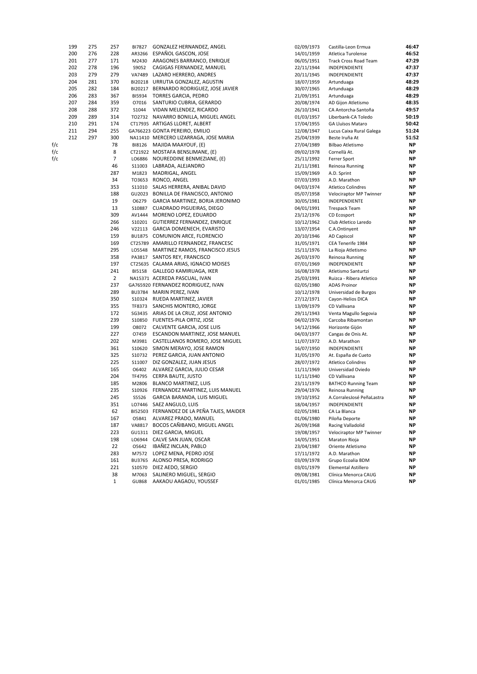|     | 199 | 275 | 257            | BI7827 | GONZALEZ HERNANDEZ, ANGEL                                      | 02/09/1973               | Castilla-Leon Ermua          | 46:47     |
|-----|-----|-----|----------------|--------|----------------------------------------------------------------|--------------------------|------------------------------|-----------|
|     | 200 | 276 | 228            | AR3266 | ESPAÑOL GASCON, JOSE                                           | 14/01/1959               | Atletica Turolense           | 46:52     |
|     | 201 | 277 | 171            | M2430  | ARAGONES BARRANCO, ENRIQUE                                     | 06/05/1951               | <b>Track Cross Road Team</b> | 47:29     |
|     | 202 | 278 | 196            | S9052  | CAGIGAS FERNANDEZ, MANUEL                                      | 22/11/1944               | <b>INDEPENDIENTE</b>         | 47:37     |
|     | 203 | 279 | 279            |        | VA7489 LAZARO HERRERO, ANDRES                                  | 20/11/1945               | INDEPENDIENTE                | 47:37     |
|     | 204 | 281 | 370            |        | BI20218 URRUTIA GONZALEZ, AGUSTIN                              | 18/07/1959               | Artunduaga                   | 48:29     |
|     | 205 | 282 | 184            |        | BI20217 BERNARDO RODRIGUEZ, JOSE JAVIER                        | 30/07/1965               | Artunduaga                   | 48:29     |
|     | 206 | 283 | 367            |        | BI5934 TORRES GARCIA, PEDRO                                    | 21/09/1951               | Artunduaga                   | 48:29     |
|     | 207 | 284 | 359            | 07016  | SANTURIO CUBRIA, GERARDO                                       | 20/08/1974               | AD Gijon Atletismo           | 48:35     |
|     | 208 | 288 | 372            | S1044  | VIDAN MELENDEZ, RICARDO                                        | 26/10/1941               | CA Antorcha-Santoña          | 49:57     |
|     | 209 | 289 | 314            |        | TO2732 NAVARRO BONILLA, MIGUEL ANGEL                           | 01/03/1957               | Liberbank-CA Toledo          | 50:19     |
|     | 210 | 291 | 174            |        | CT17935 ARTIGAS LLORET, ALBERT                                 | 17/04/1955               | GA Lluïsos Mataro            | 50:42     |
|     | 211 | 294 | 255            |        | GA766223 GONTA PEREIRO, EMILIO                                 | 12/08/1947               | Lucus Caixa Rural Galega     | 51:24     |
|     | 212 | 297 | 300            |        | NA11410 MERCERO LIZARRAGA, JOSE MARIA                          | 25/04/1939               | Beste Iruña At               | 51:52     |
| f/c |     |     | 78             | BI8126 |                                                                |                          | Bilbao Atletismo             | <b>NP</b> |
|     |     |     |                |        | MAJIDA MAAYOUF, (E)                                            | 27/04/1989               |                              | <b>NP</b> |
| f/c |     |     | 8              |        | CT21922 MOSTAFA BENSLIMANE, (E)                                | 09/02/1978               | Cornellà At.                 |           |
| f/c |     |     | $\overline{7}$ |        | LO6886 NOUREDDINE BENMEZIANE, (E)                              | 25/11/1992               | Ferrer Sport                 | <b>NP</b> |
|     |     |     | 46             |        | S11003 LABRADA, ALEJANDRO                                      | 21/11/1981               | Reinosa Running              | <b>NP</b> |
|     |     |     | 287            | M1823  | MADRIGAL, ANGEL                                                | 15/09/1969               | A.D. Sprint                  | <b>NP</b> |
|     |     |     | 34             |        | TO3653 RONCO, ANGEL                                            | 07/03/1993               | A.D. Marathon                | <b>NP</b> |
|     |     |     | 353            |        | S11010 SALAS HERRERA, ANIBAL DAVID                             | 04/03/1974               | <b>Atletico Colindres</b>    | <b>NP</b> |
|     |     |     | 188            |        | GU2023 BONILLA DE FRANCISCO, ANTONIO                           | 05/07/1958               | Velociraptor MP Twinner      | <b>NP</b> |
|     |     |     | 19             | 06279  | GARCIA MARTINEZ, BORJA JERONIMO                                | 30/05/1981               | INDEPENDIENTE                | <b>NP</b> |
|     |     |     | 13             |        | S10887 CUADRADO PIGUEIRAS, DIEGO                               | 04/01/1991               | <b>Trespack Team</b>         | <b>NP</b> |
|     |     |     | 309            |        | AV1444 MORENO LOPEZ, EDUARDO                                   | 23/12/1976               | CD Ecosport                  | <b>NP</b> |
|     |     |     | 266            |        | S10201 GUTIERREZ FERNANDEZ, ENRIQUE                            | 10/12/1962               | Club Atletico Laredo         | <b>NP</b> |
|     |     |     | 246            |        | V22113 GARCIA DOMENECH, EVARISTO                               | 13/07/1954               | C.A.Ontinyent                | <b>NP</b> |
|     |     |     | 159            |        | BU1875 COMUNION ARCE, FLORENCIO                                | 20/10/1946               | AD Capiscol                  | <b>NP</b> |
|     |     |     | 169            |        | CT25789 AMARILLO FERNANDEZ, FRANCESC                           | 31/05/1971               | CEA Tenerife 1984            | <b>NP</b> |
|     |     |     | 295            |        | LO5548 MARTINEZ RAMOS, FRANCISCO JESUS                         | 15/11/1976               | La Rioja Atletismo           | <b>NP</b> |
|     |     |     | 358            |        | PA3817 SANTOS REY, FRANCISCO                                   | 26/03/1970               | Reinosa Running              | <b>NP</b> |
|     |     |     | 197            |        | CT25635 CALAMA ARIAS, IGNACIO MOISES                           | 07/01/1969               | INDEPENDIENTE                | <b>NP</b> |
|     |     |     | 241            |        | BI5158 GALLEGO KAMIRUAGA, IKER                                 | 16/08/1978               | Atletismo Santurtzi          | <b>NP</b> |
|     |     |     | 2              |        | NA15371 ACEREDA PASCUAL, IVAN                                  | 25/03/1991               | Ruizca - Ribera Atletico     | <b>NP</b> |
|     |     |     | 237            |        | GA765920 FERNANDEZ RODRIGUEZ, IVAN                             | 02/05/1980               | <b>ADAS Proinor</b>          | <b>NP</b> |
|     |     |     | 289            |        | BU3784 MARIN PEREZ, IVAN                                       | 10/12/1978               | Universidad de Burgos        | <b>NP</b> |
|     |     |     | 350            |        | S10324 RUEDA MARTINEZ, JAVIER                                  | 27/12/1971               | Cayon-Helios DICA            | <b>NP</b> |
|     |     |     | 355            |        | TF8373 SANCHIS MONTERO, JORGE                                  | 13/09/1979               | CD Vallivana                 | <b>NP</b> |
|     |     |     | 172            |        | SG3435 ARIAS DE LA CRUZ, JOSE ANTONIO                          | 29/11/1943               | Venta Magullo Segovia        | <b>NP</b> |
|     |     |     | 239            |        | S10850 FUENTES-PILA ORTIZ, JOSE                                | 04/02/1976               | Carcoba Ribamontan           | <b>NP</b> |
|     |     |     | 199            |        | 08072 CALVENTE GARCIA, JOSE LUIS                               | 14/12/1966               | Horizonte Gijón              | <b>NP</b> |
|     |     |     | 227            | 07459  | ESCANDON MARTINEZ, JOSE MANUEL                                 | 04/03/1977               | Cangas de Onis At.           | <b>NP</b> |
|     |     |     | 202            | M3981  | CASTELLANOS ROMERO, JOSE MIGUEL                                | 11/07/1972               | A.D. Marathon                | <b>NP</b> |
|     |     |     | 361            |        | S10620 SIMON MERAYO, JOSE RAMON                                | 16/07/1950               | INDEPENDIENTE                | <b>NP</b> |
|     |     |     | 325            |        | S10732 PEREZ GARCIA, JUAN ANTONIO                              | 31/05/1970               | At. España de Cueto          | <b>NP</b> |
|     |     |     | 225            |        | S11007 DIZ GONZALEZ, JUAN JESUS                                | 28/07/1972               | <b>Atletico Colindres</b>    | <b>NP</b> |
|     |     |     | 165            |        |                                                                |                          | Universidad Oviedo           | <b>NP</b> |
|     |     |     | 204            | TF4795 | 06402 ALVAREZ GARCIA, JULIO CESAR<br><b>CERPA BAUTE, JUSTO</b> | 11/11/1969<br>11/11/1940 | CD Vallivana                 | <b>NP</b> |
|     |     |     | 185            | M2806  | <b>BLANCO MARTINEZ, LUIS</b>                                   | 23/11/1979               | <b>BATHCO Running Team</b>   | <b>NP</b> |
|     |     |     | 235            |        |                                                                |                          | Reinosa Running              | <b>NP</b> |
|     |     |     | 245            |        | S10926 FERNANDEZ MARTINEZ, LUIS MANUEL                         | 29/04/1976               |                              | <b>NP</b> |
|     |     |     |                | S5526  | GARCIA BARANDA, LUIS MIGUEL                                    | 19/10/1952               | A.CorralesJosé PeñaLastra    |           |
|     |     |     | 351            |        | LO7446 SAEZ ANGULO, LUIS                                       | 18/04/1957               | INDEPENDIENTE                | <b>NP</b> |
|     |     |     | 62             |        | BI52503 FERNANDEZ DE LA PEÑA TAJES, MAIDER                     | 02/05/1981               | CA La Blanca                 | <b>NP</b> |
|     |     |     | 167            | 05841  | ALVAREZ PRADO, MANUEL                                          | 01/06/1980               | Piloña Deporte               | <b>NP</b> |
|     |     |     | 187            |        | VA8817 BOCOS CAÑIBANO, MIGUEL ANGEL                            | 26/09/1968               | Racing Valladolid            | <b>NP</b> |
|     |     |     | 223            |        | GU1311 DIEZ GARCIA, MIGUEL                                     | 19/08/1957               | Velociraptor MP Twinner      | <b>NP</b> |
|     |     |     | 198            | LO6944 | CALVE SAN JUAN, OSCAR                                          | 14/05/1951               | Maraton Rioja                | <b>NP</b> |
|     |     |     | 22             | 05642  | IBAÑEZ INCLAN, PABLO                                           | 23/04/1987               | Oriente Atletismo            | <b>NP</b> |
|     |     |     | 283            |        | M7572 LOPEZ MENA, PEDRO JOSE                                   | 17/11/1972               | A.D. Marathon                | <b>NP</b> |
|     |     |     | 161            |        | BU3765 ALONSO PRESA, RODRIGO                                   | 03/09/1978               | Grupo Ecoalia BDM            | ΝP        |
|     |     |     | 221            | S10570 | DIEZ AEDO, SERGIO                                              | 03/01/1979               | Elemental Astillero          | ΝP        |
|     |     |     | 38             | M7063  | SALINERO MIGUEL, SERGIO                                        | 09/08/1981               | Clínica Menorca CAUG         | ΝP        |
|     |     |     | 1              | GU868  | AAKAOU AAGAOU, YOUSSEF                                         | 01/01/1985               | Clínica Menorca CAUG         | <b>NP</b> |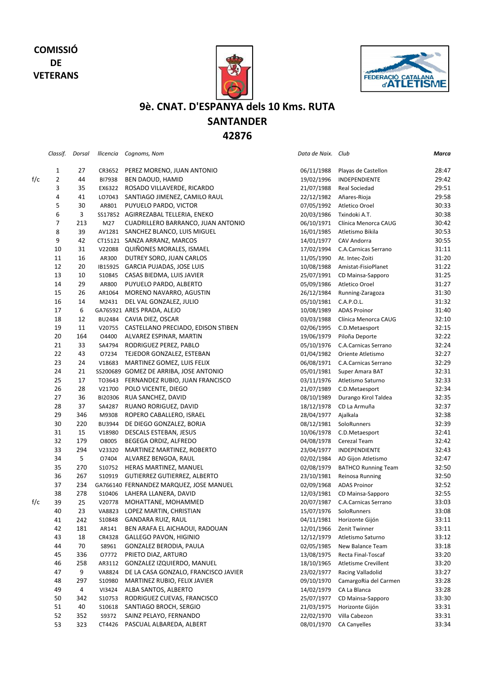**COMISSIÓ DE VETERANS**





# **9è. CNAT. D'ESPANYA dels 10 Kms. RUTA SANTANDER**

*Classif. Dorsal llicencia Cognoms, Nom Data de Naix. Club Marca*

|     | 1              | 27             | CR3652        | PEREZ MORENO, JUAN ANTONIO              | 06/11/1988 | Playas de Castellon        | 28:47 |
|-----|----------------|----------------|---------------|-----------------------------------------|------------|----------------------------|-------|
| f/c | $\overline{2}$ | 44             | BI7938        | BEN DAOUD, HAMID                        | 19/02/1996 | INDEPENDIENTE              | 29:42 |
|     | 3              | 35             | EX6322        | ROSADO VILLAVERDE, RICARDO              | 21/07/1988 | Real Sociedad              | 29:51 |
|     | 4              | 41             | LO7043        | SANTIAGO JIMENEZ, CAMILO RAUL           | 22/12/1982 | Añares-Rioja               | 29:58 |
|     | 5              | 30             | AR801         | PUYUELO PARDO, VICTOR                   | 07/05/1992 | Atletico Oroel             | 30:33 |
|     | 6              | 3              |               | SS17852 AGIRREZABAL TELLERIA, ENEKO     | 20/03/1986 | Txindoki A.T.              | 30:38 |
|     | 7              | 213            | M27           | CUADRILLERO BARRANCO, JUAN ANTONIO      | 06/10/1971 | Clínica Menorca CAUG       | 30:42 |
|     | 8              | 39             |               | AV1281 SANCHEZ BLANCO, LUIS MIGUEL      | 16/01/1985 | Atletismo Bikila           | 30:53 |
|     | 9              | 42             |               | CT15121 SANZA ARRANZ, MARCOS            | 14/01/1977 | CAV Andorra                | 30:55 |
|     | 10             | 31             | V22088        | QUIÑONES MORALES, ISMAEL                | 17/02/1994 | C.A.Carnicas Serrano       | 31:11 |
|     | 11             | 16             | AR300         | DUTREY SORO, JUAN CARLOS                | 11/05/1990 | At. Intec-Zoiti            | 31:20 |
|     | 12             | 20             | IB15925       | GARCIA PUJADAS, JOSE LUIS               | 10/08/1988 | Amistat-FisioPlanet        | 31:22 |
|     | 13             | 10             | S10845        | CASAS BIEDMA, LUIS JAVIER               | 25/07/1991 | CD Mainsa-Sapporo          | 31:25 |
|     | 14             | 29             | AR800         | PUYUELO PARDO, ALBERTO                  | 05/09/1986 | Atletico Oroel             | 31:27 |
|     | 15             | 26             | AR1064        | MORENO NAVARRO, AGUSTIN                 | 26/12/1984 | Running-Zaragoza           | 31:30 |
|     | 16             | 14             | M2431         | DEL VAL GONZALEZ, JULIO                 | 05/10/1981 | C.A.P.O.L.                 | 31:32 |
|     | 17             | 6              |               | GA765921 ARES PRADA, ALEJO              | 10/08/1989 | <b>ADAS Proinor</b>        | 31:40 |
|     | 18             | 12             | BU2484        | CAVIA DIEZ, OSCAR                       | 03/03/1988 | Clínica Menorca CAUG       | 32:10 |
|     | 19             | 11             | V20755        | CASTELLANO PRECIADO, EDISON STIBEN      | 02/06/1995 | C.D.Metaesport             | 32:15 |
|     | 20             | 164            | 04400         | ALVAREZ ESPINAR, MARTIN                 | 19/06/1979 | Piloña Deporte             | 32:22 |
|     | 21             | 33             | SA4794        | RODRIGUEZ PEREZ, PABLO                  | 05/10/1976 | C.A.Carnicas Serrano       | 32:24 |
|     | 22             | 43             | 07234         | TEJEDOR GONZALEZ, ESTEBAN               | 01/04/1982 | Oriente Atletismo          | 32:27 |
|     | 23             | 24             | V18683        | MARTINEZ GOMEZ, LUIS FELIX              | 06/08/1971 | C.A.Carnicas Serrano       | 32:29 |
|     | 24             | 21             |               | SS200689 GOMEZ DE ARRIBA, JOSE ANTONIO  | 05/01/1981 | Super Amara BAT            | 32:31 |
|     | 25             | 17             | TO3643        | FERNANDEZ RUBIO, JUAN FRANCISCO         | 03/11/1976 | Atletismo Saturno          | 32:33 |
|     | 26             | 28             | V21700        | POLO VICENTE, DIEGO                     | 21/07/1989 | C.D.Metaesport             | 32:34 |
|     | 27             | 36             | BI20306       | RUA SANCHEZ, DAVID                      | 08/10/1989 | Durango Kirol Taldea       | 32:35 |
|     | 28             | 37             | SA4287        | RUANO RORIGUEZ, DAVID                   | 18/12/1978 | CD La Armuña               | 32:37 |
|     | 29             | 346            | M9308         | ROPERO CABALLERO, ISRAEL                | 28/04/1977 | Ajalkala                   | 32:38 |
|     | 30             | 220            | <b>BU3944</b> | DE DIEGO GONZALEZ, BORJA                | 08/12/1981 | SoloRunners                | 32:39 |
|     | 31             | 15             | V18980        | DESCALS ESTEBAN, JESUS                  | 10/06/1978 | C.D.Metaesport             | 32:41 |
|     | 32             | 179            | 08005         | BEGEGA ORDIZ, ALFREDO                   | 04/08/1978 | Cerezal Team               | 32:42 |
|     | 33             | 294            | V23320        | MARTINEZ MARTINEZ, ROBERTO              | 23/04/1977 | INDEPENDIENTE              | 32:43 |
|     | 34             | 5              | 07404         | ALVAREZ BENGOA, RAUL                    | 02/02/1984 | AD Gijon Atletismo         | 32:47 |
|     | 35             | 270            | S10752        | HERAS MARTINEZ, MANUEL                  | 02/08/1979 | <b>BATHCO Running Team</b> | 32:50 |
|     | 36             | 267            | S10919        | <b>GUTIERREZ GUTIERREZ, ALBERTO</b>     | 23/10/1981 | Reinosa Running            | 32:50 |
|     | 37             | 234            |               | GA766140 FERNANDEZ MARQUEZ, JOSE MANUEL | 02/09/1968 | <b>ADAS Proinor</b>        | 32:52 |
|     | 38             | 278            | S10406        | LAHERA LLANERA, DAVID                   | 12/03/1981 | CD Mainsa-Sapporo          | 32:55 |
| f/c | 39             | 25             | V20778        | MOHATTANE, MOHAMMED                     | 20/07/1987 | C.A.Carnicas Serrano       | 33:03 |
|     | 40             | 23             | VA8823        | LOPEZ MARTIN, CHRISTIAN                 | 15/07/1976 | SoloRunners                | 33:08 |
|     | 41             | 242            | S10848        | GANDARA RUIZ, RAUL                      | 04/11/1981 | Horizonte Gijón            | 33:11 |
|     | 42             | 181            | AR141         | BEN ARAFA EL AICHAOUI, RADOUAN          | 12/01/1966 | Zenit Twinner              | 33:11 |
|     | 43             | 18             | CR4328        | GALLEGO PAVON, HIGINIO                  | 12/12/1979 | Atletismo Saturno          | 33:12 |
|     | 44             | 70             | S8961         | GONZALEZ BERODIA, PAULA                 | 02/05/1985 | New Balance Team           | 33:18 |
|     | 45             | 336            | 07772         | PRIETO DIAZ, ARTURO                     | 13/08/1975 | Recta Final-Toscaf         | 33:20 |
|     | 46             | 258            | AR3112        | GONZALEZ IZQUIERDO, MANUEL              | 18/10/1965 | Atletisme Crevillent       | 33:20 |
|     | 47             | 9              | VA8824        | DE LA CASA GONZALO, FRANCISCO JAVIER    | 23/02/1977 | Racing Valladolid          | 33:27 |
|     | 48             | 297            | S10980        | MARTINEZ RUBIO, FELIX JAVIER            | 09/10/1970 | CamargoRia del Carmen      | 33:28 |
|     | 49             | $\overline{4}$ | VI3424        | ALBA SANTOS, ALBERTO                    | 14/02/1979 | CA La Blanca               | 33:28 |
|     | 50             | 342            | S10753        | RODRIGUEZ CUEVAS, FRANCISCO             | 25/07/1977 | CD Mainsa-Sapporo          | 33:30 |
|     | 51             | 40             | S10618        | SANTIAGO BROCH, SERGIO                  | 21/03/1975 | Horizonte Gijón            | 33:31 |
|     | 52             | 352            | S9372         | SAINZ PELAYO, FERNANDO                  | 22/02/1970 | Villa Cabezon              | 33:31 |
|     | 53             | 323            | CT4426        | PASCUAL ALBAREDA, ALBERT                | 08/01/1970 | CA Canyelles               | 33:34 |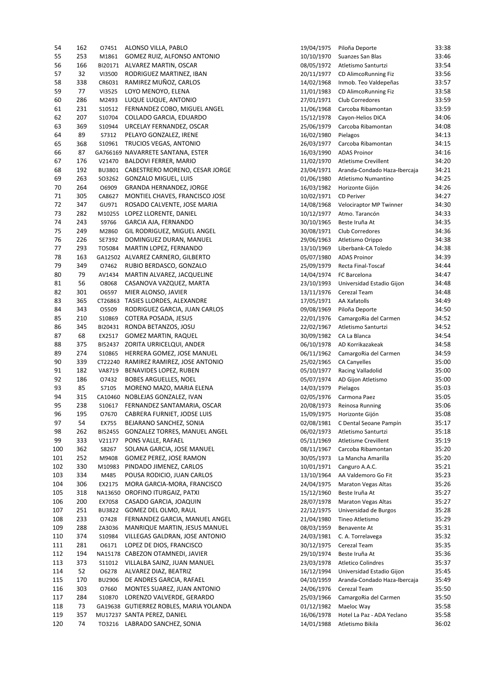| 54  | 162 | 07451         | ALONSO VILLA, PABLO                     | 19/04/1975 | Piloña Deporte               | 33:38 |
|-----|-----|---------------|-----------------------------------------|------------|------------------------------|-------|
| 55  | 253 | M1861         | <b>GOMEZ RUIZ, ALFONSO ANTONIO</b>      | 10/10/1970 | Suanzes San Blas             | 33:46 |
| 56  | 166 |               | BI20171 ALVAREZ MARTIN, OSCAR           | 08/05/1972 | Atletismo Santurtzi          | 33:54 |
| 57  | 32  | VI3500        |                                         | 20/11/1977 |                              |       |
|     |     |               | RODRIGUEZ MARTINEZ, IBAN                |            | CD AlimcoRunning Fiz         | 33:56 |
| 58  | 338 |               | CR6031 RAMIREZ MUÑOZ, CARLOS            | 14/02/1968 | Inmob. Teo Valdepeñas        | 33:57 |
| 59  | 77  | VI3525        | LOYO MENOYO, ELENA                      | 11/01/1983 | CD AlimcoRunning Fiz         | 33:58 |
| 60  | 286 | M2493         | LUQUE LUQUE, ANTONIO                    | 27/01/1971 | Club Corredores              | 33:59 |
| 61  | 231 | S10512        | FERNANDEZ COBO, MIGUEL ANGEL            | 11/06/1968 | Carcoba Ribamontan           | 33:59 |
| 62  | 207 | S10704        | COLLADO GARCIA, EDUARDO                 | 15/12/1978 | Cayon-Helios DICA            | 34:06 |
| 63  | 369 | S10944        | URCELAY FERNANDEZ, OSCAR                | 25/06/1979 | Carcoba Ribamontan           | 34:08 |
| 64  | 89  | S7312         | PELAYO GONZALEZ, IRENE                  | 16/02/1980 | Pielagos                     | 34:13 |
|     |     |               |                                         |            |                              |       |
| 65  | 368 | S10961        | TRUCIOS VEGAS, ANTONIO                  | 26/03/1977 | Carcoba Ribamontan           | 34:15 |
| 66  | 87  |               | GA766169 NAVARRETE SANTANA, ESTER       | 16/03/1990 | <b>ADAS Proinor</b>          | 34:16 |
| 67  | 176 | V21470        | <b>BALDOVI FERRER, MARIO</b>            | 11/02/1970 | Atletisme Crevillent         | 34:20 |
| 68  | 192 |               | BU3801 CABESTRERO MORENO, CESAR JORGE   | 23/04/1971 | Aranda-Condado Haza-Ibercaja | 34:21 |
| 69  | 263 |               | SO3262 GONZALO MIGUEL, LUIS             | 01/06/1980 | Atletismo Numantino          | 34:25 |
| 70  | 264 | O6909         | GRANDA HERNANDEZ, JORGE                 | 16/03/1982 | Horizonte Gijón              | 34:26 |
| 71  | 305 | CA8627        | MONTIEL CHAVES, FRANCISCO JOSE          | 10/02/1971 | <b>CD Periver</b>            | 34:27 |
| 72  | 347 | GU971         | ROSADO CALVENTE, JOSE MARIA             | 14/08/1968 | Velociraptor MP Twinner      | 34:30 |
|     |     |               |                                         |            |                              |       |
| 73  | 282 |               | M10255 LOPEZ LLORENTE, DANIEL           | 10/12/1977 | Atmo. Tarancón               | 34:33 |
| 74  | 243 | S9766         | GARCIA AJA, FERNANDO                    | 30/10/1965 | Beste Iruña At               | 34:35 |
| 75  | 249 | M2860         | GIL RODRIGUEZ, MIGUEL ANGEL             | 30/08/1971 | Club Corredores              | 34:36 |
| 76  | 226 | SE7392        | DOMINGUEZ DURAN, MANUEL                 | 29/06/1963 | Atletismo Orippo             | 34:38 |
| 77  | 293 | TO5084        | MARTIN LOPEZ, FERNANDO                  | 13/10/1969 | Liberbank-CA Toledo          | 34:38 |
| 78  | 163 |               | GA12502 ALVAREZ CARNERO, GILBERTO       | 05/07/1980 | <b>ADAS Proinor</b>          | 34:39 |
| 79  | 349 | 07462         | RUBIO BERDASCO, GONZALO                 | 25/09/1979 | Recta Final-Toscaf           | 34:44 |
|     |     |               |                                         |            |                              |       |
| 80  | 79  | AV1434        | MARTIN ALVAREZ, JACQUELINE              | 14/04/1974 | FC Barcelona                 | 34:47 |
| 81  | 56  | 08068         | CASANOVA VAZQUEZ, MARTA                 | 23/10/1993 | Universidad Estadio Gijon    | 34:48 |
| 82  | 301 | 06597         | MIER ALONSO, JAVIER                     | 13/11/1976 | Cerezal Team                 | 34:48 |
| 83  | 365 |               | CT26863 TASIES LLORDES, ALEXANDRE       | 17/05/1971 | AA Xafatolls                 | 34:49 |
| 84  | 343 | 05509         | RODRIGUEZ GARCIA, JUAN CARLOS           | 09/08/1969 | Piloña Deporte               | 34:50 |
| 85  | 210 | S10869        | COTERA POSADA, JESUS                    | 22/01/1976 | CamargoRia del Carmen        | 34:52 |
| 86  | 345 |               | BI20431 RONDA BETANZOS, JOSU            | 22/02/1967 | Atletismo Santurtzi          | 34:52 |
| 87  | 68  | EX2517        | <b>GOMEZ MARTIN, RAQUEL</b>             | 30/09/1982 | CA La Blanca                 | 34:54 |
|     |     |               |                                         |            |                              |       |
| 88  | 375 | BI52437       | ZORITA URRICELQUI, ANDER                | 06/10/1978 | AD Korrikazakeak             | 34:58 |
| 89  | 274 | S10865        | HERRERA GOMEZ, JOSE MANUEL              | 06/11/1962 | CamargoRia del Carmen        | 34:59 |
| 90  | 339 |               | CT22240 RAMIREZ RAMIREZ, JOSE ANTONIO   | 25/02/1965 | CA Canyelles                 | 35:00 |
| 91  | 182 | VA8719        | BENAVIDES LOPEZ, RUBEN                  | 05/10/1977 | Racing Valladolid            | 35:00 |
| 92  | 186 | 07432         | BOBES ARGUELLES, NOEL                   | 05/07/1974 | AD Gijon Atletismo           | 35:00 |
| 93  | 85  | S7105         | MORENO MAZO, MARIA ELENA                | 14/03/1979 | Pielagos                     | 35:03 |
| 94  | 315 |               | CA10460 NOBLEJAS GONZALEZ, IVAN         | 02/05/1976 | Carmona Paez                 | 35:05 |
| 95  | 238 |               | FERNANDEZ SANTAMARIA, OSCAR             |            |                              | 35:06 |
|     |     | S10617        |                                         | 20/08/1973 | Reinosa Running              |       |
| 96  | 195 | 07670         | CABRERA FURNIET, JODSE LUIS             | 15/09/1975 | Horizonte Gijón              | 35:08 |
| 97  | 54  | EX755         | BEJARANO SANCHEZ, SONIA                 | 02/08/1981 | C Dental Seoane Pampín       | 35:17 |
| 98  | 262 | BI52455       | GONZALEZ TORRES, MANUEL ANGEL           | 06/02/1973 | Atletismo Santurtzi          | 35:18 |
| 99  | 333 | V21177        | PONS VALLE, RAFAEL                      | 05/11/1969 | Atletisme Crevillent         | 35:19 |
| 100 | 362 | S8267         | SOLANA GARCIA, JOSE MANUEL              | 08/11/1967 | Carcoba Ribamontan           | 35:20 |
| 101 | 252 | M9408         | GOMEZ PEREZ, JOSE RAMON                 | 30/05/1973 | La Mancha Amarilla           | 35:20 |
| 102 | 330 | M10983        | PINDADO JIMENEZ, CARLOS                 | 10/01/1971 | Canguro A.A.C.               | 35:21 |
|     |     |               |                                         |            |                              |       |
| 103 | 334 | M485          | POUSA RODICIO, JUAN CARLOS              | 13/10/1964 | AA Valdemoro Go Fit          | 35:23 |
| 104 | 306 | EX2175        | MORA GARCIA-MORA, FRANCISCO             | 24/04/1975 | <b>Maraton Vegas Altas</b>   | 35:26 |
| 105 | 318 |               | NA13650 OROFINO ITURGAIZ, PATXI         | 15/12/1960 | Beste Iruña At               | 35:27 |
| 106 | 200 | EX7058        | CASADO GARCIA, JOAQUIN                  | 28/07/1978 | Maraton Vegas Altas          | 35:27 |
| 107 | 251 | <b>BU3822</b> | GOMEZ DEL OLMO, RAUL                    | 22/12/1975 | Universidad de Burgos        | 35:28 |
| 108 | 233 | 07428         | FERNANDEZ GARCIA, MANUEL ANGEL          | 21/04/1980 | Tineo Atletismo              | 35:29 |
| 109 | 288 | ZA3036        | MANRIQUE MARTIN, JESUS MANUEL           | 08/03/1959 | Benavente At                 | 35:31 |
|     |     |               |                                         |            |                              |       |
| 110 | 374 | S10984        | VILLEGAS GALDRAN, JOSE ANTONIO          | 24/03/1981 | C. A. Torrelavega            | 35:32 |
| 111 | 281 | 06171         | LOPEZ DE DIOS, FRANCISCO                | 30/12/1975 | Cerezal Team                 | 35:35 |
| 112 | 194 |               | NA15178 CABEZON OTAMNEDI, JAVIER        | 29/10/1974 | Beste Iruña At               | 35:36 |
| 113 | 373 | S11012        | VILLALBA SAINZ, JUAN MANUEL             | 23/03/1978 | <b>Atletico Colindres</b>    | 35:37 |
| 114 | 52  | 06278         | ALVAREZ DIAZ, BEATRIZ                   | 16/12/1994 | Universidad Estadio Gijon    | 35:45 |
| 115 | 170 | BU2906        | DE ANDRES GARCIA, RAFAEL                | 04/10/1959 | Aranda-Condado Haza-Ibercaja | 35:49 |
| 116 | 303 | 07660         | MONTES SUAREZ, JUAN ANTONIO             | 24/06/1976 | Cerezal Team                 | 35:50 |
| 117 | 284 | S10870        | LORENZO VALVERDE, GERARDO               | 25/03/1966 | CamargoRia del Carmen        | 35:50 |
|     |     |               |                                         |            |                              |       |
| 118 | 73  |               | GA19638 GUTIERREZ ROBLES, MARIA YOLANDA | 01/12/1982 | Maeloc Way                   | 35:58 |
| 119 | 357 |               | MU17237 SANTA PEREZ, DANIEL             | 16/06/1978 | Hotel La Paz - ADA Yeclano   | 35:58 |
| 120 | 74  | TO3216        | LABRADO SANCHEZ, SONIA                  | 14/01/1988 | Atletismo Bikila             | 36:02 |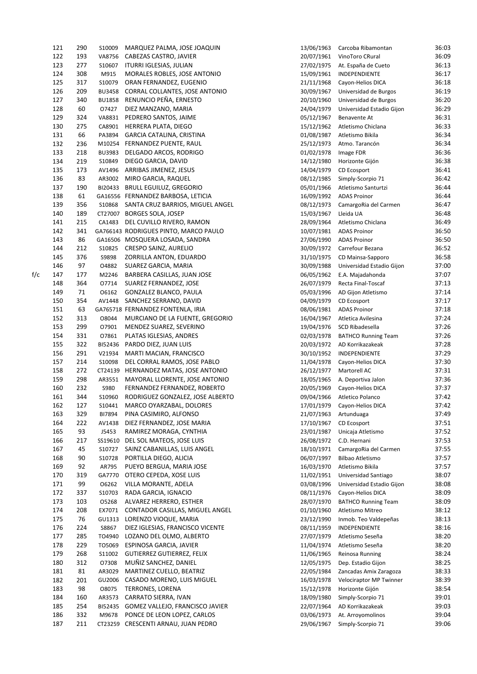|     | 121 | 290 | S10009        | MARQUEZ PALMA, JOSE JOAQUIN           | 13/06/1963 | Carcoba Ribamontan         | 36:03 |
|-----|-----|-----|---------------|---------------------------------------|------------|----------------------------|-------|
|     | 122 | 193 | VA8756        | CABEZAS CASTRO, JAVIER                | 20/07/1961 | VinoToro CRural            | 36:09 |
|     | 123 | 277 | S10607        | ITURRI IGLESIAS, JULIAN               | 27/02/1975 | At. España de Cueto        | 36:13 |
|     | 124 | 308 | M915          | MORALES ROBLES, JOSE ANTONIO          | 15/09/1961 | INDEPENDIENTE              | 36:17 |
|     | 125 | 317 | S10079        | ORAN FERNANDEZ, EUGENIO               | 21/11/1968 | Cayon-Helios DICA          | 36:18 |
|     | 126 | 209 | <b>BU3458</b> |                                       |            |                            | 36:19 |
|     |     |     |               | CORRAL COLLANTES, JOSE ANTONIO        | 30/09/1967 | Universidad de Burgos      |       |
|     | 127 | 340 | <b>BU1858</b> | RENUNCIO PEÑA, ERNESTO                | 20/10/1960 | Universidad de Burgos      | 36:20 |
|     | 128 | 60  | 07427         | DIEZ MANZANO, MARIA                   | 24/04/1979 | Universidad Estadio Gijon  | 36:29 |
|     | 129 | 324 | VA8831        | PEDRERO SANTOS, JAIME                 | 05/12/1967 | Benavente At               | 36:31 |
|     | 130 | 275 |               | CA8901 HERRERA PLATA, DIEGO           | 15/12/1962 | Atletismo Chiclana         | 36:33 |
|     | 131 | 66  | PA3894        | GARCIA CATALINA, CRISTINA             | 01/08/1987 | Atletismo Bikila           | 36:34 |
|     | 132 | 236 | M10254        | FERNANDEZ PUENTE, RAUL                | 25/12/1973 | Atmo. Tarancón             | 36:34 |
|     | 133 | 218 | <b>BU3983</b> | DELGADO ARCOS, RODRIGO                | 01/02/1978 | Image FDR                  | 36:36 |
|     | 134 | 219 | S10849        | DIEGO GARCIA, DAVID                   | 14/12/1980 | Horizonte Gijón            | 36:38 |
|     | 135 | 173 |               | AV1496 ARRIBAS JIMENEZ, JESUS         | 14/04/1979 | CD Ecosport                | 36:41 |
|     | 136 | 83  |               | AR3002 MIRO GARCIA, RAQUEL            | 08/12/1985 | Simply-Scorpio 71          | 36:42 |
|     | 137 | 190 | BI20433       | <b>BRULL EGUILUZ, GREGORIO</b>        | 05/01/1966 | Atletismo Santurtzi        | 36:44 |
|     |     |     |               |                                       |            |                            |       |
|     | 138 | 61  |               | GA16556 FERNANDEZ BARBOSA, LETICIA    | 16/09/1992 | <b>ADAS Proinor</b>        | 36:44 |
|     | 139 | 356 | S10868        | SANTA CRUZ BARRIOS, MIGUEL ANGEL      | 08/12/1973 | CamargoRia del Carmen      | 36:47 |
|     | 140 | 189 |               | CT27007 BORGES SOLA, JOSEP            | 15/03/1967 | Lleida UA                  | 36:48 |
|     | 141 | 215 |               | CA1483 DEL CUVILLO RIVERO, RAMON      | 28/09/1964 | Atletismo Chiclana         | 36:49 |
|     | 142 | 341 |               | GA766143 RODRIGUES PINTO, MARCO PAULO | 10/07/1981 | <b>ADAS Proinor</b>        | 36:50 |
|     | 143 | 86  |               | GA16506 MOSQUERA LOSADA, SANDRA       | 27/06/1990 | <b>ADAS Proinor</b>        | 36:50 |
|     | 144 | 212 | S10825        | CRESPO SAINZ, AURELIO                 | 30/09/1972 | Carrefour Bezana           | 36:52 |
|     | 145 | 376 | S9898         | ZORRILLA ANTON, EDUARDO               | 31/10/1975 | CD Mainsa-Sapporo          | 36:58 |
|     | 146 | 97  | 04882         | SUAREZ GARCIA, MARIA                  | 30/09/1988 | Universidad Estadio Gijon  | 37:00 |
| f/c | 147 | 177 | M2246         | BARBERA CASILLAS, JUAN JOSE           | 06/05/1962 | E.A. Majadahonda           | 37:07 |
|     |     | 364 |               |                                       |            |                            | 37:13 |
|     | 148 |     | 07714         | SUAREZ FERNANDEZ, JOSE                | 26/07/1979 | Recta Final-Toscaf         |       |
|     | 149 | 71  | 06162         | GONZALEZ BLANCO, PAULA                | 05/03/1996 | AD Gijon Atletismo         | 37:14 |
|     | 150 | 354 | AV1448        | SANCHEZ SERRANO, DAVID                | 04/09/1979 | CD Ecosport                | 37:17 |
|     | 151 | 63  |               | GA765718 FERNANDEZ FONTENLA, IRIA     | 08/06/1981 | <b>ADAS Proinor</b>        | 37:18 |
|     | 152 | 313 | 08044         | MURCIANO DE LA FUENTE, GREGORIO       | 16/04/1967 | Atletica Avilesina         | 37:24 |
|     | 153 | 299 | 07901         | MENDEZ SUAREZ, SEVERINO               | 19/04/1976 | SCD Ribadesella            | 37:26 |
|     | 154 | 331 | 07861         | PLATAS IGLESIAS, ANDRES               | 02/03/1978 | <b>BATHCO Running Team</b> | 37:26 |
|     | 155 | 322 | BI52436       | PARDO DIEZ, JUAN LUIS                 | 20/03/1972 | AD Korrikazakeak           | 37:28 |
|     | 156 | 291 | V21934        | MARTI MACIAN, FRANCISCO               | 30/10/1952 | INDEPENDIENTE              | 37:29 |
|     | 157 | 214 | S10098        | DEL CORRAL RAMOS, JOSE PABLO          | 11/04/1978 | Cayon-Helios DICA          | 37:30 |
|     | 158 | 272 |               | CT24139 HERNANDEZ MATAS, JOSE ANTONIO | 26/12/1977 | Martorell AC               | 37:31 |
|     | 159 | 298 |               | MAYORAL LLORENTE, JOSE ANTONIO        |            |                            | 37:36 |
|     |     |     | AR3551        |                                       | 18/05/1965 | A. Deportiva Jalon         |       |
|     | 160 | 232 | S980          | FERNANDEZ FERNANDEZ, ROBERTO          | 20/05/1969 | Cayon-Helios DICA          | 37:37 |
|     | 161 | 344 | S10960        | RODRIGUEZ GONZALEZ, JOSE ALBERTO      | 09/04/1966 | Atletico Polanco           | 37:42 |
|     | 162 | 127 | S10441        | MARCO OYARZABAL, DOLORES              | 17/01/1979 | Cayon-Helios DICA          | 37:42 |
|     | 163 | 329 | BI7894        | PINA CASIMIRO, ALFONSO                | 21/07/1963 | Artunduaga                 | 37:49 |
|     | 164 | 222 | AV1438        | DIEZ FERNANDEZ, JOSE MARIA            | 17/10/1967 | CD Ecosport                | 37:51 |
|     | 165 | 93  | J5453         | RAMIREZ MORAGA, CYNTHIA               | 23/01/1987 | Unicaja Atletismo          | 37:52 |
|     | 166 | 217 | SS19610       | DEL SOL MATEOS, JOSE LUIS             | 26/08/1972 | C.D. Hernani               | 37:53 |
|     | 167 | 45  | S10727        | SAINZ CABANILLAS, LUIS ANGEL          | 18/10/1971 | CamargoRia del Carmen      | 37:55 |
|     | 168 | 90  | S10728        | PORTILLA DIEGO, ALICIA                | 06/07/1997 | Bilbao Atletismo           | 37:57 |
|     | 169 | 92  | AR795         | PUEYO BERGUA, MARIA JOSE              | 16/03/1970 | Atletismo Bikila           | 37:57 |
|     |     |     |               |                                       |            |                            |       |
|     | 170 | 319 | GA7770        | OTERO CEPEDA, XOSE LUIS               | 11/02/1951 | Universidad Santiago       | 38:07 |
|     | 171 | 99  | 06262         | VILLA MORANTE, ADELA                  | 03/08/1996 | Universidad Estadio Gijon  | 38:08 |
|     | 172 | 337 | S10703        | RADA GARCIA, IGNACIO                  | 08/11/1976 | Cayon-Helios DICA          | 38:09 |
|     | 173 | 103 | 05268         | ALVAREZ HERRERO, ESTHER               | 28/07/1970 | <b>BATHCO Running Team</b> | 38:09 |
|     | 174 | 208 | EX7071        | CONTADOR CASILLAS, MIGUEL ANGEL       | 01/10/1960 | Atletismo Mitreo           | 38:12 |
|     | 175 | 76  | GU1313        | LORENZO VIOQUE, MARIA                 | 23/12/1990 | Inmob. Teo Valdepeñas      | 38:13 |
|     | 176 | 224 | S8867         | DIEZ IGLESIAS, FRANCISCO VICENTE      | 08/11/1959 | INDEPENDIENTE              | 38:16 |
|     | 177 | 285 | TO4940        | LOZANO DEL OLMO, ALBERTO              | 27/07/1979 | Atletismo Seseña           | 38:20 |
|     | 178 | 229 | TO5069        | ESPINOSA GARCIA, JAVIER               | 11/04/1974 | Atletismo Seseña           | 38:20 |
|     | 179 | 268 | S11002        | <b>GUTIERREZ GUTIERREZ, FELIX</b>     | 11/06/1965 | Reinosa Running            | 38:24 |
|     |     |     |               | MUÑIZ SANCHEZ, DANIEL                 |            |                            |       |
|     | 180 | 312 | 07308         |                                       | 12/05/1975 | Dep. Estadio Gijon         | 38:25 |
|     | 181 | 81  | AR3029        | MARTINEZ CUELLO, BEATRIZ              | 22/05/1984 | Zancadas Amix Zaragoza     | 38:33 |
|     | 182 | 201 | GU2006        | CASADO MORENO, LUIS MIGUEL            | 16/03/1978 | Velociraptor MP Twinner    | 38:39 |
|     | 183 | 98  | 08075         | TERRONES, LORENA                      | 15/12/1978 | Horizonte Gijón            | 38:54 |
|     | 184 | 160 | AR3573        | CARRATO SIERRA, IVAN                  | 18/09/1980 | Simply-Scorpio 71          | 39:01 |
|     | 185 | 254 | BI52435       | GOMEZ VALLEJO, FRANCISCO JAVIER       | 22/07/1964 | AD Korrikazakeak           | 39:03 |
|     | 186 | 332 | M9678         | PONCE DE LEON LOPEZ, CARLOS           | 03/06/1973 | At. Arroyomolinos          | 39:04 |
|     | 187 | 211 |               | CT23259 CRESCENTI ARNAU, JUAN PEDRO   | 29/06/1967 | Simply-Scorpio 71          | 39:06 |
|     |     |     |               |                                       |            |                            |       |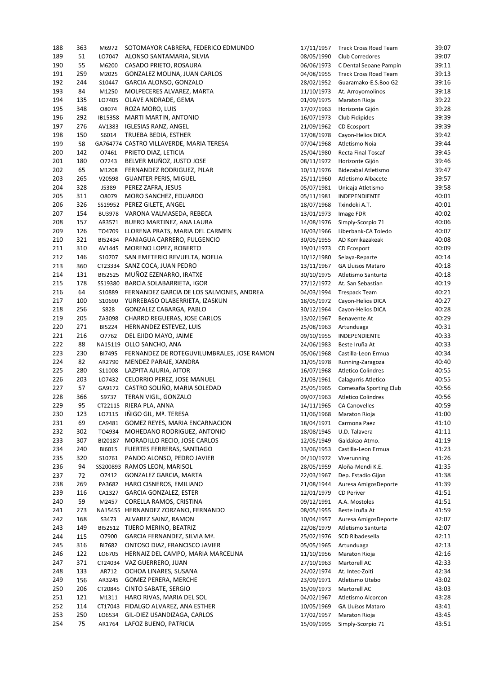| 188 | 363 | M6972       | SOTOMAYOR CABRERA, FEDERICO EDMUNDO        | 17/11/1957 | <b>Track Cross Road Team</b> | 39:07 |
|-----|-----|-------------|--------------------------------------------|------------|------------------------------|-------|
| 189 | 51  | LO7047      | ALONSO SANTAMARIA, SILVIA                  | 08/05/1990 | Club Corredores              | 39:07 |
| 190 | 55  | M6200       | CASADO PRIETO, ROSAURA                     | 06/06/1973 | C Dental Seoane Pampín       | 39:11 |
| 191 | 259 | M2025       | GONZALEZ MOLINA, JUAN CARLOS               | 04/08/1955 | <b>Track Cross Road Team</b> | 39:13 |
| 192 | 244 | S10447      | GARCIA ALONSO, GONZALO                     | 28/02/1952 | Guaramako-E.S.Boo G2         | 39:16 |
| 193 | 84  | M1250       | MOLPECERES ALVAREZ, MARTA                  | 11/10/1973 | At. Arroyomolinos            | 39:18 |
| 194 | 135 | LO7405      | OLAVE ANDRADE, GEMA                        | 01/09/1975 | Maraton Rioja                | 39:22 |
| 195 | 348 | 08074       | ROZA MORO, LUIS                            | 17/07/1963 | Horizonte Gijón              | 39:28 |
| 196 | 292 | IB15358     | MARTI MARTIN, ANTONIO                      | 16/07/1973 |                              | 39:39 |
|     |     |             |                                            |            | Club Fidipides               |       |
| 197 | 276 | AV1383      | <b>IGLESIAS RANZ, ANGEL</b>                | 21/09/1962 | CD Ecosport                  | 39:39 |
| 198 | 150 | S6014       | TRUEBA BEDIA, ESTHER                       | 17/08/1978 | Cayon-Helios DICA            | 39:42 |
| 199 | 58  |             | GA764774 CASTRO VILLAVERDE, MARIA TERESA   | 07/04/1968 | Atletismo Noia               | 39:44 |
| 200 | 142 | 07461       | PRIETO DIAZ, LETICIA                       | 25/04/1980 | Recta Final-Toscaf           | 39:45 |
| 201 | 180 | 07243       | BELVER MUÑOZ, JUSTO JOSE                   | 08/11/1972 | Horizonte Gijón              | 39:46 |
| 202 | 65  | M1208       | FERNANDEZ RODRIGUEZ, PILAR                 | 10/11/1976 | Bidezabal Atletismo          | 39:47 |
| 203 | 265 | V20598      | <b>GUANTER PERIS, MIGUEL</b>               | 25/11/1960 | Atletismo Albacete           | 39:57 |
| 204 | 328 | J5389       | PEREZ ZAFRA, JESUS                         | 05/07/1981 | Unicaja Atletismo            | 39:58 |
| 205 | 311 | 08079       | MORO SANCHEZ, EDUARDO                      | 05/11/1981 | INDEPENDIENTE                | 40:01 |
| 206 | 326 |             | SS19952 PEREZ GILETE, ANGEL                | 18/07/1968 | Txindoki A.T.                | 40:01 |
| 207 | 154 |             | BU3978 VARONA VALMASEDA, REBECA            | 13/01/1973 | Image FDR                    | 40:02 |
| 208 | 157 | AR3571      | BUERO MARTINEZ, ANA LAURA                  | 14/08/1976 | Simply-Scorpio 71            | 40:06 |
| 209 | 126 | TO4709      | LLORENA PRATS, MARIA DEL CARMEN            | 16/03/1966 | Liberbank-CA Toledo          | 40:07 |
| 210 | 321 | BI52434     | PANIAGUA CARRERO, FULGENCIO                | 30/05/1955 | AD Korrikazakeak             | 40:08 |
| 211 | 310 | AV1445      | MORENO LOPEZ, ROBERTO                      | 19/01/1973 | CD Ecosport                  | 40:09 |
| 212 |     |             | SAN EMETERIO REVUELTA, NOELIA              |            |                              | 40:14 |
|     | 146 | S10707      |                                            | 10/12/1980 | Selaya-Reparte               |       |
| 213 | 360 |             | CT23334 SANZ COCA, JUAN PEDRO              | 13/11/1967 | GA Lluïsos Mataro            | 40:18 |
| 214 | 131 | BI52525     | MUÑOZ EZENARRO, IRATXE                     | 30/10/1975 | Atletismo Santurtzi          | 40:18 |
| 215 | 178 | SS19380     | BARCIA SOLABARRIETA, IGOR                  | 27/12/1972 | At. San Sebastian            | 40:19 |
| 216 | 64  | S10889      | FERNANDEZ GARCIA DE LOS SALMONES, ANDREA   | 04/03/1994 | <b>Trespack Team</b>         | 40:21 |
| 217 | 100 | S10690      | YURREBASO OLABERRIETA, IZASKUN             | 18/05/1972 | Cayon-Helios DICA            | 40:27 |
| 218 | 256 | <b>S828</b> | GONZALEZ CABARGA, PABLO                    | 30/12/1964 | Cayon-Helios DICA            | 40:28 |
| 219 | 205 | ZA3098      | <b>CHARRO REGUERAS, JOSE CARLOS</b>        | 13/02/1967 | Benavente At                 | 40:29 |
| 220 | 271 | BI5224      | HERNANDEZ ESTEVEZ, LUIS                    | 25/08/1963 | Artunduaga                   | 40:31 |
| 221 | 216 | 07762       | DEL EJIDO MAYO, JAIME                      | 09/10/1955 | INDEPENDIENTE                | 40:33 |
| 222 | 88  |             | NA15119 OLLO SANCHO, ANA                   | 24/06/1983 | Beste Iruña At               | 40:33 |
| 223 | 230 | BI7495      | FERNANDEZ DE ROTEGUVILUMBRALES, JOSE RAMON | 05/06/1968 | Castilla-Leon Ermua          | 40:34 |
| 224 | 82  | AR2790      | MENDEZ PARAJE, XANDRA                      | 31/05/1978 | Running-Zaragoza             | 40:40 |
| 225 | 280 | S11008      | LAZPITA AJURIA, AITOR                      | 16/07/1968 | <b>Atletico Colindres</b>    | 40:55 |
| 226 | 203 | LO7432      | CELORRIO PEREZ, JOSE MANUEL                | 21/03/1961 | Calagurris Atletico          | 40:55 |
| 227 | 57  | GA9172      | CASTRO SOLIÑO, MARIA SOLEDAD               | 25/05/1965 | Comesaña Sporting Club       | 40:56 |
| 228 | 366 | S9737       | TERAN VIGIL, GONZALO                       | 09/07/1963 | <b>Atletico Colindres</b>    | 40:56 |
| 229 | 95  |             | CT22115 RIERA PLA, ANNA                    |            | CA Canovelles                | 40:59 |
| 230 | 123 | LO7115      | IÑIGO GIL, Mª. TERESA                      | 14/11/1965 |                              | 41:00 |
|     |     |             |                                            | 11/06/1968 | Maraton Rioja                |       |
| 231 | 69  | CA9481      | GOMEZ REYES, MARIA ENCARNACION             | 18/04/1971 | Carmona Paez                 | 41:10 |
| 232 | 302 | TO4934      | MOHEDANO RODRIGUEZ, ANTONIO                | 18/08/1945 | U.D. Talavera                | 41:11 |
| 233 | 307 | BI20187     | MORADILLO RECIO, JOSE CARLOS               | 12/05/1949 | Galdakao Atmo.               | 41:19 |
| 234 | 240 | BI6015      | FUERTES FERRERAS, SANTIAGO                 | 13/06/1953 | Castilla-Leon Ermua          | 41:23 |
| 235 | 320 | S10761      | PANDO ALONSO, PEDRO JAVIER                 | 04/10/1972 | Viverunning                  | 41:26 |
| 236 | 94  |             | SS200893 RAMOS LEON, MARISOL               | 28/05/1959 | Aloña-Mendi K.E.             | 41:35 |
| 237 | 72  | 07412       | GONZALEZ GARCIA, MARTA                     | 22/03/1967 | Dep. Estadio Gijon           | 41:38 |
| 238 | 269 | PA3682      | HARO CISNEROS, EMILIANO                    | 21/08/1944 | Auresa AmigosDeporte         | 41:39 |
| 239 | 116 | CA1327      | <b>GARCIA GONZALEZ, ESTER</b>              | 12/01/1979 | <b>CD Periver</b>            | 41:51 |
| 240 | 59  | M2457       | CORELLA RAMOS, CRISTINA                    | 09/12/1991 | A.A. Mostoles                | 41:51 |
| 241 | 273 |             | NA15455 HERNANDEZ ZORZANO, FERNANDO        | 08/05/1955 | Beste Iruña At               | 41:59 |
| 242 | 168 | S3473       | ALVAREZ SAINZ, RAMON                       | 10/04/1957 | Auresa AmigosDeporte         | 42:07 |
| 243 | 149 | BI52512     | TIJERO MERINO, BEATRIZ                     | 22/08/1979 | Atletismo Santurtzi          | 42:07 |
| 244 | 115 | 07900       | GARCIA FERNANDEZ, SILVIA Mª.               | 25/02/1976 | SCD Ribadesella              | 42:11 |
| 245 | 316 | BI7682      | ONTOSO DIAZ, FRANCISCO JAVIER              | 05/05/1965 | Artunduaga                   | 42:13 |
| 246 | 122 | LO6705      | HERNAIZ DEL CAMPO, MARIA MARCELINA         | 11/10/1956 | Maraton Rioja                | 42:16 |
| 247 | 371 |             | CT24034 VAZ GUERRERO, JUAN                 | 27/10/1963 | Martorell AC                 | 42:33 |
|     |     |             |                                            |            |                              | 42:34 |
| 248 | 133 | AR712       | OCHOA LINARES, SUSANA                      | 24/02/1974 | At. Intec-Zoiti              |       |
| 249 | 156 | AR3245      | <b>GOMEZ PERERA, MERCHE</b>                | 23/09/1971 | Atletismo Utebo              | 43:02 |
| 250 | 206 | CT20845     | CINTO SABATE, SERGIO                       | 15/09/1973 | Martorell AC                 | 43:03 |
| 251 | 121 | M1311       | HARO RIVAS, MARIA DEL SOL                  | 04/02/1967 | Atletismo Alcorcon           | 43:28 |
| 252 | 114 |             | CT17043 FIDALGO ALVAREZ, ANA ESTHER        | 10/05/1969 | GA Lluïsos Mataro            | 43:41 |
| 253 | 250 | LO6534      | GIL-DIEZ USANDIZAGA, CARLOS                | 17/02/1957 | Maraton Rioja                | 43:45 |
| 254 | 75  | AR1764      | LAFOZ BUENO, PATRICIA                      | 15/09/1995 | Simply-Scorpio 71            | 43:51 |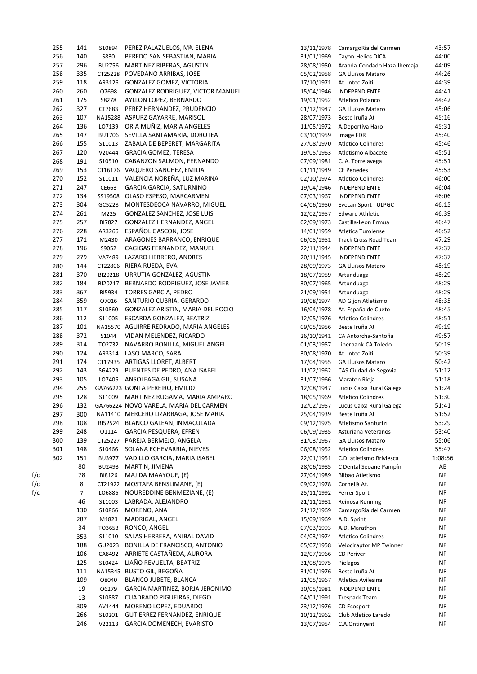|     | 255 | 141            | S10894      | PEREZ PALAZUELOS, Mª. ELENA              | 13/11/1978 | CamargoRia del Carmen        | 43:57     |
|-----|-----|----------------|-------------|------------------------------------------|------------|------------------------------|-----------|
|     | 256 | 140            | <b>S830</b> | PEREDO SAN SEBASTIAN, MARIA              | 31/01/1969 | Cayon-Helios DICA            | 44:00     |
|     | 257 | 296            |             | BU2756 MARTINEZ RIBERAS, AGUSTIN         | 28/08/1950 | Aranda-Condado Haza-Ibercaja | 44:09     |
|     | 258 | 335            |             | CT25228 POVEDANO ARRIBAS, JOSE           | 05/02/1958 | <b>GA Lluïsos Mataro</b>     | 44:26     |
|     | 259 | 118            | AR3126      | <b>GONZALEZ GOMEZ, VICTORIA</b>          | 17/10/1971 | At. Intec-Zoiti              | 44:39     |
|     | 260 | 260            | 07698       | <b>GONZALEZ RODRIGUEZ, VICTOR MANUEL</b> | 15/04/1946 | INDEPENDIENTE                | 44:41     |
|     | 261 | 175            | S8278       | AYLLON LOPEZ, BERNARDO                   | 19/01/1952 | Atletico Polanco             | 44:42     |
|     | 262 | 327            | CT7683      | PEREZ HERNANDEZ, PRUDENCIO               | 01/12/1947 | GA Lluïsos Mataro            | 45:06     |
|     | 263 | 107            |             | NA15288 ASPURZ GAYARRE, MARISOL          | 28/07/1973 | Beste Iruña At               | 45:16     |
|     | 264 | 136            |             | LO7139 ORIA MUÑIZ, MARIA ANGELES         | 11/05/1972 | A.Deportiva Haro             | 45:31     |
|     | 265 | 147            |             |                                          |            |                              | 45:40     |
|     |     |                |             | BU1706 SEVILLA SANTAMARIA, DOROTEA       | 03/10/1959 | Image FDR                    |           |
|     | 266 | 155            | S11013      | ZABALA DE BEPERET, MARGARITA             | 27/08/1970 | <b>Atletico Colindres</b>    | 45:46     |
|     | 267 | 120            | V20444      | <b>GRACIA GOMEZ, TERESA</b>              | 19/05/1963 | Atletismo Albacete           | 45:51     |
|     | 268 | 191            | S10510      | CABANZON SALMON, FERNANDO                | 07/09/1981 | C. A. Torrelavega            | 45:51     |
|     | 269 | 153            |             | CT16176 VAQUERO SANCHEZ, EMILIA          | 01/11/1949 | CE Penedès                   | 45:53     |
|     | 270 | 152            |             | S11011 VALENCIA NOREÑA, LUZ MARINA       | 02/10/1974 | <b>Atletico Colindres</b>    | 46:00     |
|     | 271 | 247            | CE663       | GARCIA GARCIA, SATURNINO                 | 19/04/1946 | INDEPENDIENTE                | 46:04     |
|     | 272 | 134            |             | SS19508 OLASO ESPESO, MARCARMEN          | 07/03/1967 | INDEPENDIENTE                | 46:06     |
|     | 273 | 304            | GC5228      | MONTESDEOCA NAVARRO, MIGUEL              | 04/06/1950 | Evecan Sport - ULPGC         | 46:15     |
|     | 274 | 261            | M225        | GONZALEZ SANCHEZ, JOSE LUIS              | 12/02/1957 | <b>Edward Athletic</b>       | 46:39     |
|     | 275 | 257            | BI7827      | GONZALEZ HERNANDEZ, ANGEL                | 02/09/1973 | Castilla-Leon Ermua          | 46:47     |
|     | 276 | 228            | AR3266      | ESPAÑOL GASCON, JOSE                     | 14/01/1959 | Atletica Turolense           | 46:52     |
|     | 277 | 171            | M2430       | ARAGONES BARRANCO, ENRIQUE               | 06/05/1951 | <b>Track Cross Road Team</b> | 47:29     |
|     | 278 | 196            | S9052       | CAGIGAS FERNANDEZ, MANUEL                | 22/11/1944 | INDEPENDIENTE                | 47:37     |
|     | 279 | 279            | VA7489      | LAZARO HERRERO, ANDRES                   | 20/11/1945 | INDEPENDIENTE                | 47:37     |
|     | 280 | 144            |             | CT22806 RIERA RUEDA, EVA                 | 28/09/1973 | GA Lluïsos Mataro            | 48:19     |
|     | 281 | 370            | BI20218     | URRUTIA GONZALEZ, AGUSTIN                | 18/07/1959 | Artunduaga                   | 48:29     |
|     | 282 | 184            | BI20217     | BERNARDO RODRIGUEZ, JOSE JAVIER          | 30/07/1965 | Artunduaga                   | 48:29     |
|     |     |                |             |                                          |            |                              |           |
|     | 283 | 367            | BI5934      | <b>TORRES GARCIA, PEDRO</b>              | 21/09/1951 | Artunduaga                   | 48:29     |
|     | 284 | 359            | 07016       | SANTURIO CUBRIA, GERARDO                 | 20/08/1974 | AD Gijon Atletismo           | 48:35     |
|     | 285 | 117            | \$10860     | GONZALEZ ARISTIN, MARIA DEL ROCIO        | 16/04/1978 | At. España de Cueto          | 48:45     |
|     | 286 | 112            | S11005      | ESCARDA GONZALEZ, BEATRIZ                | 12/05/1976 | Atletico Colindres           | 48:51     |
|     | 287 | 101            |             | NA15570 AGUIRRE REDRADO, MARIA ANGELES   | 09/05/1956 | Beste Iruña At               | 49:19     |
|     | 288 | 372            | S1044       | VIDAN MELENDEZ, RICARDO                  | 26/10/1941 | CA Antorcha-Santoña          | 49:57     |
|     | 289 | 314            | TO2732      | NAVARRO BONILLA, MIGUEL ANGEL            | 01/03/1957 | Liberbank-CA Toledo          | 50:19     |
|     | 290 | 124            |             | AR3314 LASO MARCO, SARA                  | 30/08/1970 | At. Intec-Zoiti              | 50:39     |
|     | 291 | 174            |             | CT17935 ARTIGAS LLORET, ALBERT           | 17/04/1955 | GA Lluïsos Mataro            | 50:42     |
|     | 292 | 143            | SG4229      | PUENTES DE PEDRO, ANA ISABEL             | 11/02/1962 | CAS Ciudad de Segovia        | 51:12     |
|     | 293 | 105            |             | LO7406 ANSOLEAGA GIL, SUSANA             | 31/07/1966 | Maraton Rioja                | 51:18     |
|     | 294 | 255            |             | GA766223 GONTA PEREIRO, EMILIO           | 12/08/1947 | Lucus Caixa Rural Galega     | 51:24     |
|     | 295 | 128            | S11009      | MARTINEZ RUGAMA, MARIA AMPARO            | 18/05/1969 | <b>Atletico Colindres</b>    | 51:30     |
|     | 296 | 132            |             | GA766224 NOVO VARELA, MARIA DEL CARMEN   | 12/02/1957 | Lucus Caixa Rural Galega     | 51:41     |
|     | 297 | 300            |             | NA11410 MERCERO LIZARRAGA, JOSE MARIA    | 25/04/1939 | Beste Iruña At               | 51:52     |
|     | 298 | 108            |             | BI52524 BLANCO GALEAN, INMACULADA        | 09/12/1975 | Atletismo Santurtzi          | 53:29     |
|     | 299 | 248            | 01114       | <b>GARCIA PESQUERA, EFREN</b>            | 06/09/1935 | Asturiana Veteranos          | 53:40     |
|     | 300 | 139            |             | CT25227 PAREJA BERMEJO, ANGELA           | 31/03/1967 | GA Lluïsos Mataro            | 55:06     |
|     | 301 | 148            | S10466      | SOLANA ECHEVARRIA, NIEVES                | 06/08/1952 | <b>Atletico Colindres</b>    | 55:47     |
|     | 302 | 151            |             | BU3977 VADILLO GARCIA, MARIA ISABEL      | 22/01/1951 | C.D. atletismo Briviesca     | 1:08:56   |
|     |     | 80             | BU2493      | MARTIN, JIMENA                           | 28/06/1985 | C Dental Seoane Pampín       | AB        |
|     |     |                |             |                                          |            |                              |           |
| f/c |     | 78             | BI8126      | MAJIDA MAAYOUF, (E)                      | 27/04/1989 | Bilbao Atletismo             | <b>NP</b> |
| f/c |     | 8              |             | CT21922 MOSTAFA BENSLIMANE, (E)          | 09/02/1978 | Cornellà At.                 | NP.       |
| f/c |     | $\overline{7}$ | LO6886      | NOUREDDINE BENMEZIANE, (E)               | 25/11/1992 | Ferrer Sport                 | ΝP        |
|     |     | 46             | S11003      | LABRADA, ALEJANDRO                       | 21/11/1981 | Reinosa Running              | NP.       |
|     |     | 130            | S10866      | MORENO, ANA                              | 21/12/1969 | CamargoRia del Carmen        | ΝP        |
|     |     | 287            | M1823       | MADRIGAL, ANGEL                          | 15/09/1969 | A.D. Sprint                  | ΝP        |
|     |     | 34             | TO3653      | RONCO, ANGEL                             | 07/03/1993 | A.D. Marathon                | ΝP        |
|     |     | 353            | S11010      | SALAS HERRERA, ANIBAL DAVID              | 04/03/1974 | <b>Atletico Colindres</b>    | ΝP        |
|     |     | 188            | GU2023      | BONILLA DE FRANCISCO, ANTONIO            | 05/07/1958 | Velociraptor MP Twinner      | ΝP        |
|     |     | 106            |             | CA8492 ARRIETE CASTAÑEDA, AURORA         | 12/07/1966 | CD Periver                   | ΝP        |
|     |     | 125            | S10424      | LIAÑO REVUELTA, BEATRIZ                  | 31/08/1975 | Pielagos                     | ΝP        |
|     |     | 111            |             | NA15345 BUSTO GIL, BEGOÑA                | 31/01/1976 | Beste Iruña At               | ΝP        |
|     |     | 109            | O8040       | BLANCO JUBETE, BLANCA                    | 21/05/1967 | Atletica Avilesina           | ΝP        |
|     |     | 19             | 06279       | GARCIA MARTINEZ, BORJA JERONIMO          | 30/05/1981 | INDEPENDIENTE                | ΝP        |
|     |     | 13             | S10887      | CUADRADO PIGUEIRAS, DIEGO                | 04/01/1991 | Trespack Team                | NP.       |
|     |     | 309            | AV1444      | MORENO LOPEZ, EDUARDO                    | 23/12/1976 | CD Ecosport                  | NP.       |
|     |     | 266            | S10201      | GUTIERREZ FERNANDEZ, ENRIQUE             | 10/12/1962 | Club Atletico Laredo         | ΝP        |
|     |     | 246            | V22113      | <b>GARCIA DOMENECH, EVARISTO</b>         | 13/07/1954 | C.A.Ontinyent                | NP.       |
|     |     |                |             |                                          |            |                              |           |